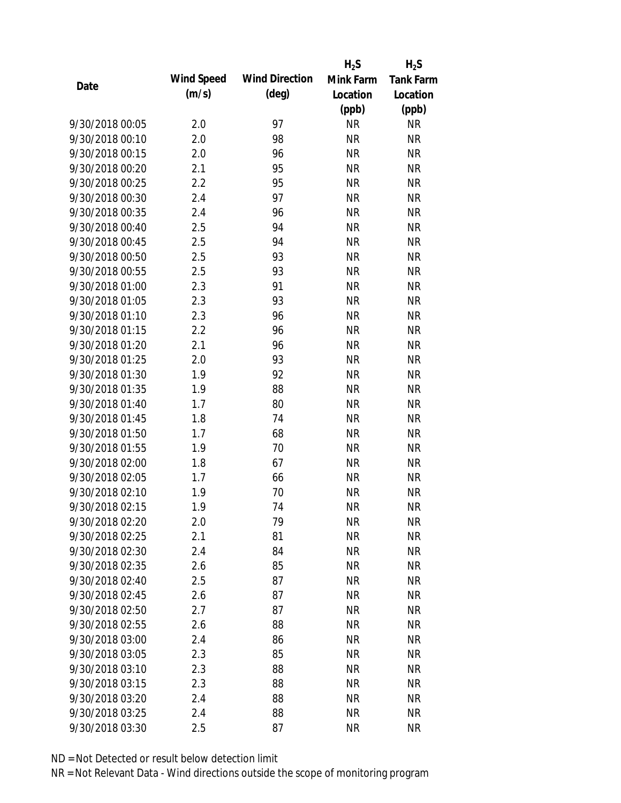|                 |            |                       | $H_2S$    | $H_2S$           |
|-----------------|------------|-----------------------|-----------|------------------|
| Date            | Wind Speed | <b>Wind Direction</b> | Mink Farm | <b>Tank Farm</b> |
|                 | (m/s)      | $(\text{deg})$        | Location  | Location         |
|                 |            |                       | (ppb)     | (ppb)            |
| 9/30/2018 00:05 | 2.0        | 97                    | <b>NR</b> | NR               |
| 9/30/2018 00:10 | 2.0        | 98                    | <b>NR</b> | <b>NR</b>        |
| 9/30/2018 00:15 | 2.0        | 96                    | <b>NR</b> | <b>NR</b>        |
| 9/30/2018 00:20 | 2.1        | 95                    | <b>NR</b> | <b>NR</b>        |
| 9/30/2018 00:25 | 2.2        | 95                    | <b>NR</b> | <b>NR</b>        |
| 9/30/2018 00:30 | 2.4        | 97                    | <b>NR</b> | <b>NR</b>        |
| 9/30/2018 00:35 | 2.4        | 96                    | <b>NR</b> | <b>NR</b>        |
| 9/30/2018 00:40 | 2.5        | 94                    | <b>NR</b> | <b>NR</b>        |
| 9/30/2018 00:45 | 2.5        | 94                    | <b>NR</b> | <b>NR</b>        |
| 9/30/2018 00:50 | 2.5        | 93                    | <b>NR</b> | <b>NR</b>        |
| 9/30/2018 00:55 | 2.5        | 93                    | <b>NR</b> | <b>NR</b>        |
| 9/30/2018 01:00 | 2.3        | 91                    | <b>NR</b> | <b>NR</b>        |
| 9/30/2018 01:05 | 2.3        | 93                    | <b>NR</b> | <b>NR</b>        |
| 9/30/2018 01:10 | 2.3        | 96                    | <b>NR</b> | <b>NR</b>        |
| 9/30/2018 01:15 | 2.2        | 96                    | <b>NR</b> | <b>NR</b>        |
| 9/30/2018 01:20 | 2.1        | 96                    | <b>NR</b> | <b>NR</b>        |
| 9/30/2018 01:25 | 2.0        | 93                    | <b>NR</b> | <b>NR</b>        |
| 9/30/2018 01:30 | 1.9        | 92                    | <b>NR</b> | <b>NR</b>        |
| 9/30/2018 01:35 | 1.9        | 88                    | <b>NR</b> | <b>NR</b>        |
| 9/30/2018 01:40 | 1.7        | 80                    | <b>NR</b> | <b>NR</b>        |
| 9/30/2018 01:45 | 1.8        | 74                    | <b>NR</b> | <b>NR</b>        |
| 9/30/2018 01:50 | 1.7        | 68                    | <b>NR</b> | <b>NR</b>        |
| 9/30/2018 01:55 | 1.9        | 70                    | <b>NR</b> | <b>NR</b>        |
| 9/30/2018 02:00 | 1.8        | 67                    | <b>NR</b> | <b>NR</b>        |
| 9/30/2018 02:05 | 1.7        | 66                    | <b>NR</b> | <b>NR</b>        |
| 9/30/2018 02:10 | 1.9        | 70                    | <b>NR</b> | <b>NR</b>        |
| 9/30/2018 02:15 | 1.9        | 74                    | <b>NR</b> | <b>NR</b>        |
| 9/30/2018 02:20 | 2.0        | 79                    | <b>NR</b> | <b>NR</b>        |
| 9/30/2018 02:25 | 2.1        | 81                    | <b>NR</b> | <b>NR</b>        |
| 9/30/2018 02:30 | 2.4        | 84                    | <b>NR</b> | <b>NR</b>        |
| 9/30/2018 02:35 | 2.6        | 85                    | <b>NR</b> | <b>NR</b>        |
| 9/30/2018 02:40 | 2.5        | 87                    | <b>NR</b> | NR               |
| 9/30/2018 02:45 | 2.6        | 87                    | <b>NR</b> | <b>NR</b>        |
| 9/30/2018 02:50 | 2.7        | 87                    | <b>NR</b> | <b>NR</b>        |
| 9/30/2018 02:55 | 2.6        | 88                    | <b>NR</b> | NR               |
| 9/30/2018 03:00 | 2.4        | 86                    | <b>NR</b> | <b>NR</b>        |
| 9/30/2018 03:05 | 2.3        | 85                    | <b>NR</b> | NR               |
| 9/30/2018 03:10 | 2.3        | 88                    | <b>NR</b> | <b>NR</b>        |
| 9/30/2018 03:15 | 2.3        | 88                    | <b>NR</b> | NR               |
| 9/30/2018 03:20 | 2.4        | 88                    | <b>NR</b> | NR               |
| 9/30/2018 03:25 | 2.4        | 88                    | <b>NR</b> | <b>NR</b>        |
| 9/30/2018 03:30 | 2.5        | 87                    | <b>NR</b> | <b>NR</b>        |
|                 |            |                       |           |                  |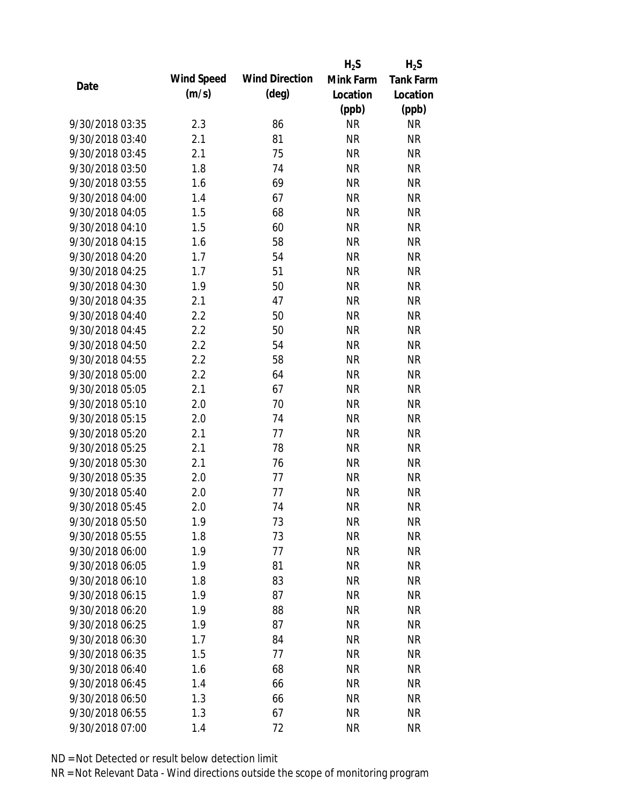|                 |            |                       | $H_2S$    | $H_2S$           |
|-----------------|------------|-----------------------|-----------|------------------|
| Date            | Wind Speed | <b>Wind Direction</b> | Mink Farm | <b>Tank Farm</b> |
|                 | (m/s)      | $(\text{deg})$        | Location  | Location         |
|                 |            |                       | (ppb)     | (ppb)            |
| 9/30/2018 03:35 | 2.3        | 86                    | <b>NR</b> | NR               |
| 9/30/2018 03:40 | 2.1        | 81                    | <b>NR</b> | <b>NR</b>        |
| 9/30/2018 03:45 | 2.1        | 75                    | <b>NR</b> | <b>NR</b>        |
| 9/30/2018 03:50 | 1.8        | 74                    | <b>NR</b> | <b>NR</b>        |
| 9/30/2018 03:55 | 1.6        | 69                    | <b>NR</b> | <b>NR</b>        |
| 9/30/2018 04:00 | 1.4        | 67                    | <b>NR</b> | <b>NR</b>        |
| 9/30/2018 04:05 | 1.5        | 68                    | <b>NR</b> | <b>NR</b>        |
| 9/30/2018 04:10 | 1.5        | 60                    | <b>NR</b> | <b>NR</b>        |
| 9/30/2018 04:15 | 1.6        | 58                    | <b>NR</b> | <b>NR</b>        |
| 9/30/2018 04:20 | 1.7        | 54                    | <b>NR</b> | <b>NR</b>        |
| 9/30/2018 04:25 | 1.7        | 51                    | <b>NR</b> | <b>NR</b>        |
| 9/30/2018 04:30 | 1.9        | 50                    | <b>NR</b> | <b>NR</b>        |
| 9/30/2018 04:35 | 2.1        | 47                    | <b>NR</b> | <b>NR</b>        |
| 9/30/2018 04:40 | 2.2        | 50                    | <b>NR</b> | <b>NR</b>        |
| 9/30/2018 04:45 | 2.2        | 50                    | <b>NR</b> | <b>NR</b>        |
| 9/30/2018 04:50 | 2.2        | 54                    | <b>NR</b> | <b>NR</b>        |
| 9/30/2018 04:55 | 2.2        | 58                    | <b>NR</b> | <b>NR</b>        |
| 9/30/2018 05:00 | 2.2        | 64                    | <b>NR</b> | <b>NR</b>        |
| 9/30/2018 05:05 | 2.1        | 67                    | <b>NR</b> | <b>NR</b>        |
| 9/30/2018 05:10 | 2.0        | 70                    | <b>NR</b> | <b>NR</b>        |
| 9/30/2018 05:15 | 2.0        | 74                    | <b>NR</b> | <b>NR</b>        |
| 9/30/2018 05:20 | 2.1        | 77                    | <b>NR</b> | <b>NR</b>        |
| 9/30/2018 05:25 | 2.1        | 78                    | <b>NR</b> | <b>NR</b>        |
| 9/30/2018 05:30 | 2.1        | 76                    | <b>NR</b> | <b>NR</b>        |
| 9/30/2018 05:35 | 2.0        | 77                    | <b>NR</b> | <b>NR</b>        |
| 9/30/2018 05:40 | 2.0        | 77                    | <b>NR</b> | <b>NR</b>        |
| 9/30/2018 05:45 | 2.0        | 74                    | <b>NR</b> | <b>NR</b>        |
| 9/30/2018 05:50 | 1.9        | 73                    | <b>NR</b> | <b>NR</b>        |
| 9/30/2018 05:55 | 1.8        | 73                    | <b>NR</b> | <b>NR</b>        |
| 9/30/2018 06:00 | 1.9        | 77                    | <b>NR</b> | <b>NR</b>        |
| 9/30/2018 06:05 | 1.9        | 81                    | <b>NR</b> | <b>NR</b>        |
| 9/30/2018 06:10 | 1.8        | 83                    | <b>NR</b> | <b>NR</b>        |
| 9/30/2018 06:15 | 1.9        | 87                    | <b>NR</b> | <b>NR</b>        |
| 9/30/2018 06:20 | 1.9        | 88                    | <b>NR</b> | <b>NR</b>        |
| 9/30/2018 06:25 | 1.9        | 87                    | <b>NR</b> | NR               |
| 9/30/2018 06:30 | 1.7        | 84                    | <b>NR</b> | <b>NR</b>        |
| 9/30/2018 06:35 | 1.5        | 77                    | <b>NR</b> | <b>NR</b>        |
| 9/30/2018 06:40 | 1.6        | 68                    | NR        | <b>NR</b>        |
| 9/30/2018 06:45 | 1.4        | 66                    | <b>NR</b> | NR               |
| 9/30/2018 06:50 | 1.3        | 66                    | <b>NR</b> | NR               |
| 9/30/2018 06:55 | 1.3        | 67                    | <b>NR</b> | <b>NR</b>        |
| 9/30/2018 07:00 | 1.4        | 72                    | <b>NR</b> | <b>NR</b>        |
|                 |            |                       |           |                  |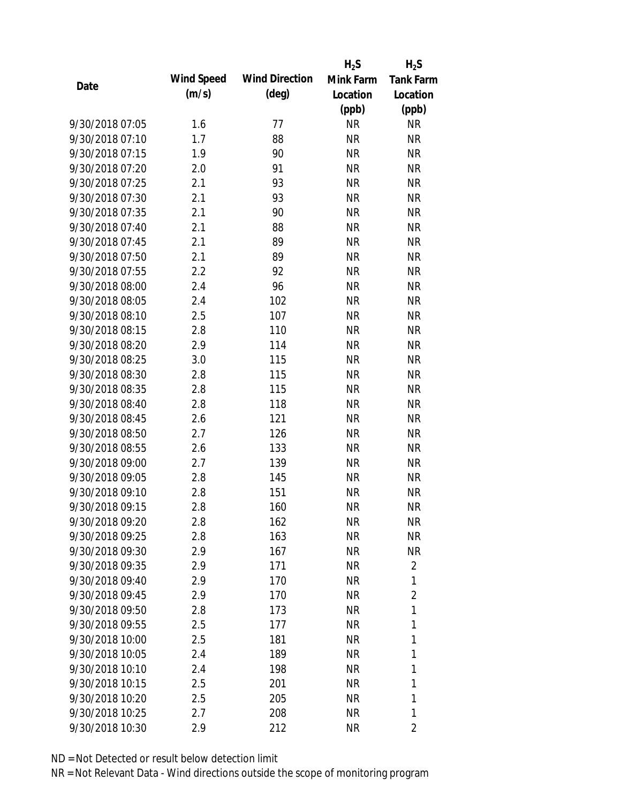|                 |            |                       | $H_2S$    | $H_2S$           |
|-----------------|------------|-----------------------|-----------|------------------|
| Date            | Wind Speed | <b>Wind Direction</b> | Mink Farm | <b>Tank Farm</b> |
|                 | (m/s)      | $(\text{deg})$        | Location  | Location         |
|                 |            |                       | (ppb)     | (ppb)            |
| 9/30/2018 07:05 | 1.6        | 77                    | <b>NR</b> | NR               |
| 9/30/2018 07:10 | 1.7        | 88                    | <b>NR</b> | <b>NR</b>        |
| 9/30/2018 07:15 | 1.9        | 90                    | <b>NR</b> | <b>NR</b>        |
| 9/30/2018 07:20 | 2.0        | 91                    | <b>NR</b> | <b>NR</b>        |
| 9/30/2018 07:25 | 2.1        | 93                    | <b>NR</b> | <b>NR</b>        |
| 9/30/2018 07:30 | 2.1        | 93                    | <b>NR</b> | <b>NR</b>        |
| 9/30/2018 07:35 | 2.1        | 90                    | <b>NR</b> | <b>NR</b>        |
| 9/30/2018 07:40 | 2.1        | 88                    | <b>NR</b> | <b>NR</b>        |
| 9/30/2018 07:45 | 2.1        | 89                    | <b>NR</b> | <b>NR</b>        |
| 9/30/2018 07:50 | 2.1        | 89                    | <b>NR</b> | <b>NR</b>        |
| 9/30/2018 07:55 | 2.2        | 92                    | <b>NR</b> | <b>NR</b>        |
| 9/30/2018 08:00 | 2.4        | 96                    | <b>NR</b> | <b>NR</b>        |
| 9/30/2018 08:05 | 2.4        | 102                   | <b>NR</b> | <b>NR</b>        |
| 9/30/2018 08:10 | 2.5        | 107                   | <b>NR</b> | <b>NR</b>        |
| 9/30/2018 08:15 | 2.8        | 110                   | <b>NR</b> | <b>NR</b>        |
| 9/30/2018 08:20 | 2.9        | 114                   | <b>NR</b> | <b>NR</b>        |
| 9/30/2018 08:25 | 3.0        | 115                   | <b>NR</b> | <b>NR</b>        |
| 9/30/2018 08:30 | 2.8        | 115                   | <b>NR</b> | <b>NR</b>        |
| 9/30/2018 08:35 | 2.8        | 115                   | <b>NR</b> | <b>NR</b>        |
| 9/30/2018 08:40 | 2.8        | 118                   | <b>NR</b> | <b>NR</b>        |
| 9/30/2018 08:45 | 2.6        | 121                   | <b>NR</b> | <b>NR</b>        |
| 9/30/2018 08:50 | 2.7        | 126                   | <b>NR</b> | <b>NR</b>        |
| 9/30/2018 08:55 | 2.6        | 133                   | <b>NR</b> | <b>NR</b>        |
| 9/30/2018 09:00 | 2.7        | 139                   | <b>NR</b> | <b>NR</b>        |
| 9/30/2018 09:05 | 2.8        | 145                   | <b>NR</b> | <b>NR</b>        |
| 9/30/2018 09:10 | 2.8        | 151                   | <b>NR</b> | <b>NR</b>        |
| 9/30/2018 09:15 | 2.8        | 160                   | <b>NR</b> | <b>NR</b>        |
| 9/30/2018 09:20 | 2.8        | 162                   | <b>NR</b> | <b>NR</b>        |
| 9/30/2018 09:25 | 2.8        | 163                   | <b>NR</b> | <b>NR</b>        |
| 9/30/2018 09:30 | 2.9        | 167                   | <b>NR</b> | <b>NR</b>        |
| 9/30/2018 09:35 | 2.9        | 171                   | <b>NR</b> | $\overline{2}$   |
| 9/30/2018 09:40 | 2.9        | 170                   | <b>NR</b> | 1                |
| 9/30/2018 09:45 | 2.9        | 170                   | <b>NR</b> | $\overline{2}$   |
| 9/30/2018 09:50 | 2.8        | 173                   | <b>NR</b> | 1                |
| 9/30/2018 09:55 | 2.5        | 177                   | <b>NR</b> | 1                |
| 9/30/2018 10:00 | 2.5        | 181                   | <b>NR</b> | 1                |
| 9/30/2018 10:05 | 2.4        | 189                   | <b>NR</b> | 1                |
| 9/30/2018 10:10 | 2.4        | 198                   | NR        | 1                |
| 9/30/2018 10:15 | 2.5        | 201                   | <b>NR</b> | 1                |
| 9/30/2018 10:20 | 2.5        | 205                   | <b>NR</b> | 1                |
| 9/30/2018 10:25 | 2.7        | 208                   | <b>NR</b> | 1                |
| 9/30/2018 10:30 | 2.9        | 212                   | <b>NR</b> | 2                |
|                 |            |                       |           |                  |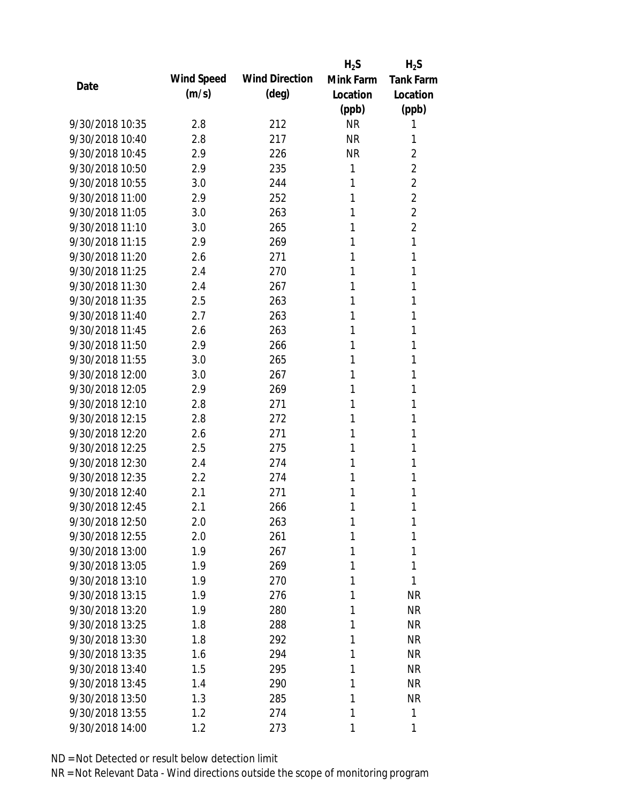|                 |            |                       | $H_2S$    | $H_2S$           |
|-----------------|------------|-----------------------|-----------|------------------|
| Date            | Wind Speed | <b>Wind Direction</b> | Mink Farm | <b>Tank Farm</b> |
|                 | (m/s)      | $(\text{deg})$        | Location  | Location         |
|                 |            |                       | (ppb)     | (ppb)            |
| 9/30/2018 10:35 | 2.8        | 212                   | <b>NR</b> | 1                |
| 9/30/2018 10:40 | 2.8        | 217                   | <b>NR</b> | 1                |
| 9/30/2018 10:45 | 2.9        | 226                   | <b>NR</b> | $\overline{2}$   |
| 9/30/2018 10:50 | 2.9        | 235                   | 1         | $\overline{2}$   |
| 9/30/2018 10:55 | 3.0        | 244                   | 1         | $\overline{2}$   |
| 9/30/2018 11:00 | 2.9        | 252                   | 1         | $\overline{2}$   |
| 9/30/2018 11:05 | 3.0        | 263                   | 1         | $\overline{2}$   |
| 9/30/2018 11:10 | 3.0        | 265                   | 1         | $\overline{2}$   |
| 9/30/2018 11:15 | 2.9        | 269                   | 1         | 1                |
| 9/30/2018 11:20 | 2.6        | 271                   | 1         | 1                |
| 9/30/2018 11:25 | 2.4        | 270                   | 1         | 1                |
| 9/30/2018 11:30 | 2.4        | 267                   | 1         | 1                |
| 9/30/2018 11:35 | 2.5        | 263                   | 1         | 1                |
| 9/30/2018 11:40 | 2.7        | 263                   | 1         | 1                |
| 9/30/2018 11:45 | 2.6        | 263                   | 1         | 1                |
| 9/30/2018 11:50 | 2.9        | 266                   | 1         | 1                |
| 9/30/2018 11:55 | 3.0        | 265                   | 1         | 1                |
| 9/30/2018 12:00 | 3.0        | 267                   | 1         | 1                |
| 9/30/2018 12:05 | 2.9        | 269                   | 1         | 1                |
| 9/30/2018 12:10 | 2.8        | 271                   | 1         | 1                |
| 9/30/2018 12:15 | 2.8        | 272                   | 1         | 1                |
| 9/30/2018 12:20 | 2.6        | 271                   | 1         | 1                |
| 9/30/2018 12:25 | 2.5        | 275                   | 1         | 1                |
| 9/30/2018 12:30 | 2.4        | 274                   | 1         | 1                |
| 9/30/2018 12:35 | 2.2        | 274                   | 1         | 1                |
| 9/30/2018 12:40 | 2.1        | 271                   | 1         | 1                |
| 9/30/2018 12:45 | 2.1        | 266                   | 1         | 1                |
| 9/30/2018 12:50 | 2.0        | 263                   | 1         | 1                |
| 9/30/2018 12:55 | 2.0        | 261                   | 1         | 1                |
| 9/30/2018 13:00 | 1.9        | 267                   | 1         | 1                |
| 9/30/2018 13:05 | 1.9        | 269                   | 1         | 1                |
| 9/30/2018 13:10 | 1.9        | 270                   | 1         | 1                |
| 9/30/2018 13:15 | 1.9        | 276                   | 1         | <b>NR</b>        |
| 9/30/2018 13:20 | 1.9        | 280                   | 1         | <b>NR</b>        |
| 9/30/2018 13:25 | 1.8        | 288                   | 1         | NR               |
| 9/30/2018 13:30 | 1.8        | 292                   | 1         | <b>NR</b>        |
| 9/30/2018 13:35 | 1.6        | 294                   | 1         | <b>NR</b>        |
| 9/30/2018 13:40 | 1.5        | 295                   | 1         | <b>NR</b>        |
| 9/30/2018 13:45 | 1.4        | 290                   | 1         | <b>NR</b>        |
| 9/30/2018 13:50 | 1.3        | 285                   | 1         | <b>NR</b>        |
| 9/30/2018 13:55 | 1.2        | 274                   | 1         | 1                |
| 9/30/2018 14:00 | 1.2        | 273                   | 1         | 1                |
|                 |            |                       |           |                  |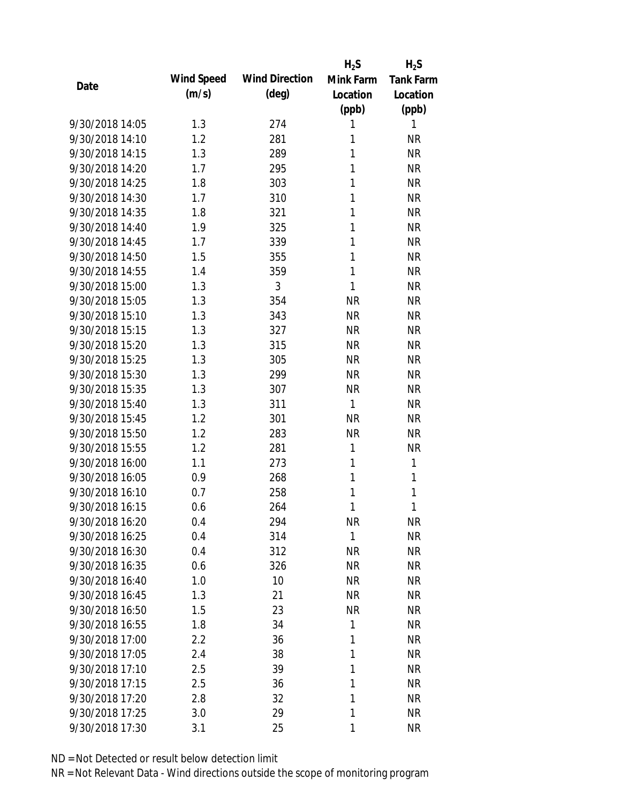|                 |            |                       | $H_2S$       | $H_2S$           |
|-----------------|------------|-----------------------|--------------|------------------|
|                 | Wind Speed | <b>Wind Direction</b> | Mink Farm    | <b>Tank Farm</b> |
| Date            | (m/s)      | $(\text{deg})$        | Location     | Location         |
|                 |            |                       | (ppb)        | (ppb)            |
| 9/30/2018 14:05 | 1.3        | 274                   | 1            | 1                |
| 9/30/2018 14:10 | 1.2        | 281                   | 1            | <b>NR</b>        |
| 9/30/2018 14:15 | 1.3        | 289                   | 1            | <b>NR</b>        |
| 9/30/2018 14:20 | 1.7        | 295                   | 1            | <b>NR</b>        |
| 9/30/2018 14:25 | 1.8        | 303                   | 1            | <b>NR</b>        |
| 9/30/2018 14:30 | 1.7        | 310                   | 1            | <b>NR</b>        |
| 9/30/2018 14:35 | 1.8        | 321                   | 1            | <b>NR</b>        |
| 9/30/2018 14:40 | 1.9        | 325                   | 1            | <b>NR</b>        |
| 9/30/2018 14:45 | 1.7        | 339                   | 1            | <b>NR</b>        |
| 9/30/2018 14:50 | 1.5        | 355                   | 1            | <b>NR</b>        |
| 9/30/2018 14:55 | 1.4        | 359                   | 1            | <b>NR</b>        |
| 9/30/2018 15:00 | 1.3        | 3                     | 1            | <b>NR</b>        |
| 9/30/2018 15:05 | 1.3        | 354                   | <b>NR</b>    | <b>NR</b>        |
| 9/30/2018 15:10 | 1.3        | 343                   | <b>NR</b>    | <b>NR</b>        |
| 9/30/2018 15:15 | 1.3        | 327                   | <b>NR</b>    | <b>NR</b>        |
| 9/30/2018 15:20 | 1.3        | 315                   | <b>NR</b>    | <b>NR</b>        |
| 9/30/2018 15:25 | 1.3        | 305                   | <b>NR</b>    | <b>NR</b>        |
| 9/30/2018 15:30 | 1.3        | 299                   | <b>NR</b>    | <b>NR</b>        |
| 9/30/2018 15:35 | 1.3        | 307                   | <b>NR</b>    | <b>NR</b>        |
| 9/30/2018 15:40 | 1.3        | 311                   | $\mathbf{1}$ | <b>NR</b>        |
| 9/30/2018 15:45 | 1.2        | 301                   | <b>NR</b>    | <b>NR</b>        |
| 9/30/2018 15:50 | 1.2        | 283                   | <b>NR</b>    | <b>NR</b>        |
| 9/30/2018 15:55 | 1.2        | 281                   | 1            | <b>NR</b>        |
| 9/30/2018 16:00 | 1.1        | 273                   | 1            | 1                |
| 9/30/2018 16:05 | 0.9        | 268                   | 1            | 1                |
| 9/30/2018 16:10 | 0.7        | 258                   | 1            | 1                |
| 9/30/2018 16:15 | 0.6        | 264                   | 1            | 1                |
| 9/30/2018 16:20 | 0.4        | 294                   | <b>NR</b>    | <b>NR</b>        |
| 9/30/2018 16:25 | 0.4        | 314                   | 1            | <b>NR</b>        |
| 9/30/2018 16:30 | 0.4        | 312                   | <b>NR</b>    | <b>NR</b>        |
| 9/30/2018 16:35 | 0.6        | 326                   | <b>NR</b>    | <b>NR</b>        |
| 9/30/2018 16:40 | 1.0        | 10                    | <b>NR</b>    | <b>NR</b>        |
| 9/30/2018 16:45 | 1.3        | 21                    | NR           | <b>NR</b>        |
| 9/30/2018 16:50 | 1.5        | 23                    | <b>NR</b>    | <b>NR</b>        |
| 9/30/2018 16:55 | 1.8        | 34                    | 1            | <b>NR</b>        |
| 9/30/2018 17:00 | 2.2        | 36                    | 1            | <b>NR</b>        |
| 9/30/2018 17:05 | 2.4        | 38                    | 1            | <b>NR</b>        |
| 9/30/2018 17:10 | 2.5        | 39                    | 1            | <b>NR</b>        |
| 9/30/2018 17:15 | 2.5        | 36                    | 1            | <b>NR</b>        |
| 9/30/2018 17:20 | 2.8        | 32                    | 1            | <b>NR</b>        |
| 9/30/2018 17:25 | 3.0        | 29                    | 1            | <b>NR</b>        |
| 9/30/2018 17:30 | 3.1        | 25                    | $\mathbf{1}$ | <b>NR</b>        |
|                 |            |                       |              |                  |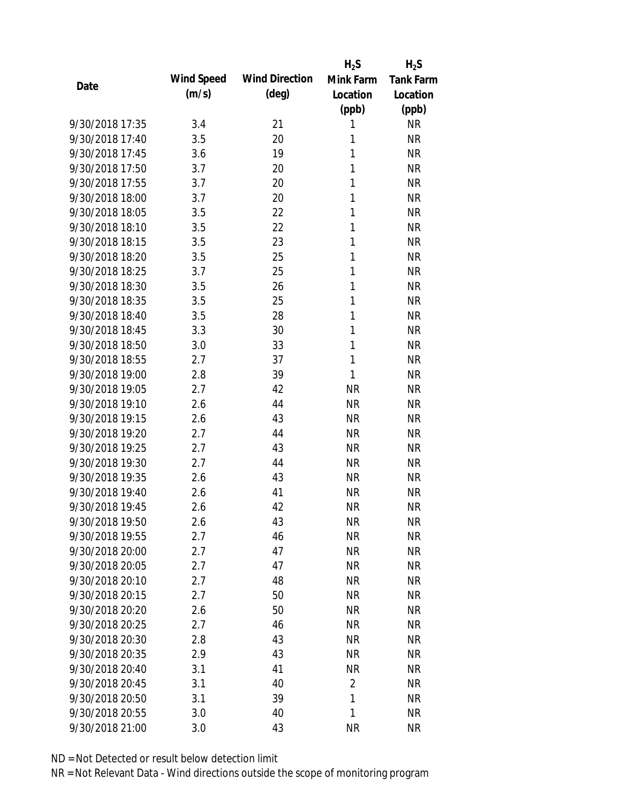|                 |            |                       | $H_2S$         | $H_2S$           |
|-----------------|------------|-----------------------|----------------|------------------|
| Date            | Wind Speed | <b>Wind Direction</b> | Mink Farm      | <b>Tank Farm</b> |
|                 | (m/s)      | $(\text{deg})$        | Location       | Location         |
|                 |            |                       | (ppb)          | (ppb)            |
| 9/30/2018 17:35 | 3.4        | 21                    | 1              | <b>NR</b>        |
| 9/30/2018 17:40 | 3.5        | 20                    | 1              | <b>NR</b>        |
| 9/30/2018 17:45 | 3.6        | 19                    | 1              | <b>NR</b>        |
| 9/30/2018 17:50 | 3.7        | 20                    | 1              | <b>NR</b>        |
| 9/30/2018 17:55 | 3.7        | 20                    | 1              | <b>NR</b>        |
| 9/30/2018 18:00 | 3.7        | 20                    | 1              | <b>NR</b>        |
| 9/30/2018 18:05 | 3.5        | 22                    | 1              | <b>NR</b>        |
| 9/30/2018 18:10 | 3.5        | 22                    | 1              | <b>NR</b>        |
| 9/30/2018 18:15 | 3.5        | 23                    | 1              | <b>NR</b>        |
| 9/30/2018 18:20 | 3.5        | 25                    | 1              | <b>NR</b>        |
| 9/30/2018 18:25 | 3.7        | 25                    | 1              | <b>NR</b>        |
| 9/30/2018 18:30 | 3.5        | 26                    | 1              | <b>NR</b>        |
| 9/30/2018 18:35 | 3.5        | 25                    | 1              | <b>NR</b>        |
| 9/30/2018 18:40 | 3.5        | 28                    | 1              | <b>NR</b>        |
| 9/30/2018 18:45 | 3.3        | 30                    | 1              | <b>NR</b>        |
| 9/30/2018 18:50 | 3.0        | 33                    | 1              | <b>NR</b>        |
| 9/30/2018 18:55 | 2.7        | 37                    | 1              | <b>NR</b>        |
| 9/30/2018 19:00 | 2.8        | 39                    | 1              | <b>NR</b>        |
| 9/30/2018 19:05 | 2.7        | 42                    | <b>NR</b>      | <b>NR</b>        |
| 9/30/2018 19:10 | 2.6        | 44                    | <b>NR</b>      | <b>NR</b>        |
| 9/30/2018 19:15 | 2.6        | 43                    | <b>NR</b>      | <b>NR</b>        |
| 9/30/2018 19:20 | 2.7        | 44                    | <b>NR</b>      | <b>NR</b>        |
| 9/30/2018 19:25 | 2.7        | 43                    | <b>NR</b>      | <b>NR</b>        |
| 9/30/2018 19:30 | 2.7        | 44                    | <b>NR</b>      | <b>NR</b>        |
| 9/30/2018 19:35 | 2.6        | 43                    | <b>NR</b>      | <b>NR</b>        |
| 9/30/2018 19:40 | 2.6        | 41                    | <b>NR</b>      | <b>NR</b>        |
| 9/30/2018 19:45 | 2.6        | 42                    | <b>NR</b>      | <b>NR</b>        |
| 9/30/2018 19:50 | 2.6        | 43                    | <b>NR</b>      | <b>NR</b>        |
| 9/30/2018 19:55 | 2.7        | 46                    | <b>NR</b>      | <b>NR</b>        |
| 9/30/2018 20:00 | 2.7        | 47                    | NR             | <b>NR</b>        |
| 9/30/2018 20:05 | 2.7        | 47                    | NR             | <b>NR</b>        |
| 9/30/2018 20:10 | 2.7        | 48                    | <b>NR</b>      | <b>NR</b>        |
| 9/30/2018 20:15 | 2.7        | 50                    | <b>NR</b>      | <b>NR</b>        |
| 9/30/2018 20:20 | 2.6        | 50                    | <b>NR</b>      | <b>NR</b>        |
| 9/30/2018 20:25 | 2.7        | 46                    | <b>NR</b>      | <b>NR</b>        |
| 9/30/2018 20:30 | 2.8        | 43                    | <b>NR</b>      | <b>NR</b>        |
| 9/30/2018 20:35 | 2.9        | 43                    | NR             | <b>NR</b>        |
| 9/30/2018 20:40 | 3.1        | 41                    | <b>NR</b>      | <b>NR</b>        |
| 9/30/2018 20:45 | 3.1        | 40                    | $\overline{2}$ | <b>NR</b>        |
| 9/30/2018 20:50 | 3.1        | 39                    | 1              | <b>NR</b>        |
| 9/30/2018 20:55 | 3.0        | 40                    | 1              | <b>NR</b>        |
| 9/30/2018 21:00 | 3.0        | 43                    | <b>NR</b>      | <b>NR</b>        |
|                 |            |                       |                |                  |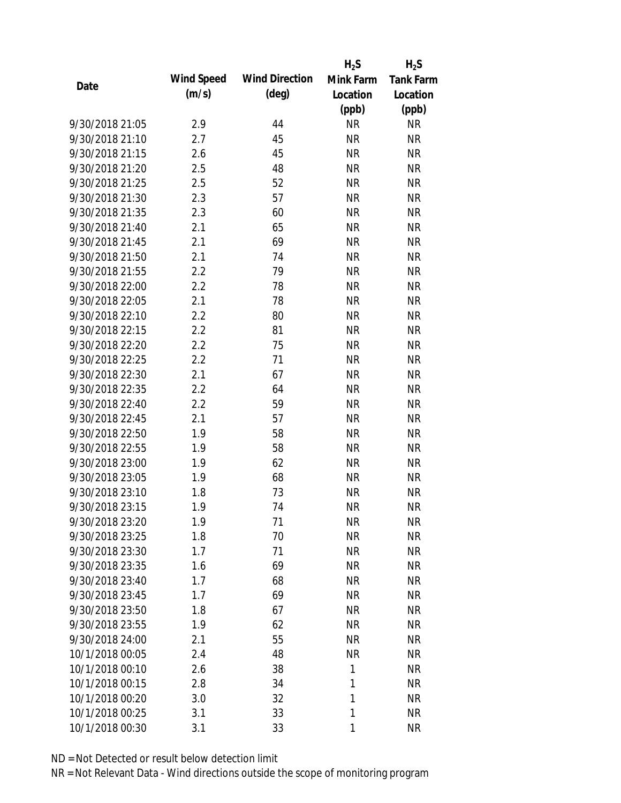|                 |            |                       | $H_2S$    | $H_2S$           |
|-----------------|------------|-----------------------|-----------|------------------|
| Date            | Wind Speed | <b>Wind Direction</b> | Mink Farm | <b>Tank Farm</b> |
|                 | (m/s)      | $(\text{deg})$        | Location  | Location         |
|                 |            |                       | (ppb)     | (ppb)            |
| 9/30/2018 21:05 | 2.9        | 44                    | <b>NR</b> | NR               |
| 9/30/2018 21:10 | 2.7        | 45                    | <b>NR</b> | <b>NR</b>        |
| 9/30/2018 21:15 | 2.6        | 45                    | <b>NR</b> | <b>NR</b>        |
| 9/30/2018 21:20 | 2.5        | 48                    | <b>NR</b> | <b>NR</b>        |
| 9/30/2018 21:25 | 2.5        | 52                    | <b>NR</b> | <b>NR</b>        |
| 9/30/2018 21:30 | 2.3        | 57                    | <b>NR</b> | <b>NR</b>        |
| 9/30/2018 21:35 | 2.3        | 60                    | <b>NR</b> | <b>NR</b>        |
| 9/30/2018 21:40 | 2.1        | 65                    | <b>NR</b> | <b>NR</b>        |
| 9/30/2018 21:45 | 2.1        | 69                    | <b>NR</b> | <b>NR</b>        |
| 9/30/2018 21:50 | 2.1        | 74                    | <b>NR</b> | <b>NR</b>        |
| 9/30/2018 21:55 | 2.2        | 79                    | <b>NR</b> | <b>NR</b>        |
| 9/30/2018 22:00 | 2.2        | 78                    | <b>NR</b> | <b>NR</b>        |
| 9/30/2018 22:05 | 2.1        | 78                    | <b>NR</b> | <b>NR</b>        |
| 9/30/2018 22:10 | 2.2        | 80                    | <b>NR</b> | <b>NR</b>        |
| 9/30/2018 22:15 | 2.2        | 81                    | <b>NR</b> | <b>NR</b>        |
| 9/30/2018 22:20 | 2.2        | 75                    | <b>NR</b> | <b>NR</b>        |
| 9/30/2018 22:25 | 2.2        | 71                    | <b>NR</b> | <b>NR</b>        |
| 9/30/2018 22:30 | 2.1        | 67                    | <b>NR</b> | <b>NR</b>        |
| 9/30/2018 22:35 | 2.2        | 64                    | <b>NR</b> | <b>NR</b>        |
| 9/30/2018 22:40 | 2.2        | 59                    | <b>NR</b> | <b>NR</b>        |
| 9/30/2018 22:45 | 2.1        | 57                    | <b>NR</b> | <b>NR</b>        |
| 9/30/2018 22:50 | 1.9        | 58                    | <b>NR</b> | <b>NR</b>        |
| 9/30/2018 22:55 | 1.9        | 58                    | <b>NR</b> | <b>NR</b>        |
| 9/30/2018 23:00 | 1.9        | 62                    | <b>NR</b> | <b>NR</b>        |
| 9/30/2018 23:05 | 1.9        | 68                    | <b>NR</b> | <b>NR</b>        |
| 9/30/2018 23:10 | 1.8        | 73                    | <b>NR</b> | <b>NR</b>        |
| 9/30/2018 23:15 | 1.9        | 74                    | <b>NR</b> | <b>NR</b>        |
| 9/30/2018 23:20 | 1.9        | 71                    | <b>NR</b> | <b>NR</b>        |
| 9/30/2018 23:25 | 1.8        | 70                    | <b>NR</b> | <b>NR</b>        |
| 9/30/2018 23:30 | 1.7        | 71                    | <b>NR</b> | NR               |
| 9/30/2018 23:35 | 1.6        | 69                    | <b>NR</b> | <b>NR</b>        |
| 9/30/2018 23:40 | 1.7        | 68                    | <b>NR</b> | NR               |
| 9/30/2018 23:45 | 1.7        | 69                    | <b>NR</b> | NR               |
| 9/30/2018 23:50 | 1.8        | 67                    | <b>NR</b> | NR               |
| 9/30/2018 23:55 | 1.9        | 62                    | <b>NR</b> | NR               |
| 9/30/2018 24:00 | 2.1        | 55                    | <b>NR</b> | <b>NR</b>        |
| 10/1/2018 00:05 | 2.4        | 48                    | <b>NR</b> | <b>NR</b>        |
| 10/1/2018 00:10 | 2.6        | 38                    | 1         | <b>NR</b>        |
| 10/1/2018 00:15 | 2.8        | 34                    | 1         | <b>NR</b>        |
| 10/1/2018 00:20 | 3.0        | 32                    | 1         | NR               |
| 10/1/2018 00:25 | 3.1        | 33                    | 1         | <b>NR</b>        |
|                 |            |                       |           |                  |
| 10/1/2018 00:30 | 3.1        | 33                    | 1         | <b>NR</b>        |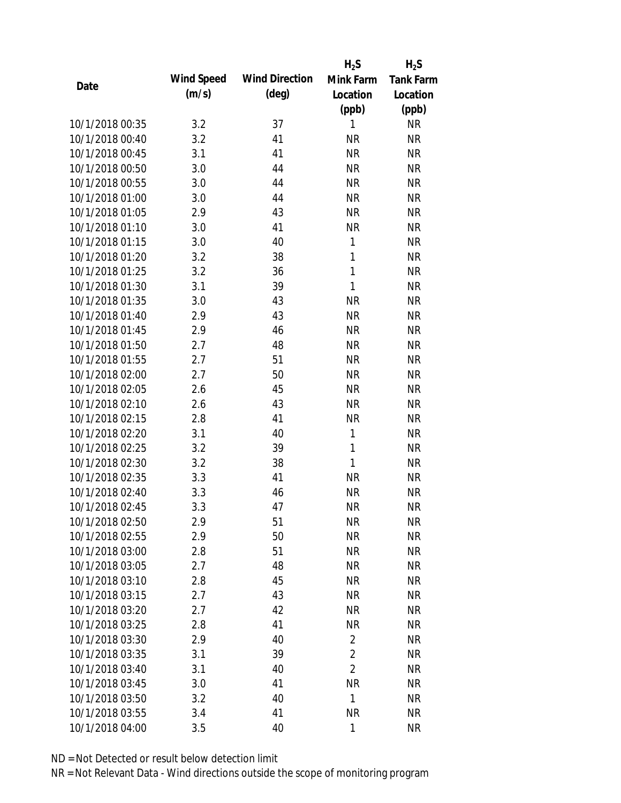|                 |            |                       | $H_2S$         | $H_2S$           |
|-----------------|------------|-----------------------|----------------|------------------|
| Date            | Wind Speed | <b>Wind Direction</b> | Mink Farm      | <b>Tank Farm</b> |
|                 | (m/s)      | $(\text{deg})$        | Location       | Location         |
|                 |            |                       | (ppb)          | (ppb)            |
| 10/1/2018 00:35 | 3.2        | 37                    | 1              | <b>NR</b>        |
| 10/1/2018 00:40 | 3.2        | 41                    | <b>NR</b>      | <b>NR</b>        |
| 10/1/2018 00:45 | 3.1        | 41                    | <b>NR</b>      | <b>NR</b>        |
| 10/1/2018 00:50 | 3.0        | 44                    | <b>NR</b>      | <b>NR</b>        |
| 10/1/2018 00:55 | 3.0        | 44                    | <b>NR</b>      | <b>NR</b>        |
| 10/1/2018 01:00 | 3.0        | 44                    | <b>NR</b>      | <b>NR</b>        |
| 10/1/2018 01:05 | 2.9        | 43                    | <b>NR</b>      | <b>NR</b>        |
| 10/1/2018 01:10 | 3.0        | 41                    | <b>NR</b>      | <b>NR</b>        |
| 10/1/2018 01:15 | 3.0        | 40                    | 1              | <b>NR</b>        |
| 10/1/2018 01:20 | 3.2        | 38                    | $\mathbf{1}$   | <b>NR</b>        |
| 10/1/2018 01:25 | 3.2        | 36                    | $\mathbf{1}$   | <b>NR</b>        |
| 10/1/2018 01:30 | 3.1        | 39                    | 1              | <b>NR</b>        |
| 10/1/2018 01:35 | 3.0        | 43                    | <b>NR</b>      | <b>NR</b>        |
| 10/1/2018 01:40 | 2.9        | 43                    | <b>NR</b>      | <b>NR</b>        |
| 10/1/2018 01:45 | 2.9        | 46                    | <b>NR</b>      | <b>NR</b>        |
| 10/1/2018 01:50 | 2.7        | 48                    | <b>NR</b>      | <b>NR</b>        |
| 10/1/2018 01:55 | 2.7        | 51                    | <b>NR</b>      | <b>NR</b>        |
| 10/1/2018 02:00 | 2.7        | 50                    | <b>NR</b>      | <b>NR</b>        |
| 10/1/2018 02:05 | 2.6        | 45                    | <b>NR</b>      | <b>NR</b>        |
| 10/1/2018 02:10 | 2.6        | 43                    | <b>NR</b>      | <b>NR</b>        |
| 10/1/2018 02:15 | 2.8        | 41                    | <b>NR</b>      | <b>NR</b>        |
| 10/1/2018 02:20 | 3.1        | 40                    | 1              | <b>NR</b>        |
| 10/1/2018 02:25 | 3.2        | 39                    | 1              | <b>NR</b>        |
| 10/1/2018 02:30 | 3.2        | 38                    | 1              | <b>NR</b>        |
| 10/1/2018 02:35 | 3.3        | 41                    | <b>NR</b>      | <b>NR</b>        |
| 10/1/2018 02:40 | 3.3        | 46                    | <b>NR</b>      | <b>NR</b>        |
| 10/1/2018 02:45 | 3.3        | 47                    | <b>NR</b>      | <b>NR</b>        |
| 10/1/2018 02:50 | 2.9        | 51                    | <b>NR</b>      | <b>NR</b>        |
| 10/1/2018 02:55 | 2.9        | 50                    | <b>NR</b>      | <b>NR</b>        |
| 10/1/2018 03:00 | 2.8        | 51                    | <b>NR</b>      | <b>NR</b>        |
| 10/1/2018 03:05 | 2.7        | 48                    | <b>NR</b>      | <b>NR</b>        |
| 10/1/2018 03:10 | 2.8        | 45                    | <b>NR</b>      | <b>NR</b>        |
| 10/1/2018 03:15 | 2.7        | 43                    | <b>NR</b>      | <b>NR</b>        |
| 10/1/2018 03:20 | 2.7        | 42                    | <b>NR</b>      | <b>NR</b>        |
| 10/1/2018 03:25 | 2.8        | 41                    | <b>NR</b>      | <b>NR</b>        |
| 10/1/2018 03:30 | 2.9        | 40                    | $\overline{2}$ | <b>NR</b>        |
| 10/1/2018 03:35 | 3.1        | 39                    | $\overline{2}$ | <b>NR</b>        |
| 10/1/2018 03:40 |            | 40                    | $\overline{2}$ | <b>NR</b>        |
| 10/1/2018 03:45 | 3.1        | 41                    | <b>NR</b>      | <b>NR</b>        |
| 10/1/2018 03:50 | 3.0        | 40                    | 1              | <b>NR</b>        |
|                 | 3.2        |                       | <b>NR</b>      |                  |
| 10/1/2018 03:55 | 3.4        | 41                    |                | <b>NR</b>        |
| 10/1/2018 04:00 | 3.5        | 40                    | $\mathbf{1}$   | <b>NR</b>        |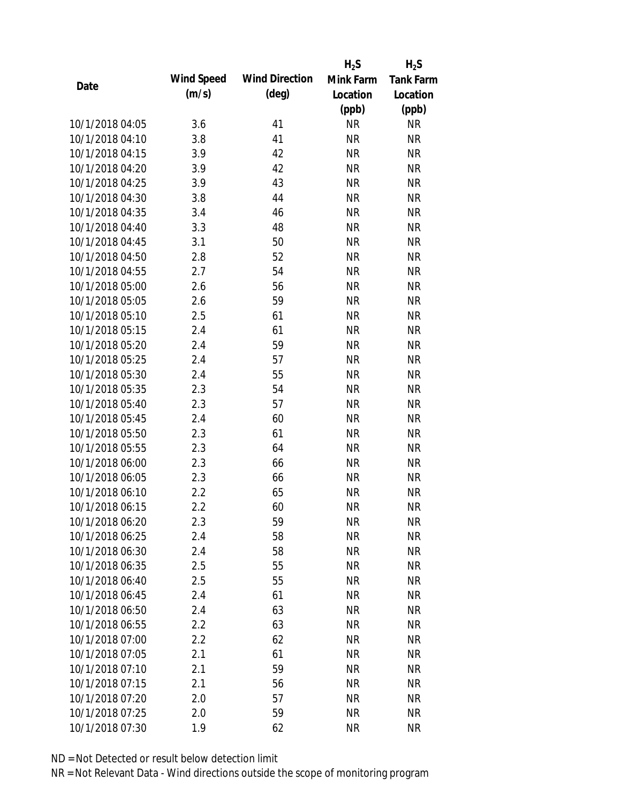|                 |            |                       | $H_2S$    | $H_2S$           |
|-----------------|------------|-----------------------|-----------|------------------|
| Date            | Wind Speed | <b>Wind Direction</b> | Mink Farm | <b>Tank Farm</b> |
|                 | (m/s)      | $(\text{deg})$        | Location  | Location         |
|                 |            |                       | (ppb)     | (ppb)            |
| 10/1/2018 04:05 | 3.6        | 41                    | <b>NR</b> | <b>NR</b>        |
| 10/1/2018 04:10 | 3.8        | 41                    | <b>NR</b> | <b>NR</b>        |
| 10/1/2018 04:15 | 3.9        | 42                    | <b>NR</b> | <b>NR</b>        |
| 10/1/2018 04:20 | 3.9        | 42                    | <b>NR</b> | <b>NR</b>        |
| 10/1/2018 04:25 | 3.9        | 43                    | <b>NR</b> | <b>NR</b>        |
| 10/1/2018 04:30 | 3.8        | 44                    | <b>NR</b> | <b>NR</b>        |
| 10/1/2018 04:35 | 3.4        | 46                    | <b>NR</b> | <b>NR</b>        |
| 10/1/2018 04:40 | 3.3        | 48                    | <b>NR</b> | <b>NR</b>        |
| 10/1/2018 04:45 | 3.1        | 50                    | <b>NR</b> | <b>NR</b>        |
| 10/1/2018 04:50 | 2.8        | 52                    | <b>NR</b> | <b>NR</b>        |
| 10/1/2018 04:55 | 2.7        | 54                    | <b>NR</b> | <b>NR</b>        |
| 10/1/2018 05:00 | 2.6        | 56                    | <b>NR</b> | <b>NR</b>        |
| 10/1/2018 05:05 | 2.6        | 59                    | <b>NR</b> | <b>NR</b>        |
| 10/1/2018 05:10 | 2.5        | 61                    | <b>NR</b> | <b>NR</b>        |
| 10/1/2018 05:15 | 2.4        | 61                    | <b>NR</b> | <b>NR</b>        |
| 10/1/2018 05:20 | 2.4        | 59                    | <b>NR</b> | <b>NR</b>        |
| 10/1/2018 05:25 | 2.4        | 57                    | <b>NR</b> | <b>NR</b>        |
| 10/1/2018 05:30 | 2.4        | 55                    | <b>NR</b> | <b>NR</b>        |
| 10/1/2018 05:35 | 2.3        | 54                    | <b>NR</b> | <b>NR</b>        |
| 10/1/2018 05:40 | 2.3        | 57                    | <b>NR</b> | <b>NR</b>        |
| 10/1/2018 05:45 | 2.4        | 60                    | <b>NR</b> | <b>NR</b>        |
| 10/1/2018 05:50 | 2.3        | 61                    | <b>NR</b> | <b>NR</b>        |
| 10/1/2018 05:55 | 2.3        | 64                    | <b>NR</b> | <b>NR</b>        |
| 10/1/2018 06:00 | 2.3        | 66                    | <b>NR</b> | <b>NR</b>        |
| 10/1/2018 06:05 | 2.3        | 66                    | <b>NR</b> | <b>NR</b>        |
| 10/1/2018 06:10 | 2.2        | 65                    | <b>NR</b> | <b>NR</b>        |
| 10/1/2018 06:15 | 2.2        | 60                    | <b>NR</b> | <b>NR</b>        |
| 10/1/2018 06:20 | 2.3        | 59                    | <b>NR</b> | <b>NR</b>        |
| 10/1/2018 06:25 | 2.4        | 58                    | <b>NR</b> | <b>NR</b>        |
| 10/1/2018 06:30 | 2.4        | 58                    | <b>NR</b> | <b>NR</b>        |
| 10/1/2018 06:35 | 2.5        | 55                    | <b>NR</b> | <b>NR</b>        |
| 10/1/2018 06:40 | 2.5        | 55                    | <b>NR</b> | <b>NR</b>        |
| 10/1/2018 06:45 | 2.4        | 61                    | <b>NR</b> | <b>NR</b>        |
| 10/1/2018 06:50 | 2.4        | 63                    | <b>NR</b> | <b>NR</b>        |
| 10/1/2018 06:55 | 2.2        | 63                    | <b>NR</b> | <b>NR</b>        |
| 10/1/2018 07:00 | 2.2        | 62                    | <b>NR</b> | <b>NR</b>        |
| 10/1/2018 07:05 | 2.1        | 61                    | <b>NR</b> | <b>NR</b>        |
| 10/1/2018 07:10 | 2.1        | 59                    | <b>NR</b> | <b>NR</b>        |
| 10/1/2018 07:15 | 2.1        | 56                    | <b>NR</b> | <b>NR</b>        |
| 10/1/2018 07:20 | 2.0        | 57                    | <b>NR</b> | <b>NR</b>        |
| 10/1/2018 07:25 | 2.0        | 59                    | <b>NR</b> | <b>NR</b>        |
| 10/1/2018 07:30 | 1.9        | 62                    | <b>NR</b> | <b>NR</b>        |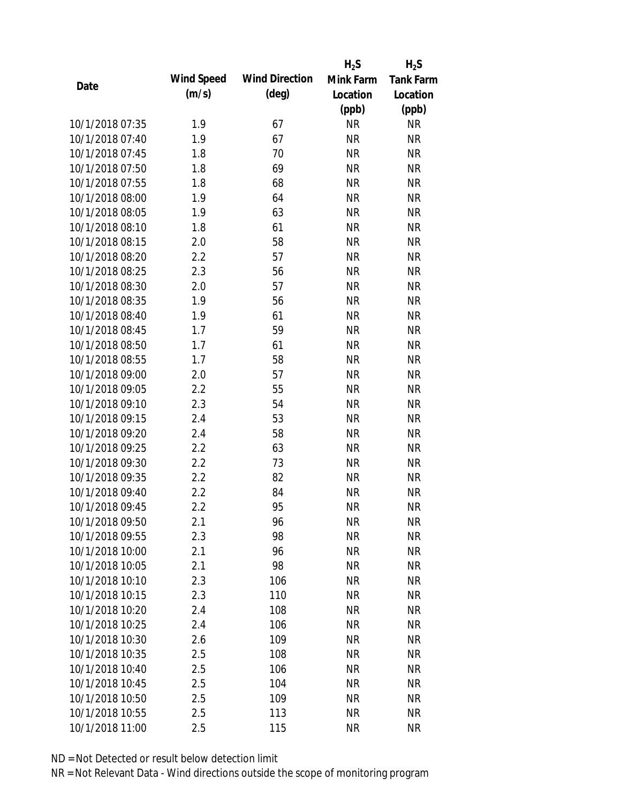|                 |            |                       | $H_2S$    | $H_2S$           |
|-----------------|------------|-----------------------|-----------|------------------|
| Date            | Wind Speed | <b>Wind Direction</b> | Mink Farm | <b>Tank Farm</b> |
|                 | (m/s)      | $(\text{deg})$        | Location  | Location         |
|                 |            |                       | (ppb)     | (ppb)            |
| 10/1/2018 07:35 | 1.9        | 67                    | <b>NR</b> | <b>NR</b>        |
| 10/1/2018 07:40 | 1.9        | 67                    | <b>NR</b> | <b>NR</b>        |
| 10/1/2018 07:45 | 1.8        | 70                    | <b>NR</b> | <b>NR</b>        |
| 10/1/2018 07:50 | 1.8        | 69                    | <b>NR</b> | <b>NR</b>        |
| 10/1/2018 07:55 | 1.8        | 68                    | <b>NR</b> | <b>NR</b>        |
| 10/1/2018 08:00 | 1.9        | 64                    | <b>NR</b> | <b>NR</b>        |
| 10/1/2018 08:05 | 1.9        | 63                    | <b>NR</b> | <b>NR</b>        |
| 10/1/2018 08:10 | 1.8        | 61                    | <b>NR</b> | <b>NR</b>        |
| 10/1/2018 08:15 | 2.0        | 58                    | <b>NR</b> | <b>NR</b>        |
| 10/1/2018 08:20 | 2.2        | 57                    | <b>NR</b> | <b>NR</b>        |
| 10/1/2018 08:25 | 2.3        | 56                    | <b>NR</b> | <b>NR</b>        |
| 10/1/2018 08:30 | 2.0        | 57                    | <b>NR</b> | <b>NR</b>        |
| 10/1/2018 08:35 | 1.9        | 56                    | <b>NR</b> | <b>NR</b>        |
| 10/1/2018 08:40 | 1.9        | 61                    | <b>NR</b> | <b>NR</b>        |
| 10/1/2018 08:45 | 1.7        | 59                    | <b>NR</b> | <b>NR</b>        |
| 10/1/2018 08:50 | 1.7        | 61                    | <b>NR</b> | <b>NR</b>        |
| 10/1/2018 08:55 | 1.7        | 58                    | <b>NR</b> | <b>NR</b>        |
| 10/1/2018 09:00 | 2.0        | 57                    | <b>NR</b> | <b>NR</b>        |
| 10/1/2018 09:05 | 2.2        | 55                    | <b>NR</b> | <b>NR</b>        |
| 10/1/2018 09:10 | 2.3        | 54                    | <b>NR</b> | <b>NR</b>        |
| 10/1/2018 09:15 | 2.4        | 53                    | <b>NR</b> | <b>NR</b>        |
| 10/1/2018 09:20 | 2.4        | 58                    | <b>NR</b> | <b>NR</b>        |
| 10/1/2018 09:25 | 2.2        | 63                    | <b>NR</b> | <b>NR</b>        |
| 10/1/2018 09:30 | 2.2        | 73                    | <b>NR</b> | <b>NR</b>        |
| 10/1/2018 09:35 | 2.2        | 82                    | <b>NR</b> | <b>NR</b>        |
| 10/1/2018 09:40 | 2.2        | 84                    | <b>NR</b> | <b>NR</b>        |
| 10/1/2018 09:45 | 2.2        | 95                    | <b>NR</b> | <b>NR</b>        |
| 10/1/2018 09:50 | 2.1        | 96                    | <b>NR</b> | <b>NR</b>        |
| 10/1/2018 09:55 | 2.3        | 98                    | <b>NR</b> | <b>NR</b>        |
| 10/1/2018 10:00 | 2.1        | 96                    | <b>NR</b> | <b>NR</b>        |
| 10/1/2018 10:05 | 2.1        | 98                    | <b>NR</b> | <b>NR</b>        |
| 10/1/2018 10:10 | 2.3        | 106                   | <b>NR</b> | <b>NR</b>        |
| 10/1/2018 10:15 | 2.3        | 110                   | <b>NR</b> | <b>NR</b>        |
| 10/1/2018 10:20 | 2.4        | 108                   | <b>NR</b> | <b>NR</b>        |
| 10/1/2018 10:25 | 2.4        | 106                   | <b>NR</b> | NR               |
| 10/1/2018 10:30 | 2.6        | 109                   | <b>NR</b> | <b>NR</b>        |
| 10/1/2018 10:35 | 2.5        | 108                   | <b>NR</b> | <b>NR</b>        |
| 10/1/2018 10:40 | 2.5        | 106                   | <b>NR</b> | <b>NR</b>        |
| 10/1/2018 10:45 | 2.5        | 104                   | <b>NR</b> | NR               |
| 10/1/2018 10:50 |            |                       |           |                  |
|                 | 2.5        | 109                   | <b>NR</b> | NR               |
| 10/1/2018 10:55 | 2.5        | 113                   | <b>NR</b> | <b>NR</b>        |
| 10/1/2018 11:00 | 2.5        | 115                   | <b>NR</b> | <b>NR</b>        |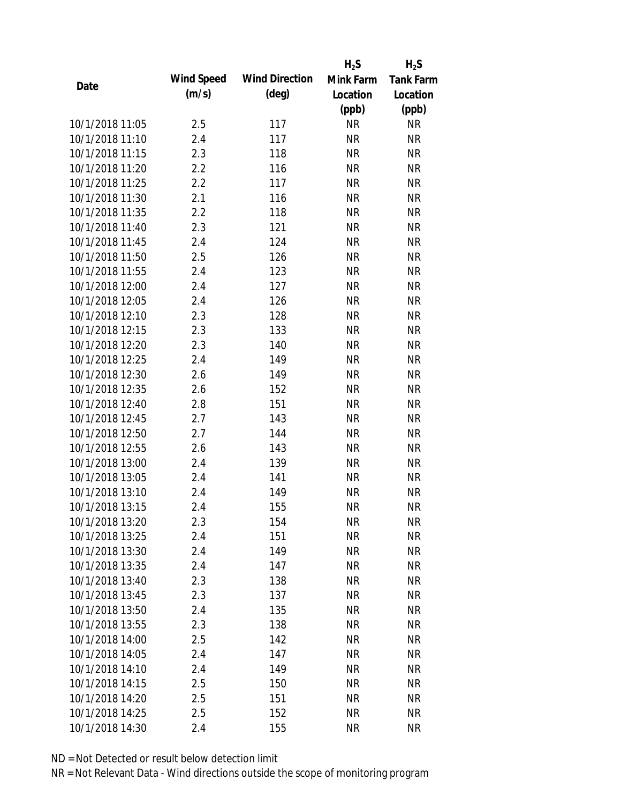|                 |            |                       | $H_2S$    | $H_2S$           |
|-----------------|------------|-----------------------|-----------|------------------|
|                 | Wind Speed | <b>Wind Direction</b> | Mink Farm | <b>Tank Farm</b> |
| Date            | (m/s)      | $(\text{deg})$        | Location  | Location         |
|                 |            |                       | (ppb)     | (ppb)            |
| 10/1/2018 11:05 | 2.5        | 117                   | <b>NR</b> | <b>NR</b>        |
| 10/1/2018 11:10 | 2.4        | 117                   | <b>NR</b> | <b>NR</b>        |
| 10/1/2018 11:15 | 2.3        | 118                   | <b>NR</b> | <b>NR</b>        |
| 10/1/2018 11:20 | 2.2        | 116                   | <b>NR</b> | <b>NR</b>        |
| 10/1/2018 11:25 | 2.2        | 117                   | <b>NR</b> | <b>NR</b>        |
| 10/1/2018 11:30 | 2.1        | 116                   | <b>NR</b> | <b>NR</b>        |
| 10/1/2018 11:35 | 2.2        | 118                   | <b>NR</b> | <b>NR</b>        |
| 10/1/2018 11:40 | 2.3        | 121                   | <b>NR</b> | <b>NR</b>        |
| 10/1/2018 11:45 | 2.4        | 124                   | <b>NR</b> | <b>NR</b>        |
| 10/1/2018 11:50 | 2.5        | 126                   | <b>NR</b> | <b>NR</b>        |
| 10/1/2018 11:55 | 2.4        | 123                   | <b>NR</b> | <b>NR</b>        |
| 10/1/2018 12:00 | 2.4        | 127                   | <b>NR</b> | <b>NR</b>        |
| 10/1/2018 12:05 | 2.4        | 126                   | <b>NR</b> | <b>NR</b>        |
| 10/1/2018 12:10 | 2.3        | 128                   | <b>NR</b> | <b>NR</b>        |
| 10/1/2018 12:15 | 2.3        | 133                   | <b>NR</b> | <b>NR</b>        |
| 10/1/2018 12:20 | 2.3        | 140                   | <b>NR</b> | <b>NR</b>        |
| 10/1/2018 12:25 | 2.4        | 149                   | <b>NR</b> | <b>NR</b>        |
| 10/1/2018 12:30 | 2.6        | 149                   | <b>NR</b> | <b>NR</b>        |
| 10/1/2018 12:35 | 2.6        | 152                   | <b>NR</b> | <b>NR</b>        |
| 10/1/2018 12:40 | 2.8        | 151                   | <b>NR</b> | <b>NR</b>        |
| 10/1/2018 12:45 | 2.7        | 143                   | <b>NR</b> | <b>NR</b>        |
| 10/1/2018 12:50 | 2.7        | 144                   | <b>NR</b> | <b>NR</b>        |
| 10/1/2018 12:55 | 2.6        | 143                   | <b>NR</b> | <b>NR</b>        |
| 10/1/2018 13:00 | 2.4        | 139                   | <b>NR</b> | <b>NR</b>        |
| 10/1/2018 13:05 | 2.4        | 141                   | <b>NR</b> | <b>NR</b>        |
| 10/1/2018 13:10 | 2.4        | 149                   | <b>NR</b> | <b>NR</b>        |
| 10/1/2018 13:15 | 2.4        | 155                   | <b>NR</b> | <b>NR</b>        |
| 10/1/2018 13:20 | 2.3        | 154                   | <b>NR</b> | <b>NR</b>        |
| 10/1/2018 13:25 | 2.4        | 151                   | <b>NR</b> | <b>NR</b>        |
| 10/1/2018 13:30 | 2.4        | 149                   | <b>NR</b> | <b>NR</b>        |
| 10/1/2018 13:35 | 2.4        | 147                   | <b>NR</b> | <b>NR</b>        |
| 10/1/2018 13:40 | 2.3        | 138                   | <b>NR</b> | NR               |
| 10/1/2018 13:45 | 2.3        | 137                   | <b>NR</b> | <b>NR</b>        |
| 10/1/2018 13:50 | 2.4        | 135                   | <b>NR</b> | <b>NR</b>        |
| 10/1/2018 13:55 | 2.3        | 138                   | <b>NR</b> | <b>NR</b>        |
| 10/1/2018 14:00 | 2.5        | 142                   | <b>NR</b> | <b>NR</b>        |
| 10/1/2018 14:05 | 2.4        | 147                   | <b>NR</b> | NR               |
| 10/1/2018 14:10 | 2.4        | 149                   | <b>NR</b> | NR               |
| 10/1/2018 14:15 | 2.5        | 150                   | <b>NR</b> | NR               |
| 10/1/2018 14:20 | 2.5        | 151                   | <b>NR</b> | NR               |
| 10/1/2018 14:25 | 2.5        | 152                   | <b>NR</b> | <b>NR</b>        |
| 10/1/2018 14:30 | 2.4        | 155                   | <b>NR</b> | <b>NR</b>        |
|                 |            |                       |           |                  |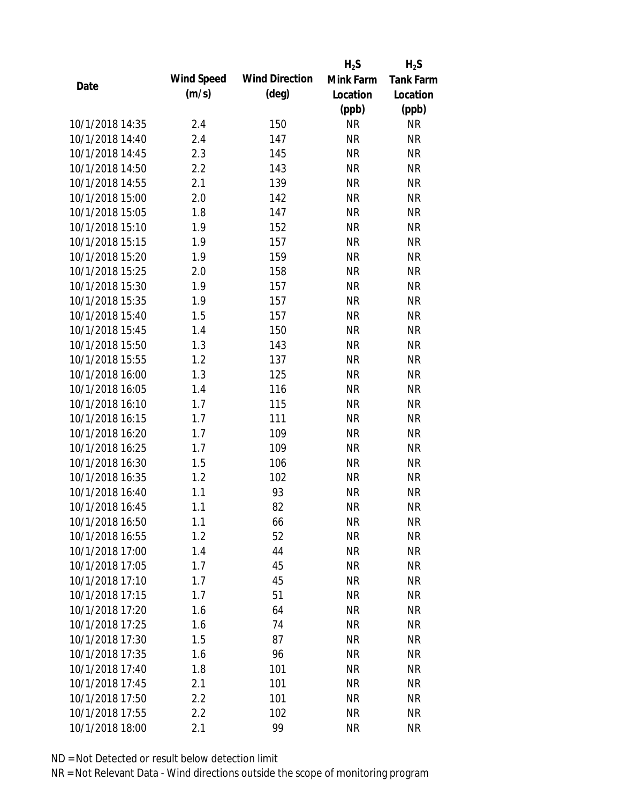|                 |            |                       | $H_2S$    | $H_2S$           |
|-----------------|------------|-----------------------|-----------|------------------|
| Date            | Wind Speed | <b>Wind Direction</b> | Mink Farm | <b>Tank Farm</b> |
|                 | (m/s)      | $(\text{deg})$        | Location  | Location         |
|                 |            |                       | (ppb)     | (ppb)            |
| 10/1/2018 14:35 | 2.4        | 150                   | <b>NR</b> | <b>NR</b>        |
| 10/1/2018 14:40 | 2.4        | 147                   | <b>NR</b> | <b>NR</b>        |
| 10/1/2018 14:45 | 2.3        | 145                   | <b>NR</b> | <b>NR</b>        |
| 10/1/2018 14:50 | 2.2        | 143                   | <b>NR</b> | <b>NR</b>        |
| 10/1/2018 14:55 | 2.1        | 139                   | <b>NR</b> | <b>NR</b>        |
| 10/1/2018 15:00 | 2.0        | 142                   | <b>NR</b> | <b>NR</b>        |
| 10/1/2018 15:05 | 1.8        | 147                   | <b>NR</b> | <b>NR</b>        |
| 10/1/2018 15:10 | 1.9        | 152                   | <b>NR</b> | <b>NR</b>        |
| 10/1/2018 15:15 | 1.9        | 157                   | <b>NR</b> | <b>NR</b>        |
| 10/1/2018 15:20 | 1.9        | 159                   | <b>NR</b> | <b>NR</b>        |
| 10/1/2018 15:25 | 2.0        | 158                   | <b>NR</b> | <b>NR</b>        |
| 10/1/2018 15:30 | 1.9        | 157                   | <b>NR</b> | <b>NR</b>        |
| 10/1/2018 15:35 | 1.9        | 157                   | <b>NR</b> | <b>NR</b>        |
| 10/1/2018 15:40 | 1.5        | 157                   | <b>NR</b> | <b>NR</b>        |
| 10/1/2018 15:45 | 1.4        | 150                   | <b>NR</b> | <b>NR</b>        |
| 10/1/2018 15:50 | 1.3        | 143                   | <b>NR</b> | <b>NR</b>        |
| 10/1/2018 15:55 | 1.2        | 137                   | <b>NR</b> | <b>NR</b>        |
| 10/1/2018 16:00 | 1.3        | 125                   | <b>NR</b> | <b>NR</b>        |
| 10/1/2018 16:05 | 1.4        | 116                   | <b>NR</b> | <b>NR</b>        |
| 10/1/2018 16:10 | 1.7        | 115                   | <b>NR</b> | <b>NR</b>        |
| 10/1/2018 16:15 | 1.7        | 111                   | <b>NR</b> | <b>NR</b>        |
| 10/1/2018 16:20 | 1.7        | 109                   | <b>NR</b> | <b>NR</b>        |
| 10/1/2018 16:25 | 1.7        | 109                   | <b>NR</b> | <b>NR</b>        |
| 10/1/2018 16:30 | 1.5        | 106                   | <b>NR</b> | <b>NR</b>        |
| 10/1/2018 16:35 | 1.2        | 102                   | <b>NR</b> | <b>NR</b>        |
| 10/1/2018 16:40 | 1.1        | 93                    | <b>NR</b> | <b>NR</b>        |
| 10/1/2018 16:45 | 1.1        | 82                    | <b>NR</b> | <b>NR</b>        |
| 10/1/2018 16:50 | 1.1        | 66                    | <b>NR</b> | <b>NR</b>        |
| 10/1/2018 16:55 | 1.2        | 52                    | <b>NR</b> | <b>NR</b>        |
| 10/1/2018 17:00 | 1.4        | 44                    | <b>NR</b> | <b>NR</b>        |
| 10/1/2018 17:05 | 1.7        | 45                    | <b>NR</b> | <b>NR</b>        |
| 10/1/2018 17:10 | 1.7        | 45                    | <b>NR</b> | <b>NR</b>        |
| 10/1/2018 17:15 | 1.7        | 51                    | <b>NR</b> | <b>NR</b>        |
| 10/1/2018 17:20 | 1.6        | 64                    | <b>NR</b> | <b>NR</b>        |
| 10/1/2018 17:25 | 1.6        | 74                    | <b>NR</b> | <b>NR</b>        |
| 10/1/2018 17:30 | 1.5        | 87                    | <b>NR</b> | <b>NR</b>        |
| 10/1/2018 17:35 | 1.6        | 96                    | <b>NR</b> | <b>NR</b>        |
| 10/1/2018 17:40 | 1.8        | 101                   | <b>NR</b> | <b>NR</b>        |
| 10/1/2018 17:45 | 2.1        | 101                   | <b>NR</b> | <b>NR</b>        |
| 10/1/2018 17:50 | 2.2        | 101                   | <b>NR</b> | <b>NR</b>        |
|                 |            |                       |           |                  |
| 10/1/2018 17:55 | 2.2        | 102                   | <b>NR</b> | <b>NR</b>        |
| 10/1/2018 18:00 | 2.1        | 99                    | <b>NR</b> | <b>NR</b>        |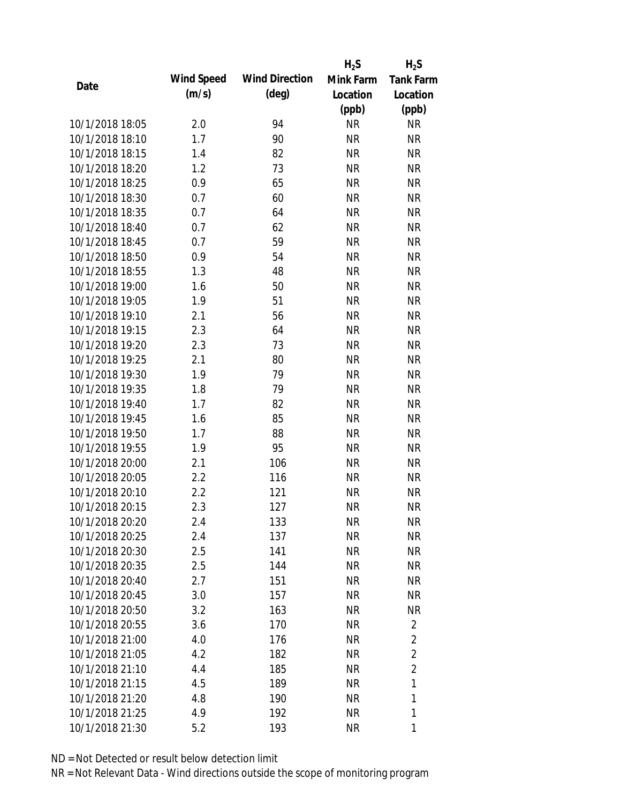|                 |            |                       | $H_2S$    | $H_2S$           |
|-----------------|------------|-----------------------|-----------|------------------|
|                 | Wind Speed | <b>Wind Direction</b> | Mink Farm | <b>Tank Farm</b> |
| Date            | (m/s)      | $(\text{deg})$        | Location  | Location         |
|                 |            |                       | (ppb)     | (ppb)            |
| 10/1/2018 18:05 | 2.0        | 94                    | <b>NR</b> | <b>NR</b>        |
| 10/1/2018 18:10 | 1.7        | 90                    | <b>NR</b> | <b>NR</b>        |
| 10/1/2018 18:15 | 1.4        | 82                    | <b>NR</b> | <b>NR</b>        |
| 10/1/2018 18:20 | 1.2        | 73                    | <b>NR</b> | <b>NR</b>        |
| 10/1/2018 18:25 | 0.9        | 65                    | <b>NR</b> | <b>NR</b>        |
| 10/1/2018 18:30 | 0.7        | 60                    | <b>NR</b> | <b>NR</b>        |
| 10/1/2018 18:35 | 0.7        | 64                    | <b>NR</b> | <b>NR</b>        |
| 10/1/2018 18:40 | 0.7        | 62                    | <b>NR</b> | <b>NR</b>        |
| 10/1/2018 18:45 | 0.7        | 59                    | <b>NR</b> | <b>NR</b>        |
| 10/1/2018 18:50 | 0.9        | 54                    | <b>NR</b> | <b>NR</b>        |
| 10/1/2018 18:55 | 1.3        | 48                    | <b>NR</b> | <b>NR</b>        |
| 10/1/2018 19:00 | 1.6        | 50                    | <b>NR</b> | <b>NR</b>        |
| 10/1/2018 19:05 | 1.9        | 51                    | <b>NR</b> | <b>NR</b>        |
| 10/1/2018 19:10 | 2.1        | 56                    | <b>NR</b> | <b>NR</b>        |
| 10/1/2018 19:15 | 2.3        | 64                    | <b>NR</b> | <b>NR</b>        |
| 10/1/2018 19:20 | 2.3        | 73                    | <b>NR</b> | <b>NR</b>        |
| 10/1/2018 19:25 | 2.1        | 80                    | <b>NR</b> | <b>NR</b>        |
| 10/1/2018 19:30 | 1.9        | 79                    | <b>NR</b> | <b>NR</b>        |
| 10/1/2018 19:35 | 1.8        | 79                    | <b>NR</b> | <b>NR</b>        |
| 10/1/2018 19:40 | 1.7        | 82                    | <b>NR</b> | <b>NR</b>        |
| 10/1/2018 19:45 | 1.6        | 85                    | <b>NR</b> | <b>NR</b>        |
| 10/1/2018 19:50 | 1.7        | 88                    | <b>NR</b> | <b>NR</b>        |
| 10/1/2018 19:55 | 1.9        | 95                    | <b>NR</b> | <b>NR</b>        |
| 10/1/2018 20:00 | 2.1        | 106                   | <b>NR</b> | <b>NR</b>        |
| 10/1/2018 20:05 | 2.2        | 116                   | <b>NR</b> | <b>NR</b>        |
| 10/1/2018 20:10 | 2.2        | 121                   | <b>NR</b> | <b>NR</b>        |
| 10/1/2018 20:15 | 2.3        | 127                   | <b>NR</b> | <b>NR</b>        |
| 10/1/2018 20:20 | 2.4        | 133                   | <b>NR</b> | <b>NR</b>        |
| 10/1/2018 20:25 | 2.4        | 137                   | <b>NR</b> | <b>NR</b>        |
| 10/1/2018 20:30 | 2.5        | 141                   | <b>NR</b> | <b>NR</b>        |
| 10/1/2018 20:35 | 2.5        | 144                   | <b>NR</b> | NR               |
| 10/1/2018 20:40 | 2.7        | 151                   | <b>NR</b> | NR               |
| 10/1/2018 20:45 | 3.0        | 157                   | <b>NR</b> | <b>NR</b>        |
| 10/1/2018 20:50 | 3.2        | 163                   | <b>NR</b> | NR               |
| 10/1/2018 20:55 | 3.6        | 170                   | <b>NR</b> | $\overline{2}$   |
| 10/1/2018 21:00 | 4.0        | 176                   | NR        | $\overline{2}$   |
| 10/1/2018 21:05 | 4.2        | 182                   | <b>NR</b> | $\overline{2}$   |
| 10/1/2018 21:10 | 4.4        | 185                   | <b>NR</b> | $\overline{2}$   |
| 10/1/2018 21:15 | 4.5        | 189                   | <b>NR</b> | $\mathbf{1}$     |
| 10/1/2018 21:20 | 4.8        | 190                   | <b>NR</b> | 1                |
| 10/1/2018 21:25 | 4.9        | 192                   | <b>NR</b> | 1                |
| 10/1/2018 21:30 | 5.2        | 193                   | <b>NR</b> | 1                |
|                 |            |                       |           |                  |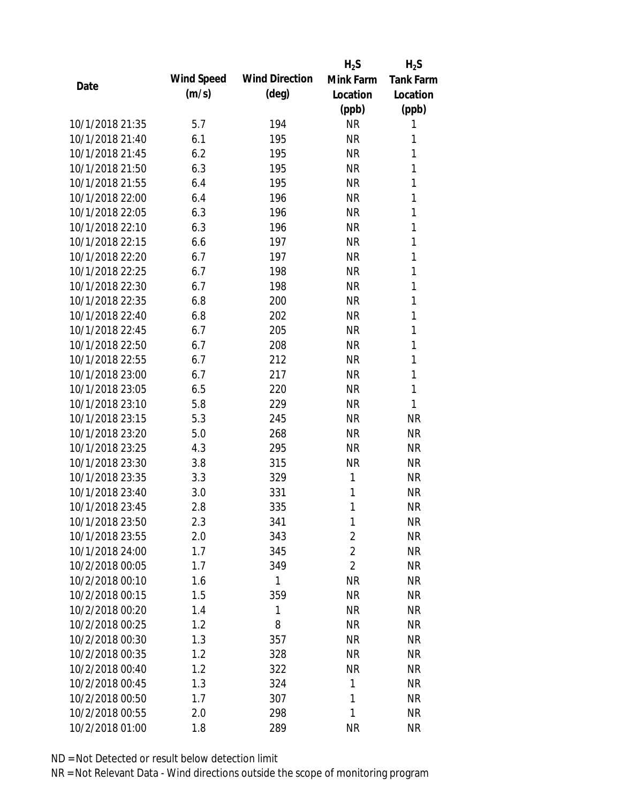|                 |            |                       | $H_2S$         | $H_2S$           |
|-----------------|------------|-----------------------|----------------|------------------|
|                 | Wind Speed | <b>Wind Direction</b> | Mink Farm      | <b>Tank Farm</b> |
| Date            | (m/s)      | $(\text{deg})$        | Location       | Location         |
|                 |            |                       | (ppb)          | (ppb)            |
| 10/1/2018 21:35 | 5.7        | 194                   | <b>NR</b>      | 1                |
| 10/1/2018 21:40 | 6.1        | 195                   | <b>NR</b>      | 1                |
| 10/1/2018 21:45 | 6.2        | 195                   | <b>NR</b>      | 1                |
| 10/1/2018 21:50 | 6.3        | 195                   | <b>NR</b>      | 1                |
| 10/1/2018 21:55 | 6.4        | 195                   | <b>NR</b>      | 1                |
| 10/1/2018 22:00 | 6.4        | 196                   | <b>NR</b>      | 1                |
| 10/1/2018 22:05 | 6.3        | 196                   | <b>NR</b>      | 1                |
| 10/1/2018 22:10 | 6.3        | 196                   | NR             | 1                |
| 10/1/2018 22:15 | 6.6        | 197                   | <b>NR</b>      | 1                |
| 10/1/2018 22:20 | 6.7        | 197                   | <b>NR</b>      | 1                |
| 10/1/2018 22:25 | 6.7        | 198                   | <b>NR</b>      | 1                |
| 10/1/2018 22:30 | 6.7        | 198                   | <b>NR</b>      | 1                |
| 10/1/2018 22:35 | 6.8        | 200                   | <b>NR</b>      | 1                |
| 10/1/2018 22:40 | 6.8        | 202                   | <b>NR</b>      | 1                |
| 10/1/2018 22:45 | 6.7        | 205                   | <b>NR</b>      | 1                |
| 10/1/2018 22:50 | 6.7        | 208                   | <b>NR</b>      | 1                |
| 10/1/2018 22:55 | 6.7        | 212                   | <b>NR</b>      | 1                |
| 10/1/2018 23:00 | 6.7        | 217                   | <b>NR</b>      | 1                |
| 10/1/2018 23:05 | 6.5        | 220                   | <b>NR</b>      | 1                |
| 10/1/2018 23:10 | 5.8        | 229                   | <b>NR</b>      | 1                |
| 10/1/2018 23:15 | 5.3        | 245                   | <b>NR</b>      | <b>NR</b>        |
| 10/1/2018 23:20 | 5.0        | 268                   | <b>NR</b>      | <b>NR</b>        |
| 10/1/2018 23:25 | 4.3        | 295                   | <b>NR</b>      | <b>NR</b>        |
| 10/1/2018 23:30 | 3.8        | 315                   | <b>NR</b>      | <b>NR</b>        |
| 10/1/2018 23:35 | 3.3        | 329                   | 1              | <b>NR</b>        |
| 10/1/2018 23:40 | 3.0        | 331                   | 1              | <b>NR</b>        |
| 10/1/2018 23:45 | 2.8        | 335                   | 1              | <b>NR</b>        |
| 10/1/2018 23:50 | 2.3        | 341                   | 1              | <b>NR</b>        |
| 10/1/2018 23:55 | 2.0        | 343                   | $\overline{2}$ | <b>NR</b>        |
| 10/1/2018 24:00 | 1.7        | 345                   | $\overline{2}$ | <b>NR</b>        |
| 10/2/2018 00:05 | 1.7        | 349                   | $\overline{2}$ | <b>NR</b>        |
| 10/2/2018 00:10 | 1.6        | 1                     | <b>NR</b>      | <b>NR</b>        |
| 10/2/2018 00:15 | 1.5        | 359                   | <b>NR</b>      | <b>NR</b>        |
| 10/2/2018 00:20 | 1.4        | 1                     | <b>NR</b>      | <b>NR</b>        |
| 10/2/2018 00:25 | 1.2        | 8                     | <b>NR</b>      | <b>NR</b>        |
| 10/2/2018 00:30 | 1.3        | 357                   | <b>NR</b>      | <b>NR</b>        |
| 10/2/2018 00:35 | 1.2        | 328                   | <b>NR</b>      | NR               |
| 10/2/2018 00:40 | 1.2        | 322                   | <b>NR</b>      | NR               |
| 10/2/2018 00:45 | 1.3        | 324                   | 1              | NR               |
| 10/2/2018 00:50 | 1.7        | 307                   | 1              | <b>NR</b>        |
| 10/2/2018 00:55 | 2.0        | 298                   | 1              | <b>NR</b>        |
| 10/2/2018 01:00 | 1.8        | 289                   | <b>NR</b>      | <b>NR</b>        |
|                 |            |                       |                |                  |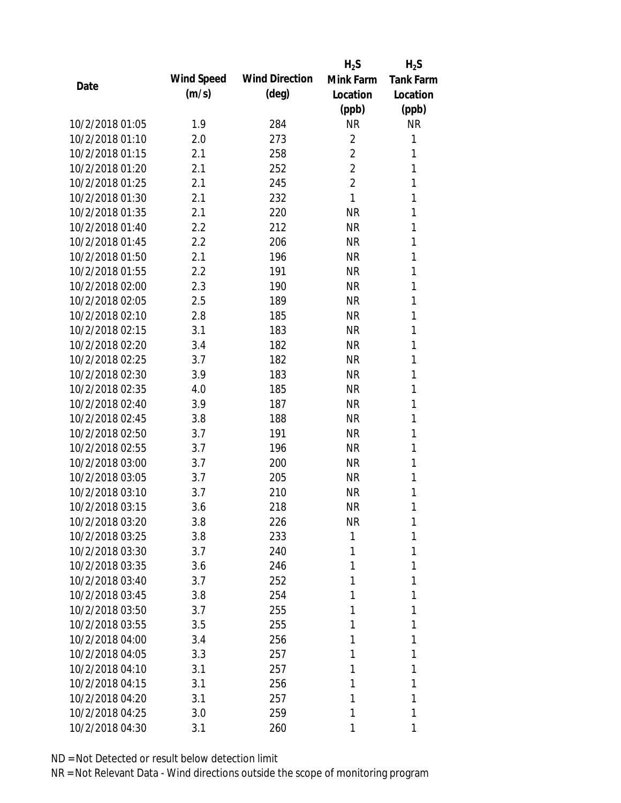|                 |            |                       | $H_2S$         | $H_2S$           |
|-----------------|------------|-----------------------|----------------|------------------|
|                 | Wind Speed | <b>Wind Direction</b> | Mink Farm      | <b>Tank Farm</b> |
| Date            | (m/s)      | $(\text{deg})$        | Location       | Location         |
|                 |            |                       | (ppb)          | (ppb)            |
| 10/2/2018 01:05 | 1.9        | 284                   | <b>NR</b>      | <b>NR</b>        |
| 10/2/2018 01:10 | 2.0        | 273                   | $\overline{2}$ | 1                |
| 10/2/2018 01:15 | 2.1        | 258                   | $\overline{2}$ | 1                |
| 10/2/2018 01:20 | 2.1        | 252                   | $\overline{2}$ | 1                |
| 10/2/2018 01:25 | 2.1        | 245                   | $\overline{2}$ | 1                |
| 10/2/2018 01:30 | 2.1        | 232                   | 1              | 1                |
| 10/2/2018 01:35 | 2.1        | 220                   | <b>NR</b>      | 1                |
| 10/2/2018 01:40 | 2.2        | 212                   | <b>NR</b>      | 1                |
| 10/2/2018 01:45 | 2.2        | 206                   | <b>NR</b>      | 1                |
| 10/2/2018 01:50 | 2.1        | 196                   | <b>NR</b>      | 1                |
| 10/2/2018 01:55 | 2.2        | 191                   | <b>NR</b>      | 1                |
| 10/2/2018 02:00 | 2.3        | 190                   | <b>NR</b>      | 1                |
| 10/2/2018 02:05 | 2.5        | 189                   | <b>NR</b>      | 1                |
| 10/2/2018 02:10 | 2.8        | 185                   | <b>NR</b>      | 1                |
| 10/2/2018 02:15 | 3.1        | 183                   | <b>NR</b>      | 1                |
| 10/2/2018 02:20 | 3.4        | 182                   | <b>NR</b>      | 1                |
| 10/2/2018 02:25 | 3.7        | 182                   | <b>NR</b>      | 1                |
| 10/2/2018 02:30 | 3.9        | 183                   | <b>NR</b>      | 1                |
| 10/2/2018 02:35 | 4.0        | 185                   | <b>NR</b>      | 1                |
| 10/2/2018 02:40 | 3.9        | 187                   | <b>NR</b>      | 1                |
| 10/2/2018 02:45 | 3.8        | 188                   | <b>NR</b>      | 1                |
| 10/2/2018 02:50 | 3.7        | 191                   | <b>NR</b>      | 1                |
| 10/2/2018 02:55 | 3.7        | 196                   | <b>NR</b>      | 1                |
| 10/2/2018 03:00 | 3.7        | 200                   | <b>NR</b>      | 1                |
| 10/2/2018 03:05 | 3.7        | 205                   | <b>NR</b>      | 1                |
| 10/2/2018 03:10 | 3.7        | 210                   | <b>NR</b>      | 1                |
| 10/2/2018 03:15 | 3.6        | 218                   | <b>NR</b>      | 1                |
| 10/2/2018 03:20 | 3.8        | 226                   | <b>NR</b>      | 1                |
| 10/2/2018 03:25 | 3.8        | 233                   | 1              | 1                |
| 10/2/2018 03:30 | 3.7        | 240                   | 1              | 1                |
| 10/2/2018 03:35 | 3.6        | 246                   | 1              | 1                |
| 10/2/2018 03:40 | 3.7        | 252                   | 1              | 1                |
| 10/2/2018 03:45 | 3.8        | 254                   | 1              | 1                |
| 10/2/2018 03:50 | 3.7        | 255                   | 1              | 1                |
| 10/2/2018 03:55 | 3.5        | 255                   | 1              | 1                |
| 10/2/2018 04:00 | 3.4        | 256                   | 1              | 1                |
| 10/2/2018 04:05 | 3.3        | 257                   | 1              | 1                |
| 10/2/2018 04:10 | 3.1        | 257                   | 1              | 1                |
| 10/2/2018 04:15 | 3.1        | 256                   | 1              | 1                |
| 10/2/2018 04:20 | 3.1        | 257                   | 1              | 1                |
| 10/2/2018 04:25 | 3.0        | 259                   | 1              | 1                |
| 10/2/2018 04:30 | 3.1        | 260                   | 1              | 1                |
|                 |            |                       |                |                  |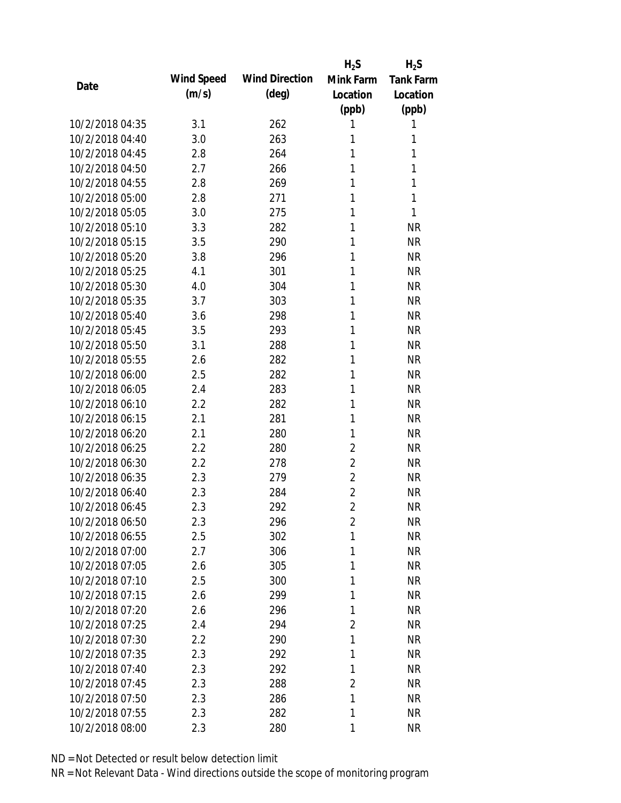|                 |            |                       | $H_2S$         | $H_2S$           |
|-----------------|------------|-----------------------|----------------|------------------|
| Date            | Wind Speed | <b>Wind Direction</b> | Mink Farm      | <b>Tank Farm</b> |
|                 | (m/s)      | $(\text{deg})$        | Location       | Location         |
|                 |            |                       | (ppb)          | (ppb)            |
| 10/2/2018 04:35 | 3.1        | 262                   | 1              | 1                |
| 10/2/2018 04:40 | 3.0        | 263                   | 1              | 1                |
| 10/2/2018 04:45 | 2.8        | 264                   | 1              | 1                |
| 10/2/2018 04:50 | 2.7        | 266                   | 1              | 1                |
| 10/2/2018 04:55 | 2.8        | 269                   | 1              | 1                |
| 10/2/2018 05:00 | 2.8        | 271                   | 1              | 1                |
| 10/2/2018 05:05 | 3.0        | 275                   | 1              | 1                |
| 10/2/2018 05:10 | 3.3        | 282                   | 1              | <b>NR</b>        |
| 10/2/2018 05:15 | 3.5        | 290                   | 1              | <b>NR</b>        |
| 10/2/2018 05:20 | 3.8        | 296                   | 1              | <b>NR</b>        |
| 10/2/2018 05:25 | 4.1        | 301                   | 1              | <b>NR</b>        |
| 10/2/2018 05:30 | 4.0        | 304                   | 1              | <b>NR</b>        |
| 10/2/2018 05:35 | 3.7        | 303                   | 1              | <b>NR</b>        |
| 10/2/2018 05:40 | 3.6        | 298                   | 1              | <b>NR</b>        |
| 10/2/2018 05:45 | 3.5        | 293                   | 1              | <b>NR</b>        |
| 10/2/2018 05:50 | 3.1        | 288                   | 1              | <b>NR</b>        |
| 10/2/2018 05:55 | 2.6        | 282                   | 1              | <b>NR</b>        |
| 10/2/2018 06:00 | 2.5        | 282                   | 1              | <b>NR</b>        |
| 10/2/2018 06:05 | 2.4        | 283                   | 1              | <b>NR</b>        |
| 10/2/2018 06:10 | 2.2        | 282                   | 1              | <b>NR</b>        |
| 10/2/2018 06:15 | 2.1        | 281                   | 1              | <b>NR</b>        |
| 10/2/2018 06:20 | 2.1        | 280                   | 1              | <b>NR</b>        |
| 10/2/2018 06:25 | 2.2        | 280                   | $\overline{2}$ | <b>NR</b>        |
| 10/2/2018 06:30 | 2.2        | 278                   | $\overline{2}$ | <b>NR</b>        |
| 10/2/2018 06:35 | 2.3        | 279                   | $\overline{2}$ | <b>NR</b>        |
| 10/2/2018 06:40 | 2.3        | 284                   | $\overline{2}$ | <b>NR</b>        |
| 10/2/2018 06:45 | 2.3        | 292                   | $\overline{2}$ | <b>NR</b>        |
| 10/2/2018 06:50 | 2.3        | 296                   | $\overline{2}$ | <b>NR</b>        |
| 10/2/2018 06:55 | 2.5        | 302                   | 1              | <b>NR</b>        |
| 10/2/2018 07:00 | 2.7        | 306                   | 1              | <b>NR</b>        |
| 10/2/2018 07:05 | 2.6        | 305                   | 1              | <b>NR</b>        |
| 10/2/2018 07:10 | 2.5        | 300                   | 1              | <b>NR</b>        |
| 10/2/2018 07:15 | 2.6        | 299                   | 1              | <b>NR</b>        |
| 10/2/2018 07:20 | 2.6        | 296                   | 1              | <b>NR</b>        |
| 10/2/2018 07:25 | 2.4        | 294                   | $\overline{2}$ | <b>NR</b>        |
| 10/2/2018 07:30 | 2.2        | 290                   | 1              | <b>NR</b>        |
| 10/2/2018 07:35 | 2.3        | 292                   | 1              | <b>NR</b>        |
| 10/2/2018 07:40 | 2.3        | 292                   | 1              | <b>NR</b>        |
| 10/2/2018 07:45 | 2.3        | 288                   | $\overline{2}$ | <b>NR</b>        |
| 10/2/2018 07:50 | 2.3        | 286                   | 1              | <b>NR</b>        |
| 10/2/2018 07:55 | 2.3        | 282                   | 1              | <b>NR</b>        |
| 10/2/2018 08:00 | 2.3        | 280                   | 1              | <b>NR</b>        |
|                 |            |                       |                |                  |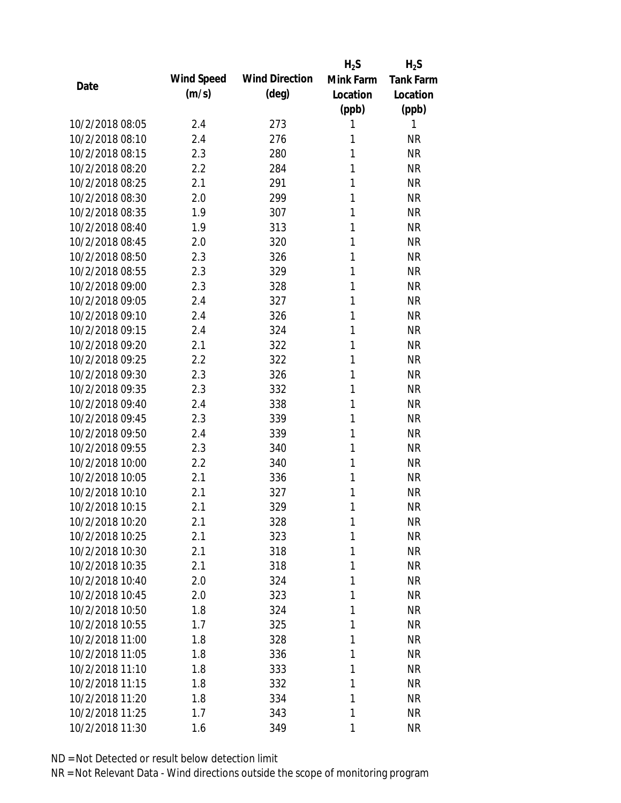|                 |            |                       | $H_2S$    | $H_2S$           |
|-----------------|------------|-----------------------|-----------|------------------|
| Date            | Wind Speed | <b>Wind Direction</b> | Mink Farm | <b>Tank Farm</b> |
|                 | (m/s)      | $(\text{deg})$        | Location  | Location         |
|                 |            |                       | (ppb)     | (ppb)            |
| 10/2/2018 08:05 | 2.4        | 273                   | 1         | 1                |
| 10/2/2018 08:10 | 2.4        | 276                   | 1         | <b>NR</b>        |
| 10/2/2018 08:15 | 2.3        | 280                   | 1         | <b>NR</b>        |
| 10/2/2018 08:20 | 2.2        | 284                   | 1         | <b>NR</b>        |
| 10/2/2018 08:25 | 2.1        | 291                   | 1         | <b>NR</b>        |
| 10/2/2018 08:30 | 2.0        | 299                   | 1         | <b>NR</b>        |
| 10/2/2018 08:35 | 1.9        | 307                   | 1         | <b>NR</b>        |
| 10/2/2018 08:40 | 1.9        | 313                   | 1         | <b>NR</b>        |
| 10/2/2018 08:45 | 2.0        | 320                   | 1         | <b>NR</b>        |
| 10/2/2018 08:50 | 2.3        | 326                   | 1         | <b>NR</b>        |
| 10/2/2018 08:55 | 2.3        | 329                   | 1         | <b>NR</b>        |
| 10/2/2018 09:00 | 2.3        | 328                   | 1         | <b>NR</b>        |
| 10/2/2018 09:05 | 2.4        | 327                   | 1         | <b>NR</b>        |
| 10/2/2018 09:10 | 2.4        | 326                   | 1         | <b>NR</b>        |
| 10/2/2018 09:15 | 2.4        | 324                   | 1         | <b>NR</b>        |
| 10/2/2018 09:20 | 2.1        | 322                   | 1         | <b>NR</b>        |
| 10/2/2018 09:25 | 2.2        | 322                   | 1         | <b>NR</b>        |
| 10/2/2018 09:30 | 2.3        | 326                   | 1         | <b>NR</b>        |
| 10/2/2018 09:35 | 2.3        | 332                   | 1         | <b>NR</b>        |
| 10/2/2018 09:40 | 2.4        | 338                   | 1         | <b>NR</b>        |
| 10/2/2018 09:45 | 2.3        | 339                   | 1         | <b>NR</b>        |
| 10/2/2018 09:50 | 2.4        | 339                   | 1         | <b>NR</b>        |
| 10/2/2018 09:55 | 2.3        | 340                   | 1         | <b>NR</b>        |
| 10/2/2018 10:00 | 2.2        | 340                   | 1         | <b>NR</b>        |
| 10/2/2018 10:05 | 2.1        | 336                   | 1         | <b>NR</b>        |
| 10/2/2018 10:10 | 2.1        | 327                   | 1         | <b>NR</b>        |
| 10/2/2018 10:15 | 2.1        | 329                   | 1         | <b>NR</b>        |
| 10/2/2018 10:20 | 2.1        | 328                   | 1         | <b>NR</b>        |
| 10/2/2018 10:25 | 2.1        | 323                   | 1         | <b>NR</b>        |
| 10/2/2018 10:30 | 2.1        | 318                   | 1         | <b>NR</b>        |
| 10/2/2018 10:35 | 2.1        | 318                   | 1         | <b>NR</b>        |
| 10/2/2018 10:40 | 2.0        | 324                   | 1         | <b>NR</b>        |
| 10/2/2018 10:45 | 2.0        | 323                   | 1         | <b>NR</b>        |
| 10/2/2018 10:50 | 1.8        | 324                   | 1         | <b>NR</b>        |
| 10/2/2018 10:55 | 1.7        | 325                   | 1         | <b>NR</b>        |
| 10/2/2018 11:00 | 1.8        | 328                   | 1         | <b>NR</b>        |
| 10/2/2018 11:05 | 1.8        | 336                   | 1         | <b>NR</b>        |
| 10/2/2018 11:10 | 1.8        | 333                   | 1         | <b>NR</b>        |
| 10/2/2018 11:15 | 1.8        | 332                   | 1         | <b>NR</b>        |
| 10/2/2018 11:20 | 1.8        | 334                   | 1         | <b>NR</b>        |
| 10/2/2018 11:25 | 1.7        | 343                   | 1         | <b>NR</b>        |
| 10/2/2018 11:30 | 1.6        | 349                   | 1         | <b>NR</b>        |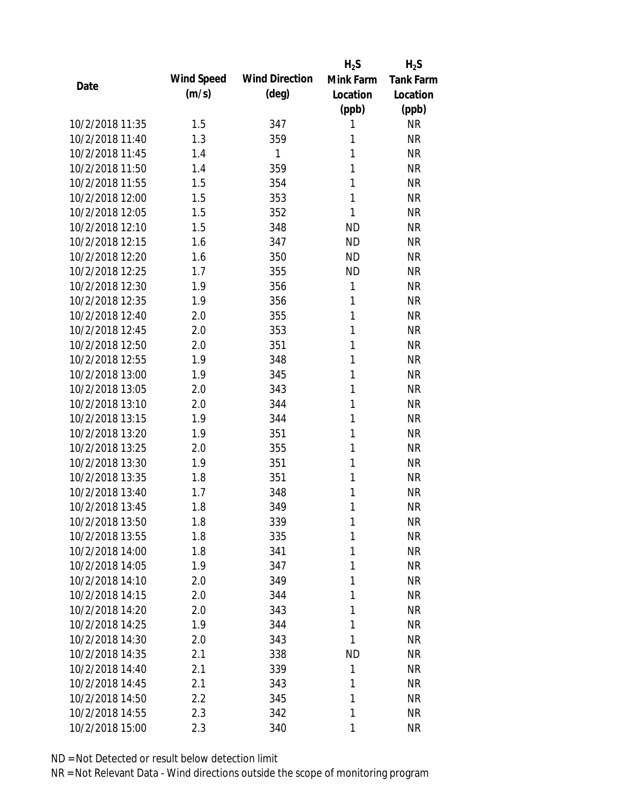|                 |            |                       | $H_2S$    | $H_2S$           |
|-----------------|------------|-----------------------|-----------|------------------|
|                 | Wind Speed | <b>Wind Direction</b> | Mink Farm | <b>Tank Farm</b> |
| Date            | (m/s)      | $(\text{deg})$        | Location  | Location         |
|                 |            |                       | (ppb)     | (ppb)            |
| 10/2/2018 11:35 | 1.5        | 347                   | 1         | <b>NR</b>        |
| 10/2/2018 11:40 | 1.3        | 359                   | 1         | <b>NR</b>        |
| 10/2/2018 11:45 | 1.4        | 1                     | 1         | <b>NR</b>        |
| 10/2/2018 11:50 | 1.4        | 359                   | 1         | <b>NR</b>        |
| 10/2/2018 11:55 | 1.5        | 354                   | 1         | <b>NR</b>        |
| 10/2/2018 12:00 | 1.5        | 353                   | 1         | <b>NR</b>        |
| 10/2/2018 12:05 | 1.5        | 352                   | 1         | <b>NR</b>        |
| 10/2/2018 12:10 | 1.5        | 348                   | <b>ND</b> | <b>NR</b>        |
| 10/2/2018 12:15 | 1.6        | 347                   | <b>ND</b> | <b>NR</b>        |
| 10/2/2018 12:20 | 1.6        | 350                   | <b>ND</b> | <b>NR</b>        |
| 10/2/2018 12:25 | 1.7        | 355                   | <b>ND</b> | <b>NR</b>        |
| 10/2/2018 12:30 | 1.9        | 356                   | 1         | <b>NR</b>        |
| 10/2/2018 12:35 | 1.9        | 356                   | 1         | <b>NR</b>        |
| 10/2/2018 12:40 | 2.0        | 355                   | 1         | <b>NR</b>        |
| 10/2/2018 12:45 | 2.0        | 353                   | 1         | <b>NR</b>        |
| 10/2/2018 12:50 | 2.0        | 351                   | 1         | <b>NR</b>        |
| 10/2/2018 12:55 | 1.9        | 348                   | 1         | <b>NR</b>        |
| 10/2/2018 13:00 | 1.9        | 345                   | 1         | <b>NR</b>        |
| 10/2/2018 13:05 | 2.0        | 343                   | 1         | <b>NR</b>        |
| 10/2/2018 13:10 | 2.0        | 344                   | 1         | <b>NR</b>        |
| 10/2/2018 13:15 | 1.9        | 344                   | 1         | <b>NR</b>        |
| 10/2/2018 13:20 | 1.9        | 351                   | 1         | <b>NR</b>        |
| 10/2/2018 13:25 | 2.0        | 355                   | 1         | <b>NR</b>        |
| 10/2/2018 13:30 | 1.9        | 351                   | 1         | <b>NR</b>        |
| 10/2/2018 13:35 | 1.8        | 351                   | 1         | <b>NR</b>        |
| 10/2/2018 13:40 | 1.7        | 348                   | 1         | <b>NR</b>        |
| 10/2/2018 13:45 | 1.8        | 349                   | 1         | <b>NR</b>        |
| 10/2/2018 13:50 | 1.8        | 339                   | 1         | <b>NR</b>        |
| 10/2/2018 13:55 | 1.8        | 335                   | 1         | <b>NR</b>        |
| 10/2/2018 14:00 | 1.8        | 341                   | 1         | <b>NR</b>        |
| 10/2/2018 14:05 | 1.9        | 347                   | 1         | <b>NR</b>        |
| 10/2/2018 14:10 | 2.0        | 349                   | 1         | <b>NR</b>        |
| 10/2/2018 14:15 | 2.0        | 344                   | 1         | <b>NR</b>        |
| 10/2/2018 14:20 | 2.0        | 343                   | 1         | <b>NR</b>        |
| 10/2/2018 14:25 | 1.9        | 344                   | 1         | <b>NR</b>        |
| 10/2/2018 14:30 | 2.0        | 343                   | 1         | <b>NR</b>        |
| 10/2/2018 14:35 | 2.1        | 338                   | <b>ND</b> | <b>NR</b>        |
| 10/2/2018 14:40 | 2.1        | 339                   | 1         | <b>NR</b>        |
| 10/2/2018 14:45 | 2.1        | 343                   | 1         | <b>NR</b>        |
| 10/2/2018 14:50 | 2.2        | 345                   | 1         | <b>NR</b>        |
| 10/2/2018 14:55 | 2.3        | 342                   | 1         | <b>NR</b>        |
|                 |            |                       |           |                  |
| 10/2/2018 15:00 | 2.3        | 340                   | 1         | <b>NR</b>        |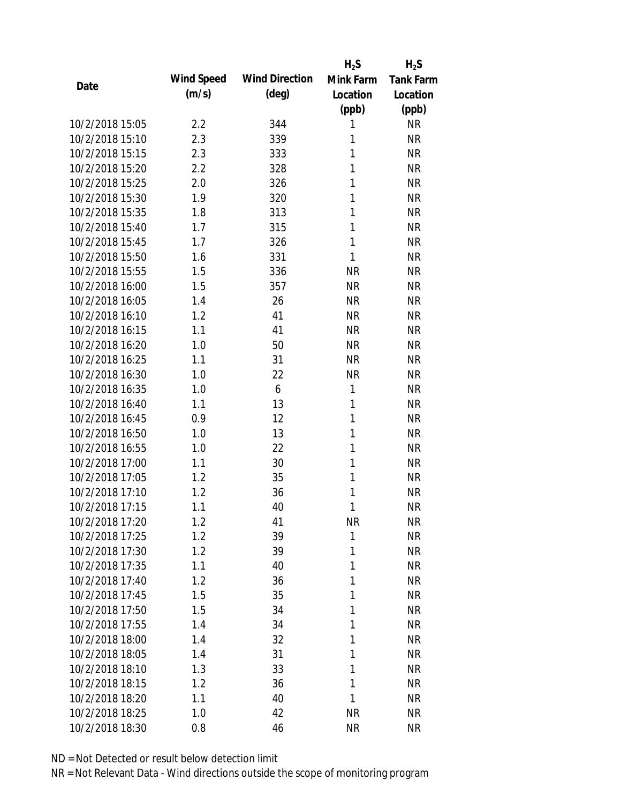|                 |            |                       | $H_2S$       | $H_2S$           |
|-----------------|------------|-----------------------|--------------|------------------|
| Date            | Wind Speed | <b>Wind Direction</b> | Mink Farm    | <b>Tank Farm</b> |
|                 | (m/s)      | $(\text{deg})$        | Location     | Location         |
|                 |            |                       | (ppb)        | (ppb)            |
| 10/2/2018 15:05 | 2.2        | 344                   | 1            | <b>NR</b>        |
| 10/2/2018 15:10 | 2.3        | 339                   | 1            | <b>NR</b>        |
| 10/2/2018 15:15 | 2.3        | 333                   | 1            | <b>NR</b>        |
| 10/2/2018 15:20 | 2.2        | 328                   | 1            | <b>NR</b>        |
| 10/2/2018 15:25 | 2.0        | 326                   | 1            | <b>NR</b>        |
| 10/2/2018 15:30 | 1.9        | 320                   | 1            | <b>NR</b>        |
| 10/2/2018 15:35 | 1.8        | 313                   | 1            | <b>NR</b>        |
| 10/2/2018 15:40 | 1.7        | 315                   | 1            | <b>NR</b>        |
| 10/2/2018 15:45 | 1.7        | 326                   | 1            | <b>NR</b>        |
| 10/2/2018 15:50 | 1.6        | 331                   | 1            | <b>NR</b>        |
| 10/2/2018 15:55 | 1.5        | 336                   | <b>NR</b>    | <b>NR</b>        |
| 10/2/2018 16:00 | 1.5        | 357                   | <b>NR</b>    | <b>NR</b>        |
| 10/2/2018 16:05 | 1.4        | 26                    | <b>NR</b>    | <b>NR</b>        |
| 10/2/2018 16:10 | 1.2        | 41                    | <b>NR</b>    | <b>NR</b>        |
| 10/2/2018 16:15 | 1.1        | 41                    | <b>NR</b>    | <b>NR</b>        |
| 10/2/2018 16:20 | 1.0        | 50                    | <b>NR</b>    | <b>NR</b>        |
| 10/2/2018 16:25 | 1.1        | 31                    | <b>NR</b>    | <b>NR</b>        |
| 10/2/2018 16:30 | 1.0        | 22                    | <b>NR</b>    | <b>NR</b>        |
| 10/2/2018 16:35 | 1.0        | 6                     | 1            | <b>NR</b>        |
| 10/2/2018 16:40 | 1.1        | 13                    | $\mathbf{1}$ | <b>NR</b>        |
| 10/2/2018 16:45 | 0.9        | 12                    | 1            | <b>NR</b>        |
| 10/2/2018 16:50 | 1.0        | 13                    | 1            | <b>NR</b>        |
| 10/2/2018 16:55 | 1.0        | 22                    | 1            | <b>NR</b>        |
| 10/2/2018 17:00 | 1.1        | 30                    | 1            | <b>NR</b>        |
| 10/2/2018 17:05 | 1.2        | 35                    | 1            | <b>NR</b>        |
| 10/2/2018 17:10 | 1.2        | 36                    | 1            | <b>NR</b>        |
| 10/2/2018 17:15 | 1.1        | 40                    | 1            | <b>NR</b>        |
| 10/2/2018 17:20 | 1.2        | 41                    | <b>NR</b>    | <b>NR</b>        |
| 10/2/2018 17:25 | 1.2        | 39                    | $\mathbf{1}$ | <b>NR</b>        |
| 10/2/2018 17:30 | 1.2        | 39                    | 1            | <b>NR</b>        |
| 10/2/2018 17:35 | 1.1        | 40                    | 1            | <b>NR</b>        |
| 10/2/2018 17:40 | 1.2        | 36                    | 1            | <b>NR</b>        |
| 10/2/2018 17:45 | 1.5        | 35                    | 1            | <b>NR</b>        |
| 10/2/2018 17:50 | 1.5        | 34                    | 1            | <b>NR</b>        |
| 10/2/2018 17:55 | 1.4        | 34                    | 1            | <b>NR</b>        |
| 10/2/2018 18:00 | 1.4        | 32                    | 1            | <b>NR</b>        |
| 10/2/2018 18:05 | 1.4        | 31                    | 1            | <b>NR</b>        |
| 10/2/2018 18:10 | 1.3        | 33                    | 1            | <b>NR</b>        |
| 10/2/2018 18:15 | 1.2        | 36                    | 1            | <b>NR</b>        |
| 10/2/2018 18:20 | 1.1        | 40                    | 1            | <b>NR</b>        |
| 10/2/2018 18:25 | 1.0        | 42                    | <b>NR</b>    | <b>NR</b>        |
| 10/2/2018 18:30 | 0.8        | 46                    | <b>NR</b>    | <b>NR</b>        |
|                 |            |                       |              |                  |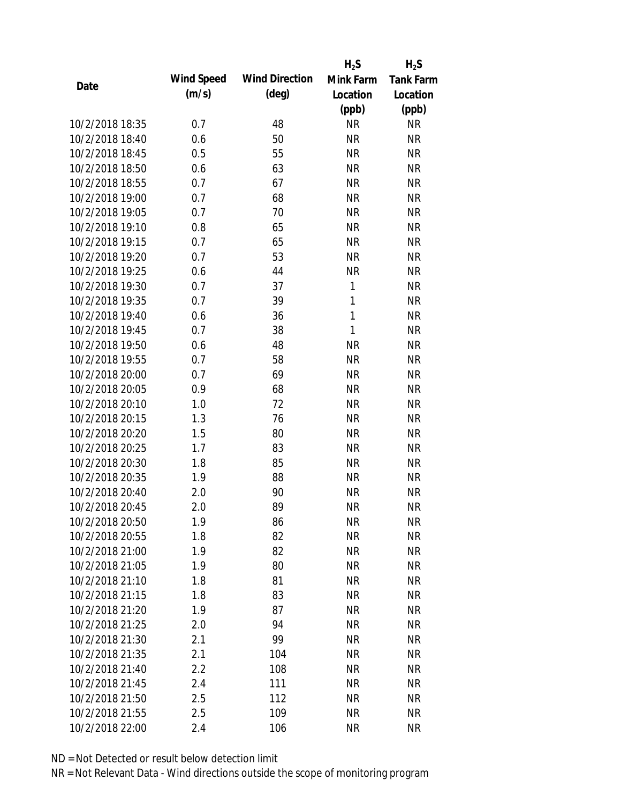|                 |            |                       | $H_2S$       | $H_2S$           |
|-----------------|------------|-----------------------|--------------|------------------|
| Date            | Wind Speed | <b>Wind Direction</b> | Mink Farm    | <b>Tank Farm</b> |
|                 | (m/s)      | $(\text{deg})$        | Location     | Location         |
|                 |            |                       | (ppb)        | (ppb)            |
| 10/2/2018 18:35 | 0.7        | 48                    | <b>NR</b>    | <b>NR</b>        |
| 10/2/2018 18:40 | 0.6        | 50                    | <b>NR</b>    | <b>NR</b>        |
| 10/2/2018 18:45 | 0.5        | 55                    | <b>NR</b>    | <b>NR</b>        |
| 10/2/2018 18:50 | 0.6        | 63                    | <b>NR</b>    | <b>NR</b>        |
| 10/2/2018 18:55 | 0.7        | 67                    | <b>NR</b>    | <b>NR</b>        |
| 10/2/2018 19:00 | 0.7        | 68                    | <b>NR</b>    | <b>NR</b>        |
| 10/2/2018 19:05 | 0.7        | 70                    | <b>NR</b>    | <b>NR</b>        |
| 10/2/2018 19:10 | 0.8        | 65                    | <b>NR</b>    | <b>NR</b>        |
| 10/2/2018 19:15 | 0.7        | 65                    | <b>NR</b>    | <b>NR</b>        |
| 10/2/2018 19:20 | 0.7        | 53                    | <b>NR</b>    | <b>NR</b>        |
| 10/2/2018 19:25 | 0.6        | 44                    | <b>NR</b>    | <b>NR</b>        |
| 10/2/2018 19:30 | 0.7        | 37                    | 1            | <b>NR</b>        |
| 10/2/2018 19:35 | 0.7        | 39                    | $\mathbf{1}$ | <b>NR</b>        |
| 10/2/2018 19:40 | 0.6        | 36                    | $\mathbf{1}$ | <b>NR</b>        |
| 10/2/2018 19:45 | 0.7        | 38                    | $\mathbf{1}$ | <b>NR</b>        |
| 10/2/2018 19:50 | 0.6        | 48                    | <b>NR</b>    | <b>NR</b>        |
| 10/2/2018 19:55 | 0.7        | 58                    | <b>NR</b>    | <b>NR</b>        |
| 10/2/2018 20:00 | 0.7        | 69                    | <b>NR</b>    | <b>NR</b>        |
| 10/2/2018 20:05 | 0.9        | 68                    | <b>NR</b>    | <b>NR</b>        |
| 10/2/2018 20:10 | 1.0        | 72                    | <b>NR</b>    | <b>NR</b>        |
| 10/2/2018 20:15 | 1.3        | 76                    | <b>NR</b>    | <b>NR</b>        |
| 10/2/2018 20:20 | 1.5        | 80                    | <b>NR</b>    | <b>NR</b>        |
| 10/2/2018 20:25 | 1.7        | 83                    | <b>NR</b>    | <b>NR</b>        |
| 10/2/2018 20:30 | 1.8        | 85                    | <b>NR</b>    | <b>NR</b>        |
| 10/2/2018 20:35 | 1.9        | 88                    | <b>NR</b>    | <b>NR</b>        |
| 10/2/2018 20:40 | 2.0        | 90                    | <b>NR</b>    | <b>NR</b>        |
| 10/2/2018 20:45 | 2.0        | 89                    | <b>NR</b>    | <b>NR</b>        |
| 10/2/2018 20:50 | 1.9        | 86                    | <b>NR</b>    | <b>NR</b>        |
| 10/2/2018 20:55 | 1.8        | 82                    | <b>NR</b>    | <b>NR</b>        |
| 10/2/2018 21:00 | 1.9        | 82                    | <b>NR</b>    | <b>NR</b>        |
| 10/2/2018 21:05 | 1.9        | 80                    | <b>NR</b>    | <b>NR</b>        |
| 10/2/2018 21:10 | 1.8        | 81                    | <b>NR</b>    | <b>NR</b>        |
| 10/2/2018 21:15 | 1.8        | 83                    | <b>NR</b>    | <b>NR</b>        |
| 10/2/2018 21:20 | 1.9        | 87                    | <b>NR</b>    | <b>NR</b>        |
| 10/2/2018 21:25 | 2.0        | 94                    | <b>NR</b>    | <b>NR</b>        |
| 10/2/2018 21:30 | 2.1        | 99                    | <b>NR</b>    | <b>NR</b>        |
| 10/2/2018 21:35 | 2.1        | 104                   | <b>NR</b>    | <b>NR</b>        |
| 10/2/2018 21:40 | 2.2        | 108                   | NR           | <b>NR</b>        |
| 10/2/2018 21:45 | 2.4        | 111                   | <b>NR</b>    | <b>NR</b>        |
| 10/2/2018 21:50 | 2.5        | 112                   | <b>NR</b>    | NR               |
| 10/2/2018 21:55 | 2.5        | 109                   | <b>NR</b>    | <b>NR</b>        |
| 10/2/2018 22:00 | 2.4        | 106                   | <b>NR</b>    | <b>NR</b>        |
|                 |            |                       |              |                  |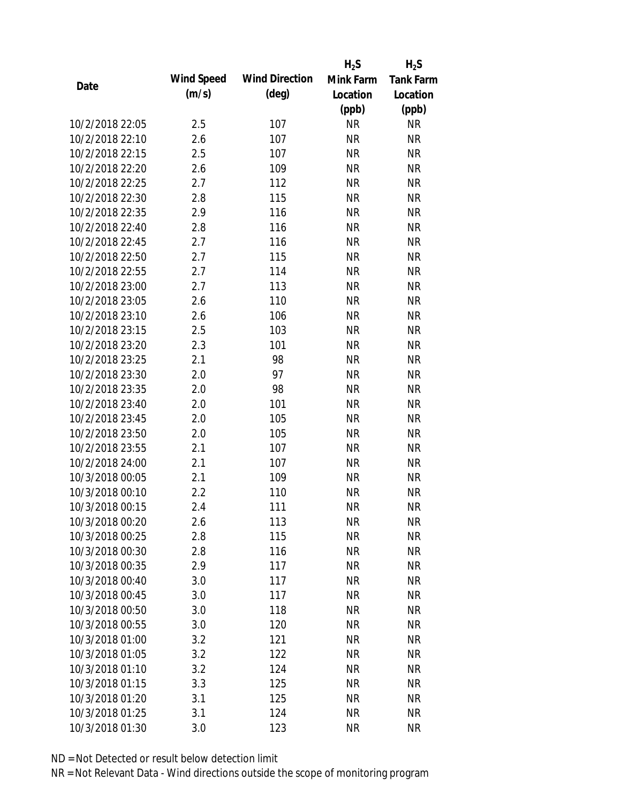|                 |            |                       | $H_2S$    | $H_2S$           |
|-----------------|------------|-----------------------|-----------|------------------|
|                 | Wind Speed | <b>Wind Direction</b> | Mink Farm | <b>Tank Farm</b> |
| Date            | (m/s)      | $(\text{deg})$        | Location  | Location         |
|                 |            |                       | (ppb)     | (ppb)            |
| 10/2/2018 22:05 | 2.5        | 107                   | <b>NR</b> | <b>NR</b>        |
| 10/2/2018 22:10 | 2.6        | 107                   | <b>NR</b> | <b>NR</b>        |
| 10/2/2018 22:15 | 2.5        | 107                   | <b>NR</b> | <b>NR</b>        |
| 10/2/2018 22:20 | 2.6        | 109                   | <b>NR</b> | <b>NR</b>        |
| 10/2/2018 22:25 | 2.7        | 112                   | <b>NR</b> | <b>NR</b>        |
| 10/2/2018 22:30 | 2.8        | 115                   | <b>NR</b> | <b>NR</b>        |
| 10/2/2018 22:35 | 2.9        | 116                   | <b>NR</b> | <b>NR</b>        |
| 10/2/2018 22:40 | 2.8        | 116                   | <b>NR</b> | <b>NR</b>        |
| 10/2/2018 22:45 | 2.7        | 116                   | <b>NR</b> | <b>NR</b>        |
| 10/2/2018 22:50 | 2.7        | 115                   | <b>NR</b> | <b>NR</b>        |
| 10/2/2018 22:55 | 2.7        | 114                   | <b>NR</b> | <b>NR</b>        |
| 10/2/2018 23:00 | 2.7        | 113                   | <b>NR</b> | <b>NR</b>        |
| 10/2/2018 23:05 | 2.6        | 110                   | <b>NR</b> | <b>NR</b>        |
| 10/2/2018 23:10 | 2.6        | 106                   | <b>NR</b> | <b>NR</b>        |
| 10/2/2018 23:15 | 2.5        | 103                   | <b>NR</b> | <b>NR</b>        |
| 10/2/2018 23:20 | 2.3        | 101                   | <b>NR</b> | <b>NR</b>        |
| 10/2/2018 23:25 | 2.1        | 98                    | <b>NR</b> | <b>NR</b>        |
| 10/2/2018 23:30 | 2.0        | 97                    | <b>NR</b> | <b>NR</b>        |
| 10/2/2018 23:35 | 2.0        | 98                    | <b>NR</b> | <b>NR</b>        |
| 10/2/2018 23:40 | 2.0        | 101                   | <b>NR</b> | <b>NR</b>        |
| 10/2/2018 23:45 | 2.0        | 105                   | <b>NR</b> | <b>NR</b>        |
| 10/2/2018 23:50 | 2.0        | 105                   | <b>NR</b> | <b>NR</b>        |
| 10/2/2018 23:55 | 2.1        | 107                   | <b>NR</b> | <b>NR</b>        |
| 10/2/2018 24:00 | 2.1        | 107                   | <b>NR</b> | <b>NR</b>        |
| 10/3/2018 00:05 | 2.1        | 109                   | <b>NR</b> | <b>NR</b>        |
| 10/3/2018 00:10 | 2.2        | 110                   | <b>NR</b> | <b>NR</b>        |
| 10/3/2018 00:15 | 2.4        | 111                   | <b>NR</b> | <b>NR</b>        |
| 10/3/2018 00:20 | 2.6        | 113                   | <b>NR</b> | <b>NR</b>        |
| 10/3/2018 00:25 | 2.8        | 115                   | <b>NR</b> | <b>NR</b>        |
| 10/3/2018 00:30 | 2.8        | 116                   | <b>NR</b> | <b>NR</b>        |
| 10/3/2018 00:35 | 2.9        | 117                   | <b>NR</b> | <b>NR</b>        |
| 10/3/2018 00:40 | 3.0        | 117                   | <b>NR</b> | <b>NR</b>        |
| 10/3/2018 00:45 | 3.0        | 117                   | <b>NR</b> | <b>NR</b>        |
| 10/3/2018 00:50 | 3.0        | 118                   | <b>NR</b> | <b>NR</b>        |
| 10/3/2018 00:55 | 3.0        | 120                   | <b>NR</b> | <b>NR</b>        |
| 10/3/2018 01:00 | 3.2        | 121                   | <b>NR</b> | <b>NR</b>        |
| 10/3/2018 01:05 | 3.2        | 122                   | <b>NR</b> | <b>NR</b>        |
| 10/3/2018 01:10 | 3.2        | 124                   | <b>NR</b> | <b>NR</b>        |
| 10/3/2018 01:15 | 3.3        | 125                   | <b>NR</b> | NR               |
| 10/3/2018 01:20 | 3.1        | 125                   | <b>NR</b> | NR               |
| 10/3/2018 01:25 | 3.1        | 124                   | <b>NR</b> | <b>NR</b>        |
|                 |            |                       |           |                  |
| 10/3/2018 01:30 | 3.0        | 123                   | <b>NR</b> | <b>NR</b>        |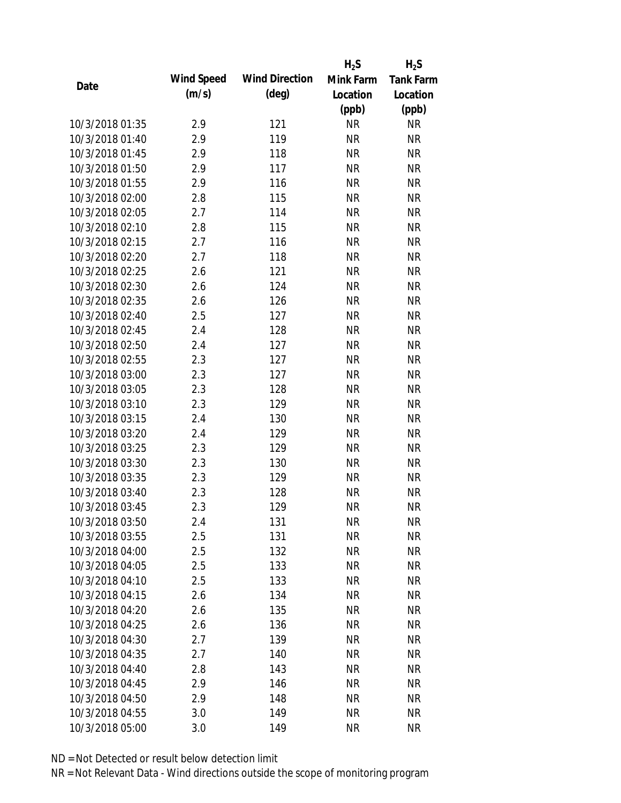|                 |            |                       | $H_2S$    | $H_2S$           |
|-----------------|------------|-----------------------|-----------|------------------|
|                 | Wind Speed | <b>Wind Direction</b> | Mink Farm | <b>Tank Farm</b> |
| Date            | (m/s)      | $(\text{deg})$        | Location  | Location         |
|                 |            |                       | (ppb)     | (ppb)            |
| 10/3/2018 01:35 | 2.9        | 121                   | <b>NR</b> | <b>NR</b>        |
| 10/3/2018 01:40 | 2.9        | 119                   | <b>NR</b> | <b>NR</b>        |
| 10/3/2018 01:45 | 2.9        | 118                   | <b>NR</b> | <b>NR</b>        |
| 10/3/2018 01:50 | 2.9        | 117                   | <b>NR</b> | <b>NR</b>        |
| 10/3/2018 01:55 | 2.9        | 116                   | <b>NR</b> | <b>NR</b>        |
| 10/3/2018 02:00 | 2.8        | 115                   | <b>NR</b> | <b>NR</b>        |
| 10/3/2018 02:05 | 2.7        | 114                   | <b>NR</b> | <b>NR</b>        |
| 10/3/2018 02:10 | 2.8        | 115                   | <b>NR</b> | <b>NR</b>        |
| 10/3/2018 02:15 | 2.7        | 116                   | <b>NR</b> | <b>NR</b>        |
| 10/3/2018 02:20 | 2.7        | 118                   | <b>NR</b> | <b>NR</b>        |
| 10/3/2018 02:25 | 2.6        | 121                   | <b>NR</b> | <b>NR</b>        |
| 10/3/2018 02:30 | 2.6        | 124                   | <b>NR</b> | <b>NR</b>        |
| 10/3/2018 02:35 | 2.6        | 126                   | <b>NR</b> | <b>NR</b>        |
| 10/3/2018 02:40 | 2.5        | 127                   | <b>NR</b> | <b>NR</b>        |
| 10/3/2018 02:45 | 2.4        | 128                   | <b>NR</b> | <b>NR</b>        |
| 10/3/2018 02:50 | 2.4        | 127                   | <b>NR</b> | <b>NR</b>        |
| 10/3/2018 02:55 | 2.3        | 127                   | <b>NR</b> | <b>NR</b>        |
| 10/3/2018 03:00 | 2.3        | 127                   | <b>NR</b> | <b>NR</b>        |
| 10/3/2018 03:05 | 2.3        | 128                   | <b>NR</b> | <b>NR</b>        |
| 10/3/2018 03:10 | 2.3        | 129                   | <b>NR</b> | <b>NR</b>        |
| 10/3/2018 03:15 | 2.4        | 130                   | <b>NR</b> | <b>NR</b>        |
| 10/3/2018 03:20 | 2.4        | 129                   | <b>NR</b> | <b>NR</b>        |
| 10/3/2018 03:25 | 2.3        | 129                   | <b>NR</b> | <b>NR</b>        |
| 10/3/2018 03:30 | 2.3        | 130                   | <b>NR</b> | <b>NR</b>        |
| 10/3/2018 03:35 | 2.3        | 129                   | <b>NR</b> | <b>NR</b>        |
| 10/3/2018 03:40 | 2.3        | 128                   | <b>NR</b> | <b>NR</b>        |
| 10/3/2018 03:45 | 2.3        | 129                   | <b>NR</b> | <b>NR</b>        |
| 10/3/2018 03:50 | 2.4        | 131                   | <b>NR</b> | <b>NR</b>        |
| 10/3/2018 03:55 | 2.5        | 131                   | <b>NR</b> | <b>NR</b>        |
| 10/3/2018 04:00 | 2.5        | 132                   | <b>NR</b> | <b>NR</b>        |
| 10/3/2018 04:05 | 2.5        | 133                   | <b>NR</b> | <b>NR</b>        |
| 10/3/2018 04:10 | 2.5        | 133                   | <b>NR</b> | <b>NR</b>        |
| 10/3/2018 04:15 | 2.6        | 134                   | <b>NR</b> | <b>NR</b>        |
| 10/3/2018 04:20 | 2.6        | 135                   | <b>NR</b> | <b>NR</b>        |
| 10/3/2018 04:25 | 2.6        | 136                   | <b>NR</b> | <b>NR</b>        |
| 10/3/2018 04:30 | 2.7        | 139                   | <b>NR</b> | <b>NR</b>        |
| 10/3/2018 04:35 | 2.7        | 140                   | <b>NR</b> | <b>NR</b>        |
| 10/3/2018 04:40 | 2.8        | 143                   | <b>NR</b> | <b>NR</b>        |
| 10/3/2018 04:45 | 2.9        | 146                   | <b>NR</b> | NR               |
| 10/3/2018 04:50 | 2.9        | 148                   | <b>NR</b> | NR               |
| 10/3/2018 04:55 | 3.0        | 149                   | <b>NR</b> | <b>NR</b>        |
| 10/3/2018 05:00 | 3.0        | 149                   | <b>NR</b> | <b>NR</b>        |
|                 |            |                       |           |                  |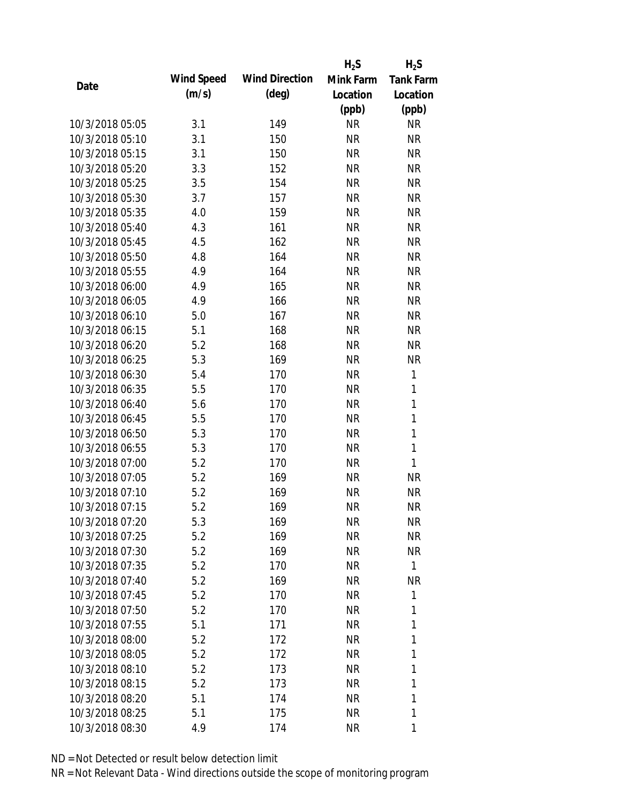|                 |            |                       | $H_2S$    | $H_2S$           |
|-----------------|------------|-----------------------|-----------|------------------|
|                 | Wind Speed | <b>Wind Direction</b> | Mink Farm | <b>Tank Farm</b> |
| Date            | (m/s)      | $(\text{deg})$        | Location  | Location         |
|                 |            |                       | (ppb)     | (ppb)            |
| 10/3/2018 05:05 | 3.1        | 149                   | <b>NR</b> | <b>NR</b>        |
| 10/3/2018 05:10 | 3.1        | 150                   | <b>NR</b> | <b>NR</b>        |
| 10/3/2018 05:15 | 3.1        | 150                   | <b>NR</b> | <b>NR</b>        |
| 10/3/2018 05:20 | 3.3        | 152                   | <b>NR</b> | <b>NR</b>        |
| 10/3/2018 05:25 | 3.5        | 154                   | <b>NR</b> | <b>NR</b>        |
| 10/3/2018 05:30 | 3.7        | 157                   | <b>NR</b> | <b>NR</b>        |
| 10/3/2018 05:35 | 4.0        | 159                   | <b>NR</b> | <b>NR</b>        |
| 10/3/2018 05:40 | 4.3        | 161                   | <b>NR</b> | <b>NR</b>        |
| 10/3/2018 05:45 | 4.5        | 162                   | <b>NR</b> | <b>NR</b>        |
| 10/3/2018 05:50 | 4.8        | 164                   | <b>NR</b> | <b>NR</b>        |
| 10/3/2018 05:55 | 4.9        | 164                   | <b>NR</b> | <b>NR</b>        |
| 10/3/2018 06:00 | 4.9        | 165                   | <b>NR</b> | <b>NR</b>        |
| 10/3/2018 06:05 | 4.9        | 166                   | <b>NR</b> | <b>NR</b>        |
| 10/3/2018 06:10 | 5.0        | 167                   | <b>NR</b> | <b>NR</b>        |
| 10/3/2018 06:15 | 5.1        | 168                   | <b>NR</b> | <b>NR</b>        |
| 10/3/2018 06:20 | 5.2        | 168                   | <b>NR</b> | <b>NR</b>        |
| 10/3/2018 06:25 | 5.3        | 169                   | <b>NR</b> | <b>NR</b>        |
| 10/3/2018 06:30 | 5.4        | 170                   | <b>NR</b> | 1                |
| 10/3/2018 06:35 | 5.5        | 170                   | <b>NR</b> | 1                |
| 10/3/2018 06:40 | 5.6        | 170                   | <b>NR</b> | $\mathbf{1}$     |
| 10/3/2018 06:45 | 5.5        | 170                   | <b>NR</b> | 1                |
| 10/3/2018 06:50 | 5.3        | 170                   | <b>NR</b> | $\mathbf{1}$     |
| 10/3/2018 06:55 | 5.3        | 170                   | <b>NR</b> | $\mathbf{1}$     |
| 10/3/2018 07:00 | 5.2        | 170                   | <b>NR</b> | 1                |
| 10/3/2018 07:05 | 5.2        | 169                   | <b>NR</b> | <b>NR</b>        |
| 10/3/2018 07:10 | 5.2        | 169                   | <b>NR</b> | <b>NR</b>        |
| 10/3/2018 07:15 | 5.2        | 169                   | <b>NR</b> | <b>NR</b>        |
| 10/3/2018 07:20 | 5.3        | 169                   | <b>NR</b> | <b>NR</b>        |
| 10/3/2018 07:25 | 5.2        | 169                   | NR        | <b>NR</b>        |
| 10/3/2018 07:30 | 5.2        | 169                   | NR        | NR               |
| 10/3/2018 07:35 | 5.2        | 170                   | NR        | 1                |
| 10/3/2018 07:40 | 5.2        | 169                   | NR        | <b>NR</b>        |
| 10/3/2018 07:45 | 5.2        | 170                   | NR        | 1                |
| 10/3/2018 07:50 | 5.2        | 170                   | NR        | 1                |
| 10/3/2018 07:55 | 5.1        | 171                   | NR        | 1                |
| 10/3/2018 08:00 | 5.2        | 172                   | NR        | 1                |
| 10/3/2018 08:05 | 5.2        |                       | NR        | 1                |
|                 |            | 172                   |           |                  |
| 10/3/2018 08:10 | 5.2        | 173                   | NR        | 1                |
| 10/3/2018 08:15 | 5.2        | 173                   | NR        | 1<br>1           |
| 10/3/2018 08:20 | 5.1        | 174                   | NR        |                  |
| 10/3/2018 08:25 | 5.1        | 175                   | <b>NR</b> | 1                |
| 10/3/2018 08:30 | 4.9        | 174                   | <b>NR</b> | 1                |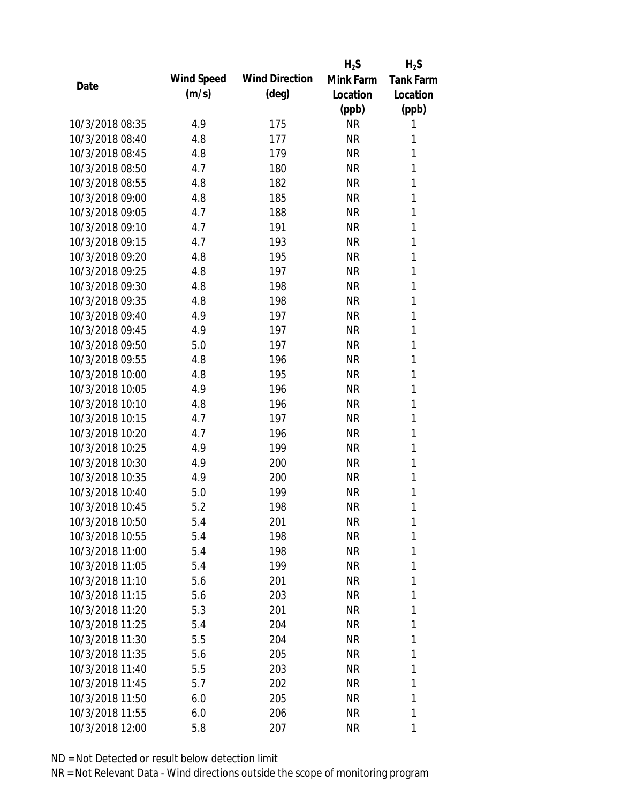|                 |            |                       | $H_2S$    | $H_2S$           |
|-----------------|------------|-----------------------|-----------|------------------|
|                 | Wind Speed | <b>Wind Direction</b> | Mink Farm | <b>Tank Farm</b> |
| Date            | (m/s)      | $(\text{deg})$        | Location  | Location         |
|                 |            |                       | (ppb)     | (ppb)            |
| 10/3/2018 08:35 | 4.9        | 175                   | <b>NR</b> | 1                |
| 10/3/2018 08:40 | 4.8        | 177                   | <b>NR</b> | 1                |
| 10/3/2018 08:45 | 4.8        | 179                   | <b>NR</b> | 1                |
| 10/3/2018 08:50 | 4.7        | 180                   | <b>NR</b> | 1                |
| 10/3/2018 08:55 | 4.8        | 182                   | <b>NR</b> | 1                |
| 10/3/2018 09:00 | 4.8        | 185                   | <b>NR</b> | 1                |
| 10/3/2018 09:05 | 4.7        | 188                   | <b>NR</b> | 1                |
| 10/3/2018 09:10 | 4.7        | 191                   | NR        | 1                |
| 10/3/2018 09:15 | 4.7        | 193                   | <b>NR</b> | 1                |
| 10/3/2018 09:20 | 4.8        | 195                   | <b>NR</b> | 1                |
| 10/3/2018 09:25 | 4.8        | 197                   | <b>NR</b> | 1                |
| 10/3/2018 09:30 | 4.8        | 198                   | <b>NR</b> | 1                |
| 10/3/2018 09:35 | 4.8        | 198                   | <b>NR</b> | 1                |
| 10/3/2018 09:40 | 4.9        | 197                   | <b>NR</b> | 1                |
| 10/3/2018 09:45 | 4.9        | 197                   | <b>NR</b> | 1                |
| 10/3/2018 09:50 | 5.0        | 197                   | <b>NR</b> | 1                |
| 10/3/2018 09:55 | 4.8        | 196                   | <b>NR</b> | 1                |
| 10/3/2018 10:00 | 4.8        | 195                   | <b>NR</b> | 1                |
| 10/3/2018 10:05 | 4.9        | 196                   | <b>NR</b> | 1                |
| 10/3/2018 10:10 | 4.8        | 196                   | <b>NR</b> | 1                |
| 10/3/2018 10:15 | 4.7        | 197                   | <b>NR</b> | 1                |
| 10/3/2018 10:20 | 4.7        | 196                   | <b>NR</b> | 1                |
| 10/3/2018 10:25 | 4.9        | 199                   | <b>NR</b> | 1                |
| 10/3/2018 10:30 | 4.9        | 200                   | <b>NR</b> | 1                |
| 10/3/2018 10:35 | 4.9        | 200                   | <b>NR</b> | 1                |
| 10/3/2018 10:40 | 5.0        | 199                   | <b>NR</b> | 1                |
| 10/3/2018 10:45 | 5.2        | 198                   | <b>NR</b> | 1                |
| 10/3/2018 10:50 | 5.4        | 201                   | <b>NR</b> | 1                |
| 10/3/2018 10:55 | 5.4        | 198                   | <b>NR</b> | 1                |
| 10/3/2018 11:00 | 5.4        | 198                   | <b>NR</b> | 1                |
| 10/3/2018 11:05 | 5.4        | 199                   | <b>NR</b> | 1                |
| 10/3/2018 11:10 | 5.6        | 201                   | <b>NR</b> | 1                |
| 10/3/2018 11:15 | 5.6        | 203                   | <b>NR</b> | 1                |
| 10/3/2018 11:20 | 5.3        | 201                   | <b>NR</b> | 1                |
| 10/3/2018 11:25 | 5.4        | 204                   | <b>NR</b> | 1                |
| 10/3/2018 11:30 | 5.5        | 204                   | <b>NR</b> | 1                |
| 10/3/2018 11:35 | 5.6        | 205                   | NR        | 1                |
| 10/3/2018 11:40 | 5.5        | 203                   | <b>NR</b> | 1                |
| 10/3/2018 11:45 | 5.7        | 202                   | <b>NR</b> | 1                |
| 10/3/2018 11:50 | 6.0        | 205                   | <b>NR</b> | 1                |
| 10/3/2018 11:55 | 6.0        | 206                   | <b>NR</b> | 1                |
|                 |            |                       |           | 1                |
| 10/3/2018 12:00 | 5.8        | 207                   | NR        |                  |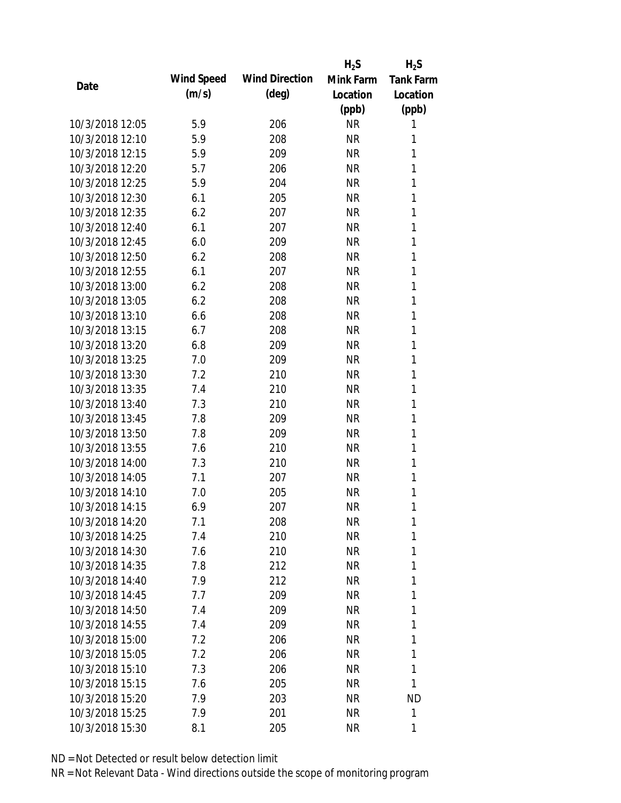|                 |            |                       | $H_2S$    | $H_2S$           |
|-----------------|------------|-----------------------|-----------|------------------|
| Date            | Wind Speed | <b>Wind Direction</b> | Mink Farm | <b>Tank Farm</b> |
|                 | (m/s)      | $(\text{deg})$        | Location  | Location         |
|                 |            |                       | (ppb)     | (ppb)            |
| 10/3/2018 12:05 | 5.9        | 206                   | <b>NR</b> | 1                |
| 10/3/2018 12:10 | 5.9        | 208                   | <b>NR</b> | 1                |
| 10/3/2018 12:15 | 5.9        | 209                   | <b>NR</b> | 1                |
| 10/3/2018 12:20 | 5.7        | 206                   | <b>NR</b> | 1                |
| 10/3/2018 12:25 | 5.9        | 204                   | <b>NR</b> | 1                |
| 10/3/2018 12:30 | 6.1        | 205                   | <b>NR</b> | 1                |
| 10/3/2018 12:35 | 6.2        | 207                   | <b>NR</b> | 1                |
| 10/3/2018 12:40 | 6.1        | 207                   | <b>NR</b> | 1                |
| 10/3/2018 12:45 | 6.0        | 209                   | <b>NR</b> | 1                |
| 10/3/2018 12:50 | 6.2        | 208                   | <b>NR</b> | 1                |
| 10/3/2018 12:55 | 6.1        | 207                   | <b>NR</b> | 1                |
| 10/3/2018 13:00 | 6.2        | 208                   | <b>NR</b> | 1                |
| 10/3/2018 13:05 | 6.2        | 208                   | <b>NR</b> | 1                |
| 10/3/2018 13:10 | 6.6        | 208                   | <b>NR</b> | 1                |
| 10/3/2018 13:15 | 6.7        | 208                   | <b>NR</b> | 1                |
| 10/3/2018 13:20 | 6.8        | 209                   | <b>NR</b> | 1                |
| 10/3/2018 13:25 | 7.0        | 209                   | <b>NR</b> | 1                |
| 10/3/2018 13:30 | 7.2        | 210                   | <b>NR</b> | 1                |
| 10/3/2018 13:35 | 7.4        | 210                   | <b>NR</b> | 1                |
| 10/3/2018 13:40 | 7.3        | 210                   | <b>NR</b> | 1                |
| 10/3/2018 13:45 | 7.8        | 209                   | <b>NR</b> | 1                |
| 10/3/2018 13:50 | 7.8        | 209                   | <b>NR</b> | 1                |
| 10/3/2018 13:55 | 7.6        | 210                   | <b>NR</b> | 1                |
| 10/3/2018 14:00 | 7.3        | 210                   | <b>NR</b> | 1                |
| 10/3/2018 14:05 | 7.1        | 207                   | <b>NR</b> | 1                |
| 10/3/2018 14:10 | 7.0        | 205                   | <b>NR</b> | 1                |
| 10/3/2018 14:15 | 6.9        | 207                   | <b>NR</b> | 1                |
| 10/3/2018 14:20 | 7.1        | 208                   | <b>NR</b> | 1                |
| 10/3/2018 14:25 | 7.4        | 210                   | <b>NR</b> | 1                |
| 10/3/2018 14:30 | 7.6        | 210                   | <b>NR</b> | 1                |
| 10/3/2018 14:35 | 7.8        | 212                   | <b>NR</b> | 1                |
| 10/3/2018 14:40 | 7.9        | 212                   | <b>NR</b> | 1                |
| 10/3/2018 14:45 | 7.7        | 209                   | <b>NR</b> | 1                |
| 10/3/2018 14:50 | 7.4        | 209                   | <b>NR</b> | 1                |
| 10/3/2018 14:55 | 7.4        | 209                   | <b>NR</b> | 1                |
| 10/3/2018 15:00 | 7.2        | 206                   | <b>NR</b> | 1                |
| 10/3/2018 15:05 | 7.2        | 206                   | <b>NR</b> | 1                |
| 10/3/2018 15:10 | 7.3        | 206                   | <b>NR</b> | 1                |
| 10/3/2018 15:15 | 7.6        | 205                   | <b>NR</b> | 1                |
| 10/3/2018 15:20 | 7.9        | 203                   | <b>NR</b> | <b>ND</b>        |
| 10/3/2018 15:25 | 7.9        | 201                   | <b>NR</b> | 1                |
| 10/3/2018 15:30 | 8.1        | 205                   | <b>NR</b> | 1                |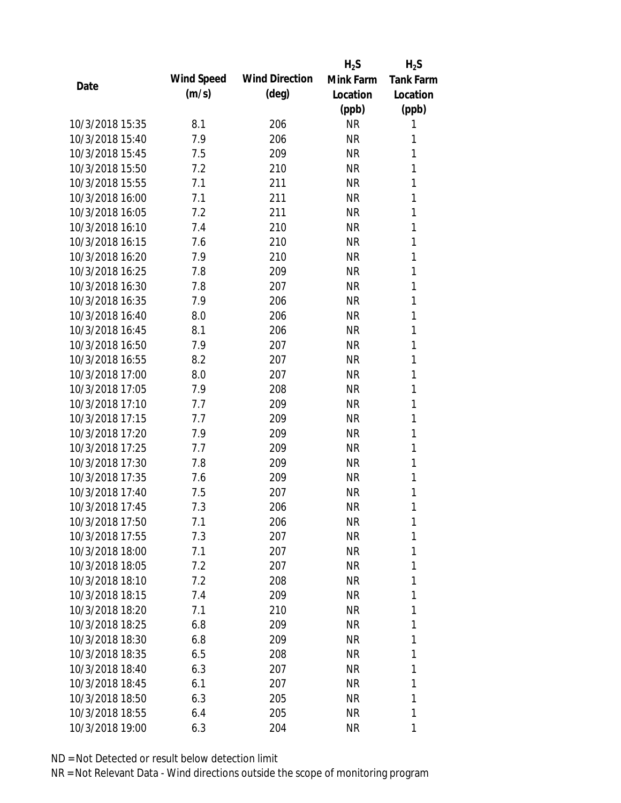|                 |            |                       | $H_2S$    | $H_2S$           |
|-----------------|------------|-----------------------|-----------|------------------|
|                 | Wind Speed | <b>Wind Direction</b> | Mink Farm | <b>Tank Farm</b> |
| Date            | (m/s)      | $(\text{deg})$        | Location  | Location         |
|                 |            |                       | (ppb)     | (ppb)            |
| 10/3/2018 15:35 | 8.1        | 206                   | <b>NR</b> | 1                |
| 10/3/2018 15:40 | 7.9        | 206                   | <b>NR</b> | 1                |
| 10/3/2018 15:45 | 7.5        | 209                   | <b>NR</b> | 1                |
| 10/3/2018 15:50 | 7.2        | 210                   | <b>NR</b> | 1                |
| 10/3/2018 15:55 | 7.1        | 211                   | <b>NR</b> | 1                |
| 10/3/2018 16:00 | 7.1        | 211                   | <b>NR</b> | 1                |
| 10/3/2018 16:05 | 7.2        | 211                   | <b>NR</b> | 1                |
| 10/3/2018 16:10 | 7.4        | 210                   | <b>NR</b> | 1                |
| 10/3/2018 16:15 | 7.6        | 210                   | <b>NR</b> | 1                |
| 10/3/2018 16:20 | 7.9        | 210                   | <b>NR</b> | 1                |
| 10/3/2018 16:25 | 7.8        | 209                   | <b>NR</b> | 1                |
| 10/3/2018 16:30 | 7.8        | 207                   | <b>NR</b> | 1                |
| 10/3/2018 16:35 | 7.9        | 206                   | <b>NR</b> | 1                |
| 10/3/2018 16:40 | 8.0        | 206                   | <b>NR</b> | 1                |
| 10/3/2018 16:45 | 8.1        | 206                   | <b>NR</b> | 1                |
| 10/3/2018 16:50 | 7.9        | 207                   | <b>NR</b> | 1                |
| 10/3/2018 16:55 | 8.2        | 207                   | <b>NR</b> | 1                |
| 10/3/2018 17:00 | 8.0        | 207                   | <b>NR</b> | 1                |
| 10/3/2018 17:05 | 7.9        | 208                   | <b>NR</b> | 1                |
| 10/3/2018 17:10 | 7.7        | 209                   | <b>NR</b> | 1                |
| 10/3/2018 17:15 | 7.7        | 209                   | <b>NR</b> | 1                |
| 10/3/2018 17:20 | 7.9        | 209                   | <b>NR</b> | 1                |
| 10/3/2018 17:25 | 7.7        | 209                   | <b>NR</b> | 1                |
| 10/3/2018 17:30 | 7.8        | 209                   | <b>NR</b> | 1                |
| 10/3/2018 17:35 | 7.6        | 209                   | <b>NR</b> | 1                |
| 10/3/2018 17:40 | 7.5        | 207                   | <b>NR</b> | 1                |
| 10/3/2018 17:45 | 7.3        | 206                   | <b>NR</b> | 1                |
| 10/3/2018 17:50 | 7.1        | 206                   | <b>NR</b> | 1                |
| 10/3/2018 17:55 | 7.3        | 207                   | NR        | 1                |
| 10/3/2018 18:00 | 7.1        | 207                   | NR        | 1                |
| 10/3/2018 18:05 | 7.2        | 207                   | NR        | 1                |
| 10/3/2018 18:10 | 7.2        | 208                   | NR        | 1                |
| 10/3/2018 18:15 | 7.4        | 209                   | NR        | 1                |
| 10/3/2018 18:20 | 7.1        | 210                   | NR        | 1                |
| 10/3/2018 18:25 | 6.8        | 209                   | NR        | 1                |
| 10/3/2018 18:30 | 6.8        | 209                   | NR        | 1                |
| 10/3/2018 18:35 |            |                       |           | 1                |
|                 | 6.5        | 208                   | NR        |                  |
| 10/3/2018 18:40 | 6.3        | 207                   | NR        | 1                |
| 10/3/2018 18:45 | 6.1        | 207                   | NR        | 1                |
| 10/3/2018 18:50 | 6.3        | 205                   | NR        | 1                |
| 10/3/2018 18:55 | 6.4        | 205                   | NR        | 1                |
| 10/3/2018 19:00 | 6.3        | 204                   | NR        | 1                |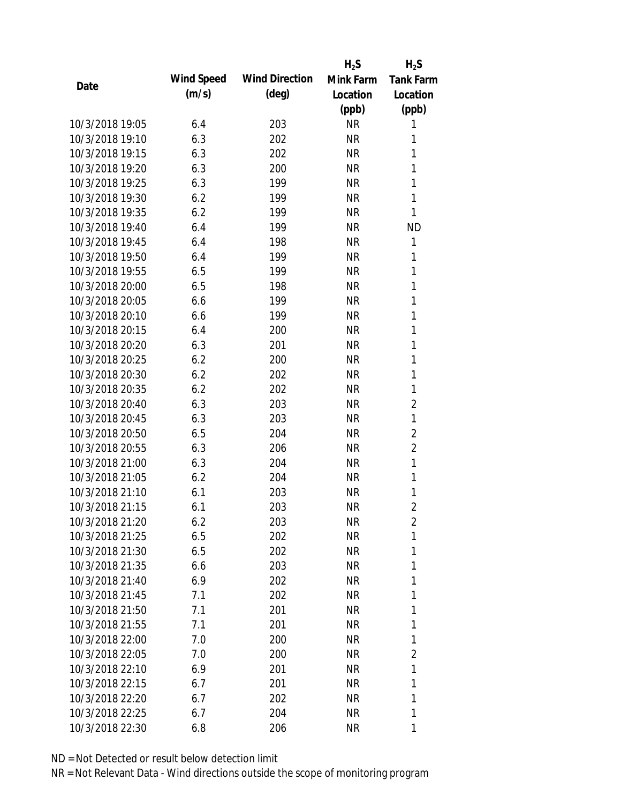|                 |            |                       | $H_2S$    | $H_2S$           |
|-----------------|------------|-----------------------|-----------|------------------|
| Date            | Wind Speed | <b>Wind Direction</b> | Mink Farm | <b>Tank Farm</b> |
|                 | (m/s)      | $(\text{deg})$        | Location  | Location         |
|                 |            |                       | (ppb)     | (ppb)            |
| 10/3/2018 19:05 | 6.4        | 203                   | <b>NR</b> | 1                |
| 10/3/2018 19:10 | 6.3        | 202                   | <b>NR</b> | 1                |
| 10/3/2018 19:15 | 6.3        | 202                   | <b>NR</b> | 1                |
| 10/3/2018 19:20 | 6.3        | 200                   | <b>NR</b> | 1                |
| 10/3/2018 19:25 | 6.3        | 199                   | <b>NR</b> | 1                |
| 10/3/2018 19:30 | 6.2        | 199                   | <b>NR</b> | 1                |
| 10/3/2018 19:35 | 6.2        | 199                   | <b>NR</b> | 1                |
| 10/3/2018 19:40 | 6.4        | 199                   | <b>NR</b> | <b>ND</b>        |
| 10/3/2018 19:45 | 6.4        | 198                   | <b>NR</b> | 1                |
| 10/3/2018 19:50 | 6.4        | 199                   | <b>NR</b> | 1                |
| 10/3/2018 19:55 | 6.5        | 199                   | <b>NR</b> | 1                |
| 10/3/2018 20:00 | 6.5        | 198                   | <b>NR</b> | 1                |
| 10/3/2018 20:05 | 6.6        | 199                   | <b>NR</b> | 1                |
| 10/3/2018 20:10 | 6.6        | 199                   | <b>NR</b> | 1                |
| 10/3/2018 20:15 | 6.4        | 200                   | <b>NR</b> | 1                |
| 10/3/2018 20:20 | 6.3        | 201                   | <b>NR</b> | 1                |
| 10/3/2018 20:25 | 6.2        | 200                   | <b>NR</b> | 1                |
| 10/3/2018 20:30 | 6.2        | 202                   | <b>NR</b> | $\mathbf{1}$     |
| 10/3/2018 20:35 | 6.2        | 202                   | <b>NR</b> | 1                |
| 10/3/2018 20:40 | 6.3        | 203                   | <b>NR</b> | $\overline{2}$   |
| 10/3/2018 20:45 | 6.3        | 203                   | <b>NR</b> | $\mathbf{1}$     |
| 10/3/2018 20:50 | 6.5        | 204                   | <b>NR</b> | $\overline{2}$   |
| 10/3/2018 20:55 | 6.3        | 206                   | <b>NR</b> | $\overline{2}$   |
| 10/3/2018 21:00 | 6.3        | 204                   | <b>NR</b> | 1                |
| 10/3/2018 21:05 | 6.2        | 204                   | <b>NR</b> | $\mathbf{1}$     |
| 10/3/2018 21:10 | 6.1        | 203                   | <b>NR</b> | 1                |
| 10/3/2018 21:15 | 6.1        | 203                   | <b>NR</b> | $\overline{2}$   |
| 10/3/2018 21:20 | 6.2        | 203                   | <b>NR</b> | $\overline{2}$   |
| 10/3/2018 21:25 | 6.5        | 202                   | <b>NR</b> | 1                |
| 10/3/2018 21:30 | 6.5        | 202                   | NR        | 1                |
| 10/3/2018 21:35 | 6.6        | 203                   | <b>NR</b> | 1                |
| 10/3/2018 21:40 | 6.9        | 202                   | <b>NR</b> | 1                |
| 10/3/2018 21:45 | 7.1        | 202                   | NR        | 1                |
| 10/3/2018 21:50 | 7.1        | 201                   | <b>NR</b> | 1                |
| 10/3/2018 21:55 | 7.1        | 201                   | <b>NR</b> | 1                |
| 10/3/2018 22:00 | 7.0        | 200                   | NR        | 1                |
| 10/3/2018 22:05 | 7.0        | 200                   | NR        | 2                |
| 10/3/2018 22:10 | 6.9        | 201                   | NR        | 1                |
| 10/3/2018 22:15 | 6.7        | 201                   | NR        | 1                |
| 10/3/2018 22:20 | 6.7        | 202                   | <b>NR</b> | 1                |
| 10/3/2018 22:25 | 6.7        | 204                   | <b>NR</b> | 1                |
| 10/3/2018 22:30 | 6.8        | 206                   | <b>NR</b> | 1                |
|                 |            |                       |           |                  |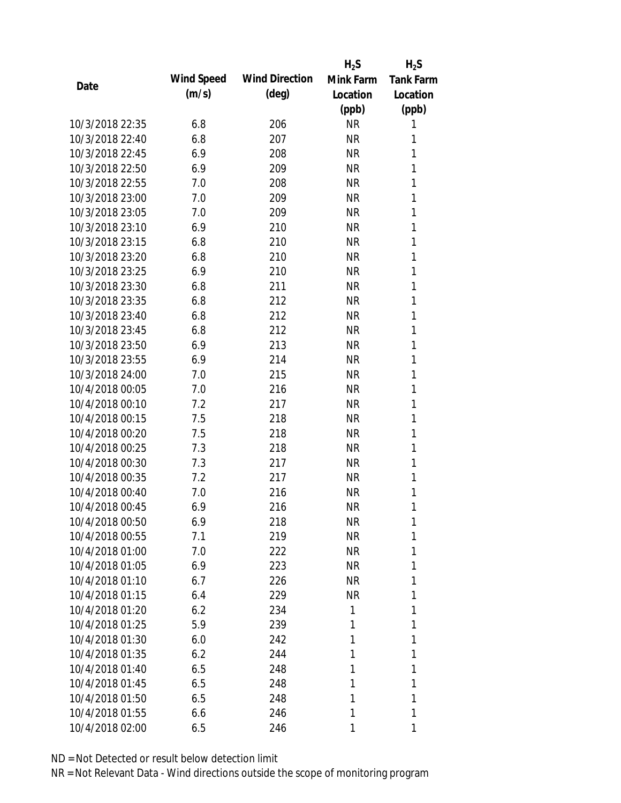|                 |            |                       | $H_2S$    | $H_2S$           |
|-----------------|------------|-----------------------|-----------|------------------|
| Date            | Wind Speed | <b>Wind Direction</b> | Mink Farm | <b>Tank Farm</b> |
|                 | (m/s)      | $(\text{deg})$        | Location  | Location         |
|                 |            |                       | (ppb)     | (ppb)            |
| 10/3/2018 22:35 | 6.8        | 206                   | <b>NR</b> | 1                |
| 10/3/2018 22:40 | 6.8        | 207                   | <b>NR</b> | 1                |
| 10/3/2018 22:45 | 6.9        | 208                   | <b>NR</b> | 1                |
| 10/3/2018 22:50 | 6.9        | 209                   | <b>NR</b> | 1                |
| 10/3/2018 22:55 | 7.0        | 208                   | <b>NR</b> | 1                |
| 10/3/2018 23:00 | 7.0        | 209                   | <b>NR</b> | 1                |
| 10/3/2018 23:05 | 7.0        | 209                   | <b>NR</b> | 1                |
| 10/3/2018 23:10 | 6.9        | 210                   | <b>NR</b> | 1                |
| 10/3/2018 23:15 | 6.8        | 210                   | <b>NR</b> | 1                |
| 10/3/2018 23:20 | 6.8        | 210                   | <b>NR</b> | 1                |
| 10/3/2018 23:25 | 6.9        | 210                   | <b>NR</b> | 1                |
| 10/3/2018 23:30 | 6.8        | 211                   | <b>NR</b> | 1                |
| 10/3/2018 23:35 | 6.8        | 212                   | <b>NR</b> | 1                |
| 10/3/2018 23:40 | 6.8        | 212                   | <b>NR</b> | 1                |
| 10/3/2018 23:45 | 6.8        | 212                   | <b>NR</b> | 1                |
| 10/3/2018 23:50 | 6.9        | 213                   | <b>NR</b> | 1                |
| 10/3/2018 23:55 | 6.9        | 214                   | <b>NR</b> | 1                |
| 10/3/2018 24:00 | 7.0        | 215                   | <b>NR</b> | 1                |
| 10/4/2018 00:05 | 7.0        | 216                   | <b>NR</b> | 1                |
| 10/4/2018 00:10 | 7.2        | 217                   | <b>NR</b> | 1                |
| 10/4/2018 00:15 | 7.5        | 218                   | <b>NR</b> | 1                |
| 10/4/2018 00:20 | 7.5        | 218                   | <b>NR</b> | 1                |
| 10/4/2018 00:25 | 7.3        | 218                   | <b>NR</b> | 1                |
| 10/4/2018 00:30 | 7.3        | 217                   | <b>NR</b> | 1                |
| 10/4/2018 00:35 | 7.2        | 217                   | <b>NR</b> | 1                |
| 10/4/2018 00:40 | 7.0        | 216                   | <b>NR</b> | 1                |
| 10/4/2018 00:45 | 6.9        | 216                   | <b>NR</b> | 1                |
| 10/4/2018 00:50 | 6.9        | 218                   | <b>NR</b> | 1                |
| 10/4/2018 00:55 | 7.1        | 219                   | <b>NR</b> | 1                |
| 10/4/2018 01:00 | 7.0        | 222                   | <b>NR</b> | 1                |
| 10/4/2018 01:05 | 6.9        | 223                   | <b>NR</b> | 1                |
| 10/4/2018 01:10 | 6.7        | 226                   | <b>NR</b> | 1                |
| 10/4/2018 01:15 | 6.4        | 229                   | NR        | 1                |
| 10/4/2018 01:20 | 6.2        | 234                   | 1         | 1                |
| 10/4/2018 01:25 | 5.9        | 239                   | 1         | 1                |
| 10/4/2018 01:30 | 6.0        | 242                   | 1         | 1                |
| 10/4/2018 01:35 | 6.2        | 244                   | 1         | 1                |
| 10/4/2018 01:40 | 6.5        | 248                   | 1         | 1                |
| 10/4/2018 01:45 | 6.5        | 248                   | 1         | 1                |
| 10/4/2018 01:50 | 6.5        | 248                   | 1         | 1                |
| 10/4/2018 01:55 | 6.6        | 246                   | 1         | 1                |
| 10/4/2018 02:00 | 6.5        | 246                   | 1         | 1                |
|                 |            |                       |           |                  |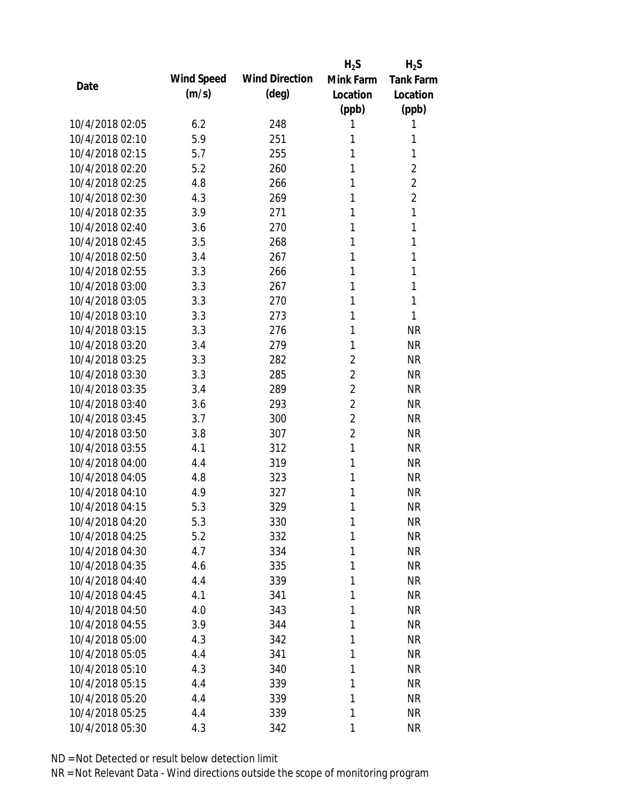|                 |            |                       | $H_2S$         | $H_2S$         |
|-----------------|------------|-----------------------|----------------|----------------|
| Date            | Wind Speed | <b>Wind Direction</b> | Mink Farm      | Tank Farm      |
|                 | (m/s)      | $(\text{deg})$        | Location       | Location       |
|                 |            |                       | (ppb)          | (ppb)          |
| 10/4/2018 02:05 | 6.2        | 248                   | 1              | 1              |
| 10/4/2018 02:10 | 5.9        | 251                   | 1              | 1              |
| 10/4/2018 02:15 | 5.7        | 255                   | 1              | 1              |
| 10/4/2018 02:20 | 5.2        | 260                   | 1              | $\overline{2}$ |
| 10/4/2018 02:25 | 4.8        | 266                   | 1              | $\overline{2}$ |
| 10/4/2018 02:30 | 4.3        | 269                   | 1              | $\overline{2}$ |
| 10/4/2018 02:35 | 3.9        | 271                   | 1              | 1              |
| 10/4/2018 02:40 | 3.6        | 270                   | 1              | 1              |
| 10/4/2018 02:45 | 3.5        | 268                   | 1              | 1              |
| 10/4/2018 02:50 | 3.4        | 267                   | 1              | 1              |
| 10/4/2018 02:55 | 3.3        | 266                   | 1              | 1              |
| 10/4/2018 03:00 | 3.3        | 267                   | 1              | 1              |
| 10/4/2018 03:05 | 3.3        | 270                   | 1              | 1              |
| 10/4/2018 03:10 | 3.3        | 273                   | 1              | 1              |
| 10/4/2018 03:15 | 3.3        | 276                   | 1              | <b>NR</b>      |
| 10/4/2018 03:20 | 3.4        | 279                   | 1              | <b>NR</b>      |
| 10/4/2018 03:25 | 3.3        | 282                   | $\overline{2}$ | <b>NR</b>      |
| 10/4/2018 03:30 | 3.3        | 285                   | $\overline{2}$ | <b>NR</b>      |
| 10/4/2018 03:35 | 3.4        | 289                   | $\overline{2}$ | <b>NR</b>      |
| 10/4/2018 03:40 | 3.6        | 293                   | $\overline{2}$ | <b>NR</b>      |
| 10/4/2018 03:45 | 3.7        | 300                   | $\overline{2}$ | <b>NR</b>      |
| 10/4/2018 03:50 | 3.8        | 307                   | $\overline{2}$ | <b>NR</b>      |
| 10/4/2018 03:55 | 4.1        | 312                   | 1              | <b>NR</b>      |
| 10/4/2018 04:00 | 4.4        | 319                   | 1              | <b>NR</b>      |
| 10/4/2018 04:05 | 4.8        | 323                   | 1              | <b>NR</b>      |
| 10/4/2018 04:10 | 4.9        | 327                   | 1              | <b>NR</b>      |
| 10/4/2018 04:15 | 5.3        | 329                   | 1              | <b>NR</b>      |
| 10/4/2018 04:20 | 5.3        | 330                   | 1              | <b>NR</b>      |
| 10/4/2018 04:25 | 5.2        | 332                   | 1              | <b>NR</b>      |
| 10/4/2018 04:30 | 4.7        | 334                   | 1              | <b>NR</b>      |
| 10/4/2018 04:35 | 4.6        | 335                   | 1              | <b>NR</b>      |
| 10/4/2018 04:40 | 4.4        | 339                   | 1              | <b>NR</b>      |
| 10/4/2018 04:45 | 4.1        | 341                   | 1              | <b>NR</b>      |
| 10/4/2018 04:50 | 4.0        | 343                   | 1              | <b>NR</b>      |
| 10/4/2018 04:55 | 3.9        | 344                   | 1              | <b>NR</b>      |
| 10/4/2018 05:00 | 4.3        | 342                   | 1              | <b>NR</b>      |
| 10/4/2018 05:05 | 4.4        | 341                   | 1              | <b>NR</b>      |
| 10/4/2018 05:10 | 4.3        | 340                   | 1              | <b>NR</b>      |
| 10/4/2018 05:15 | 4.4        | 339                   | 1              | <b>NR</b>      |
| 10/4/2018 05:20 | 4.4        | 339                   | 1              | <b>NR</b>      |
| 10/4/2018 05:25 | 4.4        | 339                   | 1              | <b>NR</b>      |
| 10/4/2018 05:30 | 4.3        | 342                   | 1              | <b>NR</b>      |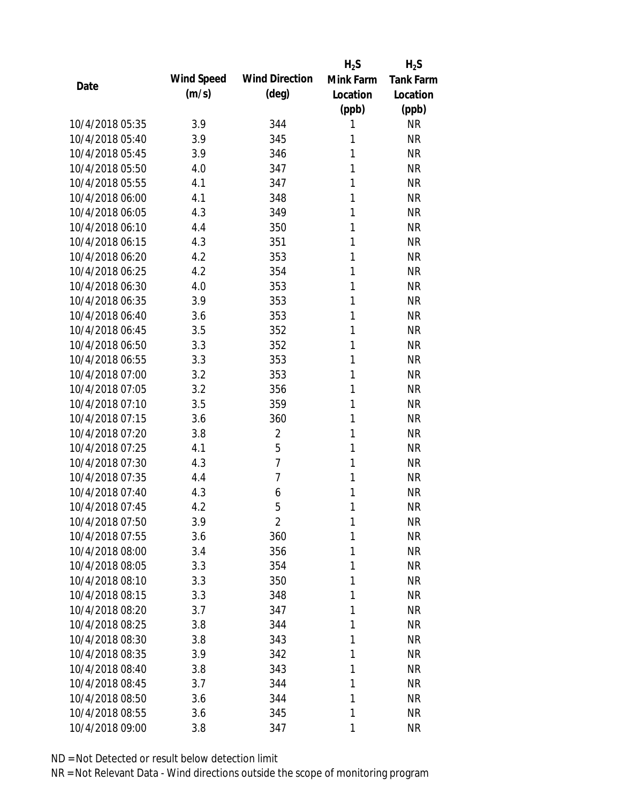|      |                 |            |                       | $H_2S$    | $H_2S$           |
|------|-----------------|------------|-----------------------|-----------|------------------|
| Date |                 | Wind Speed | <b>Wind Direction</b> | Mink Farm | <b>Tank Farm</b> |
|      |                 | (m/s)      | $(\text{deg})$        | Location  | Location         |
|      |                 |            |                       | (ppb)     | (ppb)            |
|      | 10/4/2018 05:35 | 3.9        | 344                   | 1         | <b>NR</b>        |
|      | 10/4/2018 05:40 | 3.9        | 345                   | 1         | <b>NR</b>        |
|      | 10/4/2018 05:45 | 3.9        | 346                   | 1         | <b>NR</b>        |
|      | 10/4/2018 05:50 | 4.0        | 347                   | 1         | <b>NR</b>        |
|      | 10/4/2018 05:55 | 4.1        | 347                   | 1         | <b>NR</b>        |
|      | 10/4/2018 06:00 | 4.1        | 348                   | 1         | <b>NR</b>        |
|      | 10/4/2018 06:05 | 4.3        | 349                   | 1         | <b>NR</b>        |
|      | 10/4/2018 06:10 | 4.4        | 350                   | 1         | <b>NR</b>        |
|      | 10/4/2018 06:15 | 4.3        | 351                   | 1         | <b>NR</b>        |
|      | 10/4/2018 06:20 | 4.2        | 353                   | 1         | <b>NR</b>        |
|      | 10/4/2018 06:25 | 4.2        | 354                   | 1         | <b>NR</b>        |
|      | 10/4/2018 06:30 | 4.0        | 353                   | 1         | <b>NR</b>        |
|      | 10/4/2018 06:35 | 3.9        | 353                   | 1         | <b>NR</b>        |
|      | 10/4/2018 06:40 | 3.6        | 353                   | 1         | <b>NR</b>        |
|      | 10/4/2018 06:45 | 3.5        | 352                   | 1         | <b>NR</b>        |
|      | 10/4/2018 06:50 | 3.3        | 352                   | 1         | <b>NR</b>        |
|      | 10/4/2018 06:55 | 3.3        | 353                   | 1         | <b>NR</b>        |
|      | 10/4/2018 07:00 | 3.2        | 353                   | 1         | <b>NR</b>        |
|      | 10/4/2018 07:05 | 3.2        | 356                   | 1         | <b>NR</b>        |
|      | 10/4/2018 07:10 | 3.5        | 359                   | 1         | <b>NR</b>        |
|      | 10/4/2018 07:15 | 3.6        | 360                   | 1         | <b>NR</b>        |
|      | 10/4/2018 07:20 | 3.8        | $\overline{2}$        | 1         | <b>NR</b>        |
|      | 10/4/2018 07:25 | 4.1        | 5                     | 1         | <b>NR</b>        |
|      | 10/4/2018 07:30 | 4.3        | $\overline{7}$        | 1         | <b>NR</b>        |
|      | 10/4/2018 07:35 | 4.4        | $\overline{7}$        | 1         | <b>NR</b>        |
|      | 10/4/2018 07:40 | 4.3        | 6                     | 1         | <b>NR</b>        |
|      | 10/4/2018 07:45 | 4.2        | 5                     | 1         | <b>NR</b>        |
|      | 10/4/2018 07:50 | 3.9        | $\overline{2}$        | 1         | <b>NR</b>        |
|      | 10/4/2018 07:55 | 3.6        | 360                   | 1         | <b>NR</b>        |
|      | 10/4/2018 08:00 | 3.4        | 356                   | 1         | <b>NR</b>        |
|      | 10/4/2018 08:05 | 3.3        | 354                   | 1         | <b>NR</b>        |
|      | 10/4/2018 08:10 | 3.3        | 350                   | 1         | <b>NR</b>        |
|      | 10/4/2018 08:15 | 3.3        | 348                   | 1         | <b>NR</b>        |
|      | 10/4/2018 08:20 | 3.7        | 347                   | 1         | <b>NR</b>        |
|      | 10/4/2018 08:25 | 3.8        | 344                   | 1         | <b>NR</b>        |
|      | 10/4/2018 08:30 | 3.8        |                       | 1         | <b>NR</b>        |
|      |                 |            | 343                   |           |                  |
|      | 10/4/2018 08:35 | 3.9        | 342                   | 1         | <b>NR</b>        |
|      | 10/4/2018 08:40 | 3.8        | 343                   | 1         | <b>NR</b>        |
|      | 10/4/2018 08:45 | 3.7        | 344                   | 1         | <b>NR</b>        |
|      | 10/4/2018 08:50 | 3.6        | 344                   | 1         | <b>NR</b>        |
|      | 10/4/2018 08:55 | 3.6        | 345                   | 1         | <b>NR</b>        |
|      | 10/4/2018 09:00 | 3.8        | 347                   | 1         | <b>NR</b>        |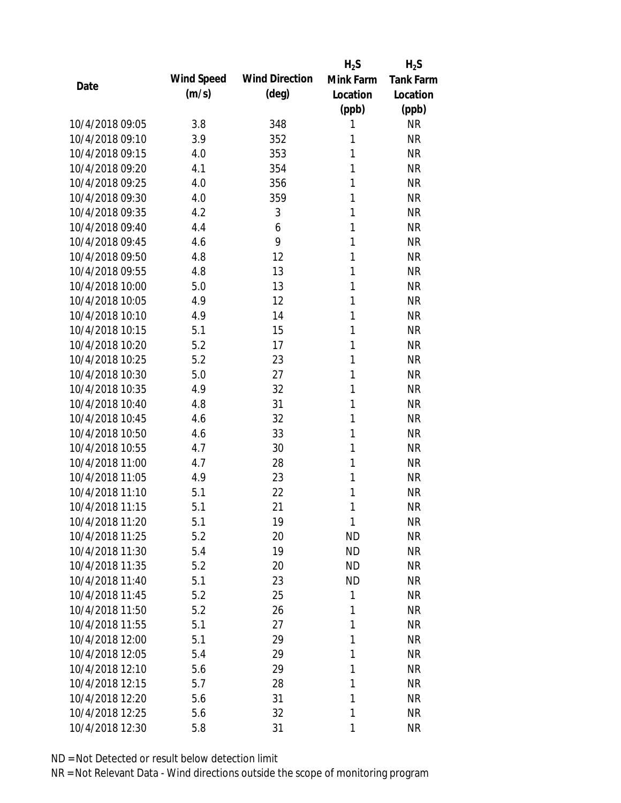|                 |            |                       | $H_2S$    | $H_2S$           |
|-----------------|------------|-----------------------|-----------|------------------|
|                 | Wind Speed | <b>Wind Direction</b> | Mink Farm | <b>Tank Farm</b> |
| Date            | (m/s)      | $(\text{deg})$        | Location  | Location         |
|                 |            |                       | (ppb)     | (ppb)            |
| 10/4/2018 09:05 | 3.8        | 348                   | 1         | <b>NR</b>        |
| 10/4/2018 09:10 | 3.9        | 352                   | 1         | <b>NR</b>        |
| 10/4/2018 09:15 | 4.0        | 353                   | 1         | <b>NR</b>        |
| 10/4/2018 09:20 | 4.1        | 354                   | 1         | <b>NR</b>        |
| 10/4/2018 09:25 | 4.0        | 356                   | 1         | <b>NR</b>        |
| 10/4/2018 09:30 | 4.0        | 359                   | 1         | <b>NR</b>        |
| 10/4/2018 09:35 | 4.2        | 3                     | 1         | <b>NR</b>        |
| 10/4/2018 09:40 | 4.4        | 6                     | 1         | <b>NR</b>        |
| 10/4/2018 09:45 | 4.6        | 9                     | 1         | <b>NR</b>        |
| 10/4/2018 09:50 | 4.8        | 12                    | 1         | <b>NR</b>        |
| 10/4/2018 09:55 | 4.8        | 13                    | 1         | <b>NR</b>        |
| 10/4/2018 10:00 | 5.0        | 13                    | 1         | <b>NR</b>        |
| 10/4/2018 10:05 | 4.9        | 12                    | 1         | <b>NR</b>        |
| 10/4/2018 10:10 | 4.9        | 14                    | 1         | <b>NR</b>        |
| 10/4/2018 10:15 | 5.1        | 15                    | 1         | <b>NR</b>        |
| 10/4/2018 10:20 | 5.2        | 17                    | 1         | <b>NR</b>        |
| 10/4/2018 10:25 | 5.2        | 23                    | 1         | <b>NR</b>        |
| 10/4/2018 10:30 | 5.0        | 27                    | 1         | <b>NR</b>        |
| 10/4/2018 10:35 | 4.9        | 32                    | 1         | <b>NR</b>        |
| 10/4/2018 10:40 | 4.8        | 31                    | 1         | <b>NR</b>        |
| 10/4/2018 10:45 | 4.6        | 32                    | 1         | <b>NR</b>        |
| 10/4/2018 10:50 | 4.6        | 33                    | 1         | <b>NR</b>        |
| 10/4/2018 10:55 | 4.7        | 30                    | 1         | <b>NR</b>        |
| 10/4/2018 11:00 | 4.7        | 28                    | 1         | <b>NR</b>        |
| 10/4/2018 11:05 | 4.9        | 23                    | 1         | <b>NR</b>        |
| 10/4/2018 11:10 | 5.1        | 22                    | 1         | <b>NR</b>        |
| 10/4/2018 11:15 | 5.1        | 21                    | 1         | <b>NR</b>        |
| 10/4/2018 11:20 | 5.1        | 19                    | 1         | <b>NR</b>        |
| 10/4/2018 11:25 | 5.2        | 20                    | <b>ND</b> | <b>NR</b>        |
| 10/4/2018 11:30 | 5.4        | 19                    | <b>ND</b> | <b>NR</b>        |
| 10/4/2018 11:35 | 5.2        | 20                    | <b>ND</b> | <b>NR</b>        |
| 10/4/2018 11:40 | 5.1        | 23                    | <b>ND</b> | <b>NR</b>        |
| 10/4/2018 11:45 | 5.2        | 25                    | 1         | <b>NR</b>        |
| 10/4/2018 11:50 | 5.2        | 26                    | 1         | <b>NR</b>        |
| 10/4/2018 11:55 | 5.1        | 27                    | 1         | <b>NR</b>        |
| 10/4/2018 12:00 | 5.1        | 29                    | 1         | <b>NR</b>        |
| 10/4/2018 12:05 | 5.4        | 29                    | 1         | <b>NR</b>        |
| 10/4/2018 12:10 | 5.6        | 29                    | 1         | <b>NR</b>        |
| 10/4/2018 12:15 | 5.7        | 28                    | 1         | <b>NR</b>        |
| 10/4/2018 12:20 | 5.6        | 31                    | 1         | <b>NR</b>        |
| 10/4/2018 12:25 | 5.6        | 32                    | 1         | <b>NR</b>        |
| 10/4/2018 12:30 | 5.8        | 31                    | 1         | <b>NR</b>        |
|                 |            |                       |           |                  |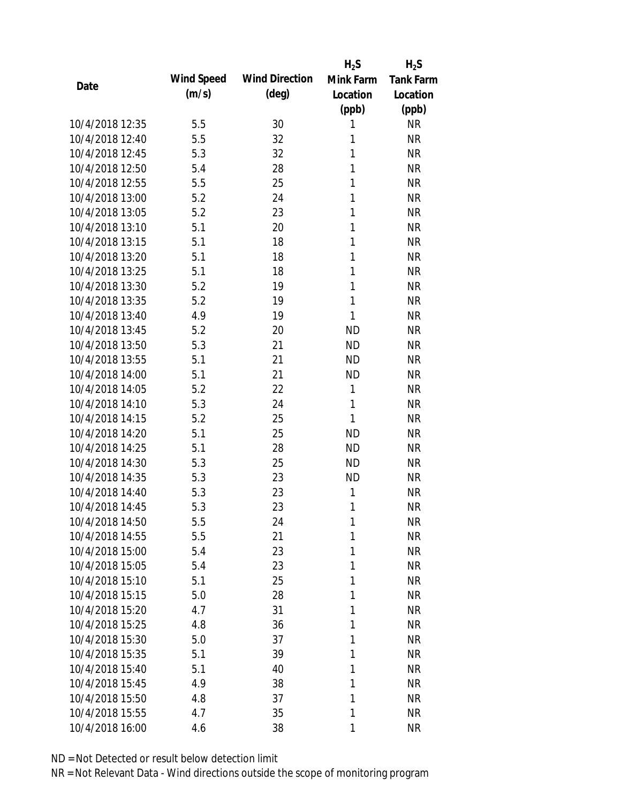|                 |            |                       | $H_2S$       | $H_2S$           |
|-----------------|------------|-----------------------|--------------|------------------|
| Date            | Wind Speed | <b>Wind Direction</b> | Mink Farm    | <b>Tank Farm</b> |
|                 | (m/s)      | $(\text{deg})$        | Location     | Location         |
|                 |            |                       | (ppb)        | (ppb)            |
| 10/4/2018 12:35 | 5.5        | 30                    | 1            | <b>NR</b>        |
| 10/4/2018 12:40 | 5.5        | 32                    | 1            | <b>NR</b>        |
| 10/4/2018 12:45 | 5.3        | 32                    | 1            | <b>NR</b>        |
| 10/4/2018 12:50 | 5.4        | 28                    | $\mathbf{1}$ | <b>NR</b>        |
| 10/4/2018 12:55 | 5.5        | 25                    | 1            | <b>NR</b>        |
| 10/4/2018 13:00 | 5.2        | 24                    | 1            | <b>NR</b>        |
| 10/4/2018 13:05 | 5.2        | 23                    | 1            | <b>NR</b>        |
| 10/4/2018 13:10 | 5.1        | 20                    | 1            | <b>NR</b>        |
| 10/4/2018 13:15 | 5.1        | 18                    | 1            | <b>NR</b>        |
| 10/4/2018 13:20 | 5.1        | 18                    | 1            | <b>NR</b>        |
| 10/4/2018 13:25 | 5.1        | 18                    | 1            | <b>NR</b>        |
| 10/4/2018 13:30 | 5.2        | 19                    | 1            | <b>NR</b>        |
| 10/4/2018 13:35 | 5.2        | 19                    | 1            | <b>NR</b>        |
| 10/4/2018 13:40 | 4.9        | 19                    | 1            | <b>NR</b>        |
| 10/4/2018 13:45 | 5.2        | 20                    | <b>ND</b>    | <b>NR</b>        |
| 10/4/2018 13:50 | 5.3        | 21                    | <b>ND</b>    | <b>NR</b>        |
| 10/4/2018 13:55 | 5.1        | 21                    | <b>ND</b>    | <b>NR</b>        |
| 10/4/2018 14:00 | 5.1        | 21                    | <b>ND</b>    | <b>NR</b>        |
| 10/4/2018 14:05 | 5.2        | 22                    | $\mathbf{1}$ | <b>NR</b>        |
| 10/4/2018 14:10 | 5.3        | 24                    | 1            | <b>NR</b>        |
| 10/4/2018 14:15 | 5.2        | 25                    | 1            | <b>NR</b>        |
| 10/4/2018 14:20 | 5.1        | 25                    | <b>ND</b>    | <b>NR</b>        |
| 10/4/2018 14:25 | 5.1        | 28                    | <b>ND</b>    | <b>NR</b>        |
| 10/4/2018 14:30 | 5.3        | 25                    | <b>ND</b>    | <b>NR</b>        |
| 10/4/2018 14:35 | 5.3        | 23                    | <b>ND</b>    | <b>NR</b>        |
| 10/4/2018 14:40 | 5.3        | 23                    | 1            | <b>NR</b>        |
| 10/4/2018 14:45 | 5.3        | 23                    | 1            | <b>NR</b>        |
| 10/4/2018 14:50 | 5.5        | 24                    | $\mathbf{1}$ | <b>NR</b>        |
| 10/4/2018 14:55 | 5.5        | 21                    | 1            | <b>NR</b>        |
| 10/4/2018 15:00 | 5.4        | 23                    | 1            | <b>NR</b>        |
| 10/4/2018 15:05 | 5.4        | 23                    | 1            | <b>NR</b>        |
| 10/4/2018 15:10 | 5.1        | 25                    | 1            | <b>NR</b>        |
| 10/4/2018 15:15 | 5.0        | 28                    | 1            | <b>NR</b>        |
| 10/4/2018 15:20 | 4.7        | 31                    | 1            | <b>NR</b>        |
| 10/4/2018 15:25 | 4.8        | 36                    | 1            | <b>NR</b>        |
| 10/4/2018 15:30 | 5.0        | 37                    | 1            | <b>NR</b>        |
| 10/4/2018 15:35 | 5.1        | 39                    | 1            | <b>NR</b>        |
| 10/4/2018 15:40 | 5.1        | 40                    | 1            | <b>NR</b>        |
| 10/4/2018 15:45 | 4.9        | 38                    | 1            | <b>NR</b>        |
| 10/4/2018 15:50 | 4.8        | 37                    | 1            | <b>NR</b>        |
| 10/4/2018 15:55 | 4.7        | 35                    | 1            | <b>NR</b>        |
| 10/4/2018 16:00 | 4.6        | 38                    | 1            | <b>NR</b>        |
|                 |            |                       |              |                  |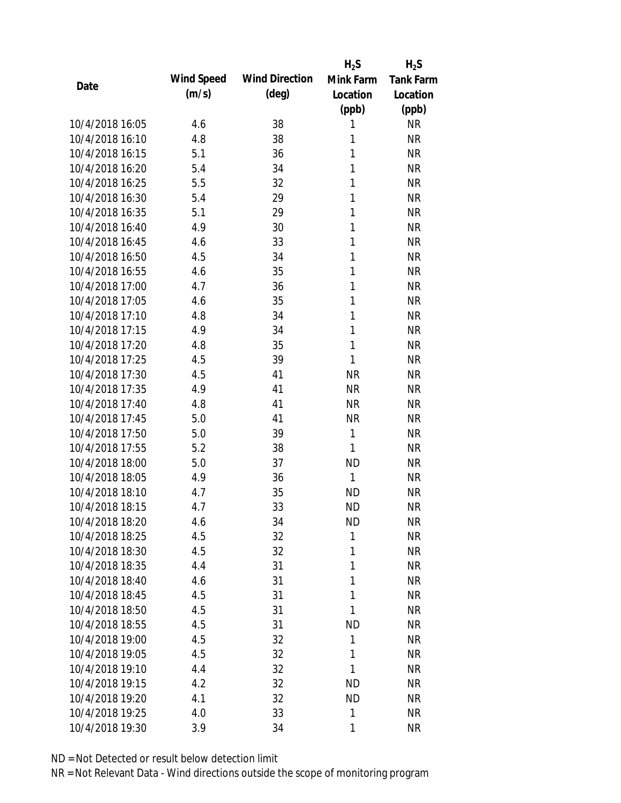|                 |            |                       | $H_2S$       | $H_2S$           |
|-----------------|------------|-----------------------|--------------|------------------|
| Date            | Wind Speed | <b>Wind Direction</b> | Mink Farm    | <b>Tank Farm</b> |
|                 | (m/s)      | $(\text{deg})$        | Location     | Location         |
|                 |            |                       | (ppb)        | (ppb)            |
| 10/4/2018 16:05 | 4.6        | 38                    | 1            | <b>NR</b>        |
| 10/4/2018 16:10 | 4.8        | 38                    | 1            | <b>NR</b>        |
| 10/4/2018 16:15 | 5.1        | 36                    | 1            | <b>NR</b>        |
| 10/4/2018 16:20 | 5.4        | 34                    | 1            | <b>NR</b>        |
| 10/4/2018 16:25 | 5.5        | 32                    | 1            | <b>NR</b>        |
| 10/4/2018 16:30 | 5.4        | 29                    | 1            | <b>NR</b>        |
| 10/4/2018 16:35 | 5.1        | 29                    | 1            | <b>NR</b>        |
| 10/4/2018 16:40 | 4.9        | 30                    | 1            | <b>NR</b>        |
| 10/4/2018 16:45 | 4.6        | 33                    | 1            | <b>NR</b>        |
| 10/4/2018 16:50 | 4.5        | 34                    | 1            | <b>NR</b>        |
| 10/4/2018 16:55 | 4.6        | 35                    | 1            | <b>NR</b>        |
| 10/4/2018 17:00 | 4.7        | 36                    | 1            | <b>NR</b>        |
| 10/4/2018 17:05 | 4.6        | 35                    | 1            | <b>NR</b>        |
| 10/4/2018 17:10 | 4.8        | 34                    | 1            | <b>NR</b>        |
| 10/4/2018 17:15 | 4.9        | 34                    | 1            | <b>NR</b>        |
| 10/4/2018 17:20 | 4.8        | 35                    | 1            | <b>NR</b>        |
| 10/4/2018 17:25 | 4.5        | 39                    | 1            | <b>NR</b>        |
| 10/4/2018 17:30 | 4.5        | 41                    | <b>NR</b>    | <b>NR</b>        |
| 10/4/2018 17:35 | 4.9        | 41                    | <b>NR</b>    | <b>NR</b>        |
| 10/4/2018 17:40 | 4.8        | 41                    | <b>NR</b>    | <b>NR</b>        |
| 10/4/2018 17:45 | 5.0        | 41                    | <b>NR</b>    | <b>NR</b>        |
| 10/4/2018 17:50 | 5.0        | 39                    | $\mathbf{1}$ | <b>NR</b>        |
| 10/4/2018 17:55 | 5.2        | 38                    | 1            | <b>NR</b>        |
| 10/4/2018 18:00 | 5.0        | 37                    | <b>ND</b>    | <b>NR</b>        |
| 10/4/2018 18:05 | 4.9        | 36                    | 1            | <b>NR</b>        |
| 10/4/2018 18:10 | 4.7        | 35                    | <b>ND</b>    | <b>NR</b>        |
| 10/4/2018 18:15 | 4.7        | 33                    | <b>ND</b>    | <b>NR</b>        |
| 10/4/2018 18:20 | 4.6        | 34                    | ND           | <b>NR</b>        |
| 10/4/2018 18:25 | 4.5        | 32                    | 1            | <b>NR</b>        |
| 10/4/2018 18:30 | 4.5        | 32                    | 1            | <b>NR</b>        |
| 10/4/2018 18:35 | 4.4        | 31                    | 1            | <b>NR</b>        |
| 10/4/2018 18:40 | 4.6        | 31                    | 1            | NR               |
| 10/4/2018 18:45 | 4.5        | 31                    | 1            | <b>NR</b>        |
| 10/4/2018 18:50 | 4.5        | 31                    | 1            | NR               |
| 10/4/2018 18:55 | 4.5        | 31                    | <b>ND</b>    | NR               |
| 10/4/2018 19:00 | 4.5        | 32                    | 1            | <b>NR</b>        |
|                 |            |                       | 1            |                  |
| 10/4/2018 19:05 | 4.5        | 32                    | 1            | <b>NR</b>        |
| 10/4/2018 19:10 | 4.4        | 32                    |              | <b>NR</b>        |
| 10/4/2018 19:15 | 4.2        | 32                    | <b>ND</b>    | NR               |
| 10/4/2018 19:20 | 4.1        | 32                    | <b>ND</b>    | NR               |
| 10/4/2018 19:25 | 4.0        | 33                    | 1            | <b>NR</b>        |
| 10/4/2018 19:30 | 3.9        | 34                    | 1            | <b>NR</b>        |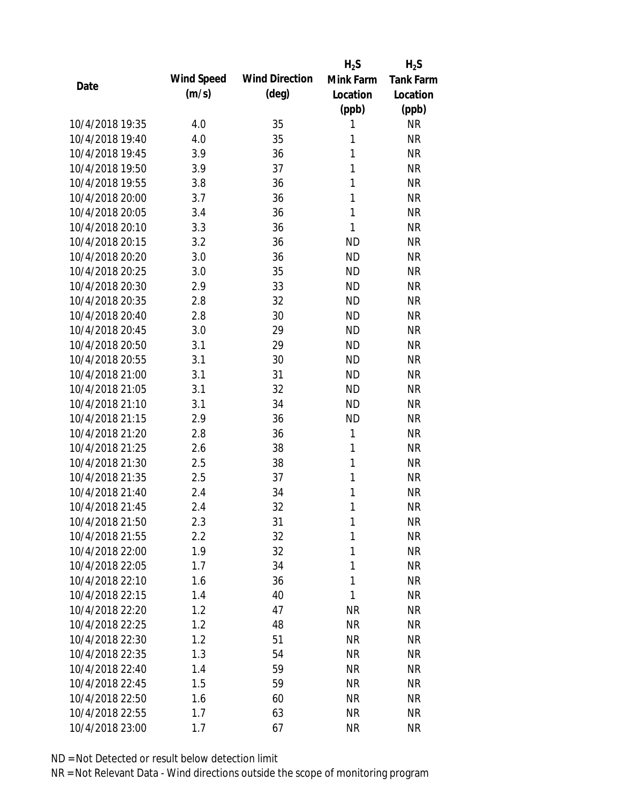|                 |            |                       | $H_2S$       | $H_2S$           |
|-----------------|------------|-----------------------|--------------|------------------|
| Date            | Wind Speed | <b>Wind Direction</b> | Mink Farm    | <b>Tank Farm</b> |
|                 | (m/s)      | $(\text{deg})$        | Location     | Location         |
|                 |            |                       | (ppb)        | (ppb)            |
| 10/4/2018 19:35 | 4.0        | 35                    | 1            | <b>NR</b>        |
| 10/4/2018 19:40 | 4.0        | 35                    | 1            | <b>NR</b>        |
| 10/4/2018 19:45 | 3.9        | 36                    | 1            | <b>NR</b>        |
| 10/4/2018 19:50 | 3.9        | 37                    | $\mathbf{1}$ | <b>NR</b>        |
| 10/4/2018 19:55 | 3.8        | 36                    | 1            | <b>NR</b>        |
| 10/4/2018 20:00 | 3.7        | 36                    | 1            | <b>NR</b>        |
| 10/4/2018 20:05 | 3.4        | 36                    | 1            | <b>NR</b>        |
| 10/4/2018 20:10 | 3.3        | 36                    | 1            | <b>NR</b>        |
| 10/4/2018 20:15 | 3.2        | 36                    | <b>ND</b>    | <b>NR</b>        |
| 10/4/2018 20:20 | 3.0        | 36                    | <b>ND</b>    | <b>NR</b>        |
| 10/4/2018 20:25 | 3.0        | 35                    | <b>ND</b>    | <b>NR</b>        |
| 10/4/2018 20:30 | 2.9        | 33                    | <b>ND</b>    | <b>NR</b>        |
| 10/4/2018 20:35 | 2.8        | 32                    | <b>ND</b>    | <b>NR</b>        |
| 10/4/2018 20:40 | 2.8        | 30                    | <b>ND</b>    | <b>NR</b>        |
| 10/4/2018 20:45 | 3.0        | 29                    | <b>ND</b>    | <b>NR</b>        |
| 10/4/2018 20:50 | 3.1        | 29                    | <b>ND</b>    | <b>NR</b>        |
| 10/4/2018 20:55 | 3.1        | 30                    | <b>ND</b>    | <b>NR</b>        |
| 10/4/2018 21:00 | 3.1        | 31                    | <b>ND</b>    | <b>NR</b>        |
| 10/4/2018 21:05 | 3.1        | 32                    | <b>ND</b>    | <b>NR</b>        |
| 10/4/2018 21:10 | 3.1        | 34                    | <b>ND</b>    | <b>NR</b>        |
| 10/4/2018 21:15 | 2.9        | 36                    | <b>ND</b>    | <b>NR</b>        |
| 10/4/2018 21:20 | 2.8        | 36                    | 1            | <b>NR</b>        |
| 10/4/2018 21:25 | 2.6        | 38                    | 1            | <b>NR</b>        |
| 10/4/2018 21:30 | 2.5        | 38                    | 1            | <b>NR</b>        |
| 10/4/2018 21:35 | 2.5        | 37                    | 1            | <b>NR</b>        |
| 10/4/2018 21:40 | 2.4        | 34                    | 1            | <b>NR</b>        |
| 10/4/2018 21:45 | 2.4        | 32                    | 1            | <b>NR</b>        |
| 10/4/2018 21:50 | 2.3        | 31                    | 1            | <b>NR</b>        |
| 10/4/2018 21:55 | 2.2        | 32                    | 1            | <b>NR</b>        |
| 10/4/2018 22:00 | 1.9        | 32                    | 1            | <b>NR</b>        |
| 10/4/2018 22:05 | 1.7        | 34                    | 1            | <b>NR</b>        |
| 10/4/2018 22:10 | 1.6        | 36                    | 1            | <b>NR</b>        |
| 10/4/2018 22:15 | 1.4        | 40                    | 1            | <b>NR</b>        |
| 10/4/2018 22:20 | 1.2        | 47                    | <b>NR</b>    | <b>NR</b>        |
| 10/4/2018 22:25 | 1.2        | 48                    | <b>NR</b>    | <b>NR</b>        |
| 10/4/2018 22:30 | 1.2        | 51                    | <b>NR</b>    | <b>NR</b>        |
| 10/4/2018 22:35 | 1.3        | 54                    | <b>NR</b>    | <b>NR</b>        |
| 10/4/2018 22:40 | 1.4        | 59                    | NR           | <b>NR</b>        |
| 10/4/2018 22:45 | 1.5        | 59                    | <b>NR</b>    | <b>NR</b>        |
| 10/4/2018 22:50 | 1.6        | 60                    | <b>NR</b>    | <b>NR</b>        |
| 10/4/2018 22:55 | 1.7        | 63                    | <b>NR</b>    | <b>NR</b>        |
| 10/4/2018 23:00 | 1.7        | 67                    | <b>NR</b>    | <b>NR</b>        |
|                 |            |                       |              |                  |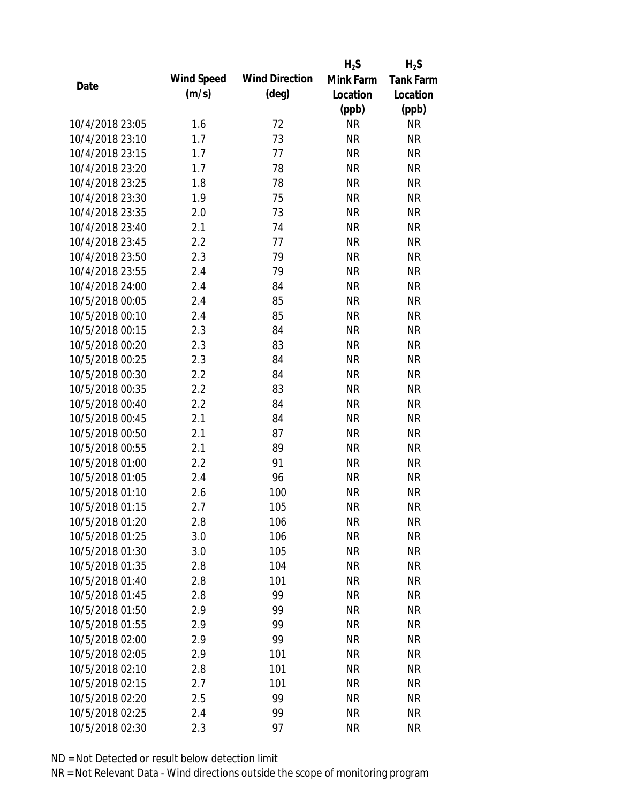|                 |            |                       | $H_2S$    | $H_2S$           |
|-----------------|------------|-----------------------|-----------|------------------|
|                 | Wind Speed | <b>Wind Direction</b> | Mink Farm | <b>Tank Farm</b> |
| Date            | (m/s)      | $(\text{deg})$        | Location  | Location         |
|                 |            |                       | (ppb)     | (ppb)            |
| 10/4/2018 23:05 | 1.6        | 72                    | <b>NR</b> | <b>NR</b>        |
| 10/4/2018 23:10 | 1.7        | 73                    | <b>NR</b> | <b>NR</b>        |
| 10/4/2018 23:15 | 1.7        | 77                    | <b>NR</b> | <b>NR</b>        |
| 10/4/2018 23:20 | 1.7        | 78                    | <b>NR</b> | <b>NR</b>        |
| 10/4/2018 23:25 | 1.8        | 78                    | <b>NR</b> | <b>NR</b>        |
| 10/4/2018 23:30 | 1.9        | 75                    | <b>NR</b> | <b>NR</b>        |
| 10/4/2018 23:35 | 2.0        | 73                    | <b>NR</b> | <b>NR</b>        |
| 10/4/2018 23:40 | 2.1        | 74                    | <b>NR</b> | <b>NR</b>        |
| 10/4/2018 23:45 | 2.2        | 77                    | <b>NR</b> | <b>NR</b>        |
| 10/4/2018 23:50 | 2.3        | 79                    | <b>NR</b> | <b>NR</b>        |
| 10/4/2018 23:55 | 2.4        | 79                    | <b>NR</b> | <b>NR</b>        |
| 10/4/2018 24:00 | 2.4        | 84                    | <b>NR</b> | <b>NR</b>        |
| 10/5/2018 00:05 | 2.4        | 85                    | <b>NR</b> | <b>NR</b>        |
| 10/5/2018 00:10 | 2.4        | 85                    | <b>NR</b> | <b>NR</b>        |
| 10/5/2018 00:15 | 2.3        | 84                    | <b>NR</b> | <b>NR</b>        |
| 10/5/2018 00:20 | 2.3        | 83                    | <b>NR</b> | <b>NR</b>        |
| 10/5/2018 00:25 | 2.3        | 84                    | <b>NR</b> | <b>NR</b>        |
| 10/5/2018 00:30 | 2.2        | 84                    | <b>NR</b> | <b>NR</b>        |
| 10/5/2018 00:35 | 2.2        | 83                    | <b>NR</b> | <b>NR</b>        |
| 10/5/2018 00:40 | 2.2        | 84                    | <b>NR</b> | <b>NR</b>        |
| 10/5/2018 00:45 | 2.1        | 84                    | <b>NR</b> | <b>NR</b>        |
| 10/5/2018 00:50 | 2.1        | 87                    | <b>NR</b> | <b>NR</b>        |
| 10/5/2018 00:55 | 2.1        | 89                    | <b>NR</b> | <b>NR</b>        |
| 10/5/2018 01:00 | 2.2        | 91                    | <b>NR</b> | <b>NR</b>        |
| 10/5/2018 01:05 | 2.4        | 96                    | <b>NR</b> | <b>NR</b>        |
| 10/5/2018 01:10 | 2.6        | 100                   | <b>NR</b> | <b>NR</b>        |
| 10/5/2018 01:15 | 2.7        | 105                   | <b>NR</b> | <b>NR</b>        |
| 10/5/2018 01:20 | 2.8        | 106                   | <b>NR</b> | <b>NR</b>        |
| 10/5/2018 01:25 | 3.0        | 106                   | <b>NR</b> | <b>NR</b>        |
| 10/5/2018 01:30 | 3.0        | 105                   | <b>NR</b> | <b>NR</b>        |
| 10/5/2018 01:35 | 2.8        | 104                   | <b>NR</b> | <b>NR</b>        |
| 10/5/2018 01:40 | 2.8        | 101                   | <b>NR</b> | <b>NR</b>        |
| 10/5/2018 01:45 | 2.8        | 99                    | <b>NR</b> | <b>NR</b>        |
| 10/5/2018 01:50 | 2.9        | 99                    | <b>NR</b> | <b>NR</b>        |
| 10/5/2018 01:55 | 2.9        | 99                    | <b>NR</b> | <b>NR</b>        |
| 10/5/2018 02:00 | 2.9        | 99                    | <b>NR</b> | <b>NR</b>        |
| 10/5/2018 02:05 | 2.9        | 101                   | <b>NR</b> | <b>NR</b>        |
| 10/5/2018 02:10 | 2.8        | 101                   | <b>NR</b> | <b>NR</b>        |
| 10/5/2018 02:15 | 2.7        | 101                   | <b>NR</b> | NR               |
| 10/5/2018 02:20 | 2.5        | 99                    | <b>NR</b> | NR               |
| 10/5/2018 02:25 | 2.4        | 99                    | <b>NR</b> | <b>NR</b>        |
| 10/5/2018 02:30 | 2.3        | 97                    | <b>NR</b> | <b>NR</b>        |
|                 |            |                       |           |                  |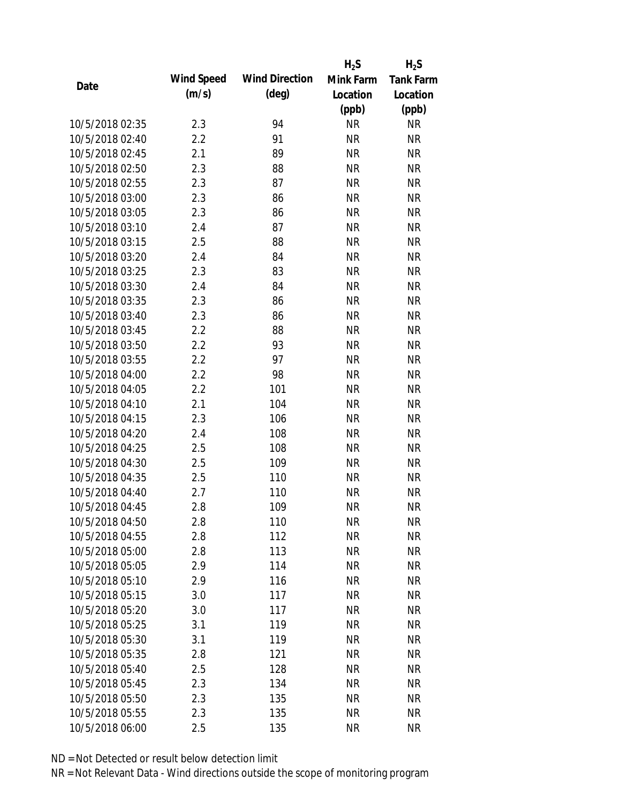|                 |            |                       | $H_2S$    | $H_2S$           |
|-----------------|------------|-----------------------|-----------|------------------|
| Date            | Wind Speed | <b>Wind Direction</b> | Mink Farm | <b>Tank Farm</b> |
|                 | (m/s)      | $(\text{deg})$        | Location  | Location         |
|                 |            |                       | (ppb)     | (ppb)            |
| 10/5/2018 02:35 | 2.3        | 94                    | <b>NR</b> | <b>NR</b>        |
| 10/5/2018 02:40 | 2.2        | 91                    | <b>NR</b> | <b>NR</b>        |
| 10/5/2018 02:45 | 2.1        | 89                    | <b>NR</b> | <b>NR</b>        |
| 10/5/2018 02:50 | 2.3        | 88                    | <b>NR</b> | <b>NR</b>        |
| 10/5/2018 02:55 | 2.3        | 87                    | <b>NR</b> | <b>NR</b>        |
| 10/5/2018 03:00 | 2.3        | 86                    | <b>NR</b> | <b>NR</b>        |
| 10/5/2018 03:05 | 2.3        | 86                    | <b>NR</b> | <b>NR</b>        |
| 10/5/2018 03:10 | 2.4        | 87                    | <b>NR</b> | <b>NR</b>        |
| 10/5/2018 03:15 | 2.5        | 88                    | <b>NR</b> | <b>NR</b>        |
| 10/5/2018 03:20 | 2.4        | 84                    | <b>NR</b> | <b>NR</b>        |
| 10/5/2018 03:25 | 2.3        | 83                    | <b>NR</b> | <b>NR</b>        |
| 10/5/2018 03:30 | 2.4        | 84                    | <b>NR</b> | <b>NR</b>        |
| 10/5/2018 03:35 | 2.3        | 86                    | <b>NR</b> | <b>NR</b>        |
| 10/5/2018 03:40 | 2.3        | 86                    | <b>NR</b> | <b>NR</b>        |
| 10/5/2018 03:45 | 2.2        | 88                    | <b>NR</b> | <b>NR</b>        |
| 10/5/2018 03:50 | 2.2        | 93                    | <b>NR</b> | <b>NR</b>        |
| 10/5/2018 03:55 | 2.2        | 97                    | <b>NR</b> | <b>NR</b>        |
| 10/5/2018 04:00 | 2.2        | 98                    | <b>NR</b> | <b>NR</b>        |
| 10/5/2018 04:05 | 2.2        | 101                   | <b>NR</b> | <b>NR</b>        |
| 10/5/2018 04:10 | 2.1        | 104                   | <b>NR</b> | <b>NR</b>        |
| 10/5/2018 04:15 | 2.3        | 106                   | <b>NR</b> | <b>NR</b>        |
| 10/5/2018 04:20 | 2.4        | 108                   | <b>NR</b> | <b>NR</b>        |
| 10/5/2018 04:25 | 2.5        | 108                   | <b>NR</b> | <b>NR</b>        |
| 10/5/2018 04:30 | 2.5        | 109                   | <b>NR</b> | <b>NR</b>        |
| 10/5/2018 04:35 | 2.5        | 110                   | <b>NR</b> | <b>NR</b>        |
| 10/5/2018 04:40 | 2.7        | 110                   | <b>NR</b> | <b>NR</b>        |
| 10/5/2018 04:45 | 2.8        | 109                   | <b>NR</b> | <b>NR</b>        |
| 10/5/2018 04:50 | 2.8        | 110                   | <b>NR</b> | <b>NR</b>        |
| 10/5/2018 04:55 | 2.8        | 112                   | <b>NR</b> | <b>NR</b>        |
| 10/5/2018 05:00 | 2.8        | 113                   | <b>NR</b> | <b>NR</b>        |
| 10/5/2018 05:05 | 2.9        | 114                   | <b>NR</b> | <b>NR</b>        |
| 10/5/2018 05:10 | 2.9        | 116                   | <b>NR</b> | NR               |
| 10/5/2018 05:15 | 3.0        | 117                   | <b>NR</b> | <b>NR</b>        |
| 10/5/2018 05:20 | 3.0        | 117                   | <b>NR</b> | <b>NR</b>        |
| 10/5/2018 05:25 | 3.1        | 119                   | <b>NR</b> | <b>NR</b>        |
| 10/5/2018 05:30 | 3.1        | 119                   | <b>NR</b> | <b>NR</b>        |
| 10/5/2018 05:35 | 2.8        | 121                   | <b>NR</b> | <b>NR</b>        |
| 10/5/2018 05:40 | 2.5        | 128                   | NR        | <b>NR</b>        |
| 10/5/2018 05:45 | 2.3        | 134                   | <b>NR</b> | <b>NR</b>        |
| 10/5/2018 05:50 | 2.3        | 135                   | <b>NR</b> | NR               |
| 10/5/2018 05:55 | 2.3        | 135                   | <b>NR</b> | <b>NR</b>        |
| 10/5/2018 06:00 | 2.5        | 135                   | <b>NR</b> | <b>NR</b>        |
|                 |            |                       |           |                  |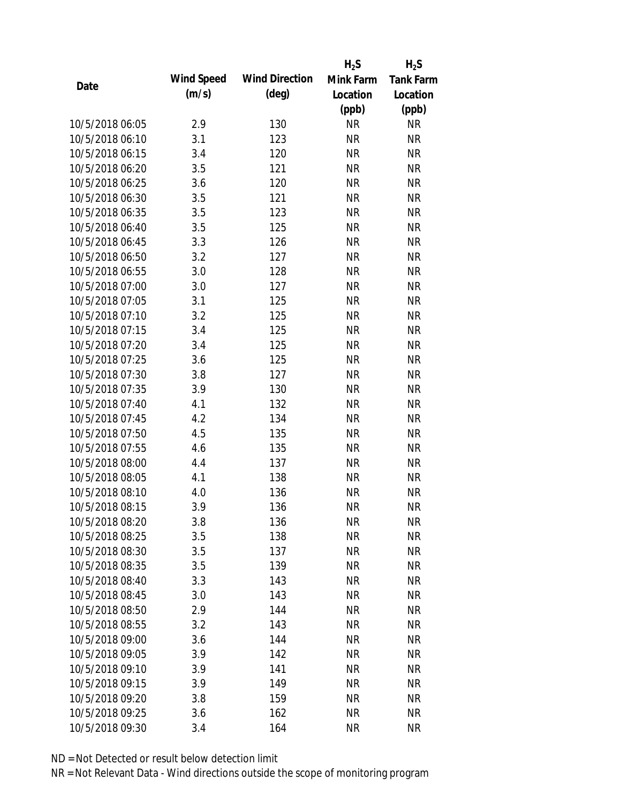|                 |            |                       | $H_2S$    | $H_2S$           |
|-----------------|------------|-----------------------|-----------|------------------|
|                 | Wind Speed | <b>Wind Direction</b> | Mink Farm | <b>Tank Farm</b> |
| Date            | (m/s)      | $(\text{deg})$        | Location  | Location         |
|                 |            |                       | (ppb)     | (ppb)            |
| 10/5/2018 06:05 | 2.9        | 130                   | <b>NR</b> | <b>NR</b>        |
| 10/5/2018 06:10 | 3.1        | 123                   | <b>NR</b> | <b>NR</b>        |
| 10/5/2018 06:15 | 3.4        | 120                   | <b>NR</b> | <b>NR</b>        |
| 10/5/2018 06:20 | 3.5        | 121                   | <b>NR</b> | <b>NR</b>        |
| 10/5/2018 06:25 | 3.6        | 120                   | <b>NR</b> | <b>NR</b>        |
| 10/5/2018 06:30 | 3.5        | 121                   | <b>NR</b> | <b>NR</b>        |
| 10/5/2018 06:35 | 3.5        | 123                   | <b>NR</b> | <b>NR</b>        |
| 10/5/2018 06:40 | 3.5        | 125                   | <b>NR</b> | <b>NR</b>        |
| 10/5/2018 06:45 | 3.3        | 126                   | <b>NR</b> | <b>NR</b>        |
| 10/5/2018 06:50 | 3.2        | 127                   | <b>NR</b> | <b>NR</b>        |
| 10/5/2018 06:55 | 3.0        | 128                   | <b>NR</b> | <b>NR</b>        |
| 10/5/2018 07:00 | 3.0        | 127                   | <b>NR</b> | <b>NR</b>        |
| 10/5/2018 07:05 | 3.1        | 125                   | <b>NR</b> | <b>NR</b>        |
| 10/5/2018 07:10 | 3.2        | 125                   | <b>NR</b> | <b>NR</b>        |
| 10/5/2018 07:15 | 3.4        | 125                   | <b>NR</b> | <b>NR</b>        |
| 10/5/2018 07:20 | 3.4        | 125                   | <b>NR</b> | <b>NR</b>        |
| 10/5/2018 07:25 | 3.6        | 125                   | <b>NR</b> | <b>NR</b>        |
| 10/5/2018 07:30 | 3.8        | 127                   | <b>NR</b> | <b>NR</b>        |
| 10/5/2018 07:35 | 3.9        | 130                   | <b>NR</b> | <b>NR</b>        |
| 10/5/2018 07:40 | 4.1        | 132                   | <b>NR</b> | <b>NR</b>        |
| 10/5/2018 07:45 | 4.2        | 134                   | <b>NR</b> | <b>NR</b>        |
| 10/5/2018 07:50 | 4.5        | 135                   | <b>NR</b> | <b>NR</b>        |
| 10/5/2018 07:55 | 4.6        | 135                   | <b>NR</b> | <b>NR</b>        |
| 10/5/2018 08:00 | 4.4        | 137                   | <b>NR</b> | <b>NR</b>        |
| 10/5/2018 08:05 | 4.1        | 138                   | <b>NR</b> | <b>NR</b>        |
| 10/5/2018 08:10 | 4.0        | 136                   | <b>NR</b> | <b>NR</b>        |
| 10/5/2018 08:15 | 3.9        | 136                   | <b>NR</b> | <b>NR</b>        |
| 10/5/2018 08:20 | 3.8        | 136                   | <b>NR</b> | <b>NR</b>        |
| 10/5/2018 08:25 | 3.5        | 138                   | <b>NR</b> | <b>NR</b>        |
| 10/5/2018 08:30 | 3.5        | 137                   | <b>NR</b> | <b>NR</b>        |
| 10/5/2018 08:35 | 3.5        | 139                   | <b>NR</b> | <b>NR</b>        |
| 10/5/2018 08:40 | 3.3        | 143                   | <b>NR</b> | <b>NR</b>        |
| 10/5/2018 08:45 | 3.0        | 143                   | <b>NR</b> | <b>NR</b>        |
| 10/5/2018 08:50 | 2.9        | 144                   | <b>NR</b> | <b>NR</b>        |
| 10/5/2018 08:55 | 3.2        | 143                   | <b>NR</b> | <b>NR</b>        |
| 10/5/2018 09:00 | 3.6        | 144                   | <b>NR</b> | <b>NR</b>        |
| 10/5/2018 09:05 | 3.9        | 142                   | <b>NR</b> | <b>NR</b>        |
| 10/5/2018 09:10 | 3.9        | 141                   | <b>NR</b> | <b>NR</b>        |
| 10/5/2018 09:15 | 3.9        | 149                   | <b>NR</b> | NR               |
| 10/5/2018 09:20 | 3.8        | 159                   | NR        | NR               |
| 10/5/2018 09:25 | 3.6        | 162                   | <b>NR</b> | <b>NR</b>        |
| 10/5/2018 09:30 | 3.4        | 164                   | <b>NR</b> | <b>NR</b>        |
|                 |            |                       |           |                  |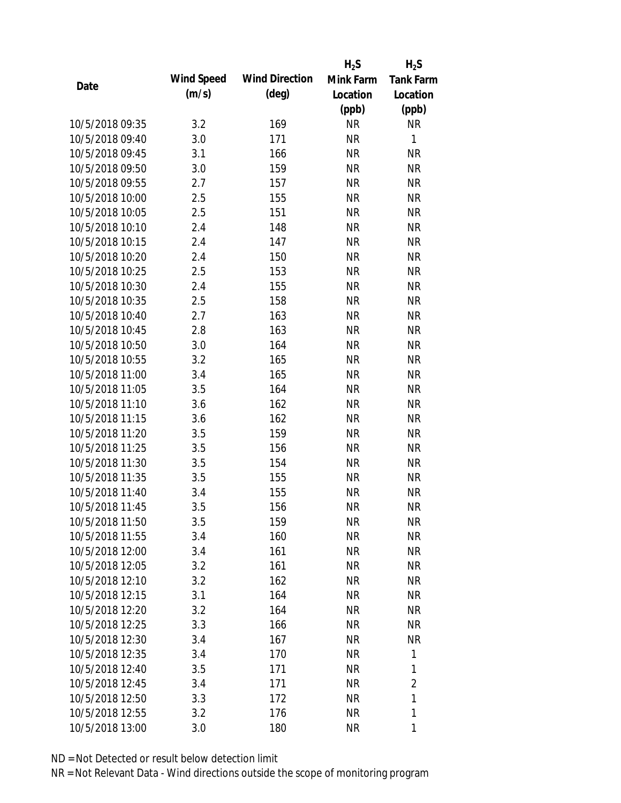|                 |            |                       | $H_2S$    | $H_2S$           |
|-----------------|------------|-----------------------|-----------|------------------|
| Date            | Wind Speed | <b>Wind Direction</b> | Mink Farm | <b>Tank Farm</b> |
|                 | (m/s)      | $(\text{deg})$        | Location  | Location         |
|                 |            |                       | (ppb)     | (ppb)            |
| 10/5/2018 09:35 | 3.2        | 169                   | <b>NR</b> | NR               |
| 10/5/2018 09:40 | 3.0        | 171                   | <b>NR</b> | 1                |
| 10/5/2018 09:45 | 3.1        | 166                   | <b>NR</b> | <b>NR</b>        |
| 10/5/2018 09:50 | 3.0        | 159                   | <b>NR</b> | <b>NR</b>        |
| 10/5/2018 09:55 | 2.7        | 157                   | <b>NR</b> | <b>NR</b>        |
| 10/5/2018 10:00 | 2.5        | 155                   | <b>NR</b> | <b>NR</b>        |
| 10/5/2018 10:05 | 2.5        | 151                   | <b>NR</b> | <b>NR</b>        |
| 10/5/2018 10:10 | 2.4        | 148                   | <b>NR</b> | <b>NR</b>        |
| 10/5/2018 10:15 | 2.4        | 147                   | <b>NR</b> | <b>NR</b>        |
| 10/5/2018 10:20 | 2.4        | 150                   | <b>NR</b> | <b>NR</b>        |
| 10/5/2018 10:25 | 2.5        | 153                   | <b>NR</b> | <b>NR</b>        |
| 10/5/2018 10:30 | 2.4        | 155                   | <b>NR</b> | <b>NR</b>        |
| 10/5/2018 10:35 | 2.5        | 158                   | <b>NR</b> | <b>NR</b>        |
| 10/5/2018 10:40 | 2.7        | 163                   | <b>NR</b> | <b>NR</b>        |
| 10/5/2018 10:45 | 2.8        | 163                   | <b>NR</b> | <b>NR</b>        |
| 10/5/2018 10:50 | 3.0        | 164                   | <b>NR</b> | <b>NR</b>        |
| 10/5/2018 10:55 | 3.2        | 165                   | <b>NR</b> | <b>NR</b>        |
| 10/5/2018 11:00 | 3.4        | 165                   | <b>NR</b> | <b>NR</b>        |
| 10/5/2018 11:05 | 3.5        | 164                   | <b>NR</b> | <b>NR</b>        |
| 10/5/2018 11:10 | 3.6        | 162                   | <b>NR</b> | <b>NR</b>        |
| 10/5/2018 11:15 | 3.6        | 162                   | <b>NR</b> | <b>NR</b>        |
| 10/5/2018 11:20 | 3.5        | 159                   | <b>NR</b> | <b>NR</b>        |
| 10/5/2018 11:25 | 3.5        | 156                   | <b>NR</b> | <b>NR</b>        |
| 10/5/2018 11:30 | 3.5        | 154                   | <b>NR</b> | <b>NR</b>        |
| 10/5/2018 11:35 | 3.5        | 155                   | <b>NR</b> | <b>NR</b>        |
| 10/5/2018 11:40 | 3.4        | 155                   | <b>NR</b> | <b>NR</b>        |
| 10/5/2018 11:45 | 3.5        | 156                   | <b>NR</b> | <b>NR</b>        |
| 10/5/2018 11:50 | 3.5        | 159                   | <b>NR</b> | <b>NR</b>        |
| 10/5/2018 11:55 | 3.4        | 160                   | <b>NR</b> | <b>NR</b>        |
| 10/5/2018 12:00 | 3.4        | 161                   | <b>NR</b> | NR               |
| 10/5/2018 12:05 | 3.2        | 161                   | <b>NR</b> | <b>NR</b>        |
| 10/5/2018 12:10 | 3.2        | 162                   | <b>NR</b> | NR               |
| 10/5/2018 12:15 | 3.1        | 164                   | <b>NR</b> | NR               |
| 10/5/2018 12:20 | 3.2        | 164                   | <b>NR</b> | NR               |
| 10/5/2018 12:25 | 3.3        | 166                   | <b>NR</b> | NR               |
| 10/5/2018 12:30 | 3.4        | 167                   | <b>NR</b> | <b>NR</b>        |
| 10/5/2018 12:35 | 3.4        | 170                   | <b>NR</b> | 1                |
| 10/5/2018 12:40 | 3.5        | 171                   | NR        | 1                |
| 10/5/2018 12:45 | 3.4        | 171                   | <b>NR</b> | 2                |
| 10/5/2018 12:50 | 3.3        | 172                   | <b>NR</b> | 1                |
| 10/5/2018 12:55 | 3.2        | 176                   | <b>NR</b> | 1                |
| 10/5/2018 13:00 | 3.0        | 180                   | <b>NR</b> | 1                |
|                 |            |                       |           |                  |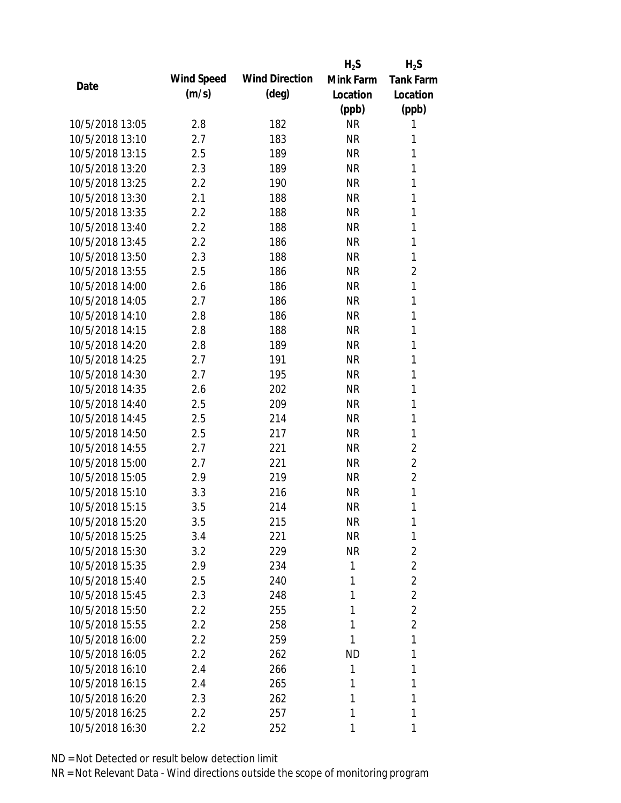|                 |            |                       | $H_2S$    | $H_2S$           |
|-----------------|------------|-----------------------|-----------|------------------|
|                 | Wind Speed | <b>Wind Direction</b> | Mink Farm | <b>Tank Farm</b> |
| Date            | (m/s)      | $(\text{deg})$        | Location  | Location         |
|                 |            |                       | (ppb)     | (ppb)            |
| 10/5/2018 13:05 | 2.8        | 182                   | <b>NR</b> | 1                |
| 10/5/2018 13:10 | 2.7        | 183                   | <b>NR</b> | 1                |
| 10/5/2018 13:15 | 2.5        | 189                   | <b>NR</b> | 1                |
| 10/5/2018 13:20 | 2.3        | 189                   | <b>NR</b> | 1                |
| 10/5/2018 13:25 | 2.2        | 190                   | <b>NR</b> | 1                |
| 10/5/2018 13:30 | 2.1        | 188                   | <b>NR</b> | 1                |
| 10/5/2018 13:35 | 2.2        | 188                   | <b>NR</b> | 1                |
| 10/5/2018 13:40 | 2.2        | 188                   | <b>NR</b> | 1                |
| 10/5/2018 13:45 | 2.2        | 186                   | <b>NR</b> | 1                |
| 10/5/2018 13:50 | 2.3        | 188                   | <b>NR</b> | 1                |
| 10/5/2018 13:55 | 2.5        | 186                   | <b>NR</b> | $\overline{2}$   |
| 10/5/2018 14:00 | 2.6        | 186                   | <b>NR</b> | 1                |
| 10/5/2018 14:05 | 2.7        | 186                   | <b>NR</b> | 1                |
| 10/5/2018 14:10 | 2.8        | 186                   | <b>NR</b> | 1                |
| 10/5/2018 14:15 | 2.8        | 188                   | <b>NR</b> | 1                |
| 10/5/2018 14:20 | 2.8        | 189                   | <b>NR</b> | 1                |
| 10/5/2018 14:25 | 2.7        | 191                   | <b>NR</b> | 1                |
| 10/5/2018 14:30 | 2.7        | 195                   | <b>NR</b> | 1                |
| 10/5/2018 14:35 | 2.6        | 202                   | <b>NR</b> | 1                |
| 10/5/2018 14:40 | 2.5        | 209                   | <b>NR</b> | 1                |
| 10/5/2018 14:45 | 2.5        | 214                   | <b>NR</b> | 1                |
| 10/5/2018 14:50 | 2.5        | 217                   | <b>NR</b> | 1                |
| 10/5/2018 14:55 | 2.7        | 221                   | <b>NR</b> | $\overline{2}$   |
| 10/5/2018 15:00 | 2.7        | 221                   | <b>NR</b> | 2                |
| 10/5/2018 15:05 | 2.9        | 219                   | <b>NR</b> | $\overline{2}$   |
| 10/5/2018 15:10 | 3.3        | 216                   | <b>NR</b> | 1                |
| 10/5/2018 15:15 | 3.5        | 214                   | <b>NR</b> | 1                |
| 10/5/2018 15:20 | 3.5        | 215                   | <b>NR</b> | 1                |
| 10/5/2018 15:25 | 3.4        | 221                   | <b>NR</b> | 1                |
| 10/5/2018 15:30 | 3.2        | 229                   | <b>NR</b> | 2                |
| 10/5/2018 15:35 | 2.9        | 234                   | 1         | $\overline{2}$   |
| 10/5/2018 15:40 | 2.5        | 240                   | 1         | $\overline{2}$   |
| 10/5/2018 15:45 | 2.3        | 248                   | 1         | $\overline{2}$   |
| 10/5/2018 15:50 | 2.2        | 255                   | 1         | $\overline{2}$   |
| 10/5/2018 15:55 | $2.2\,$    | 258                   | 1         | $\overline{2}$   |
| 10/5/2018 16:00 | $2.2\,$    | 259                   | 1         | 1                |
| 10/5/2018 16:05 | 2.2        | 262                   | <b>ND</b> | 1                |
| 10/5/2018 16:10 | 2.4        | 266                   | 1         | 1                |
| 10/5/2018 16:15 | 2.4        | 265                   | 1         | 1                |
| 10/5/2018 16:20 | 2.3        | 262                   | 1         | 1                |
| 10/5/2018 16:25 | 2.2        | 257                   | 1         | 1                |
|                 |            |                       |           |                  |
| 10/5/2018 16:30 | 2.2        | 252                   | 1         | 1                |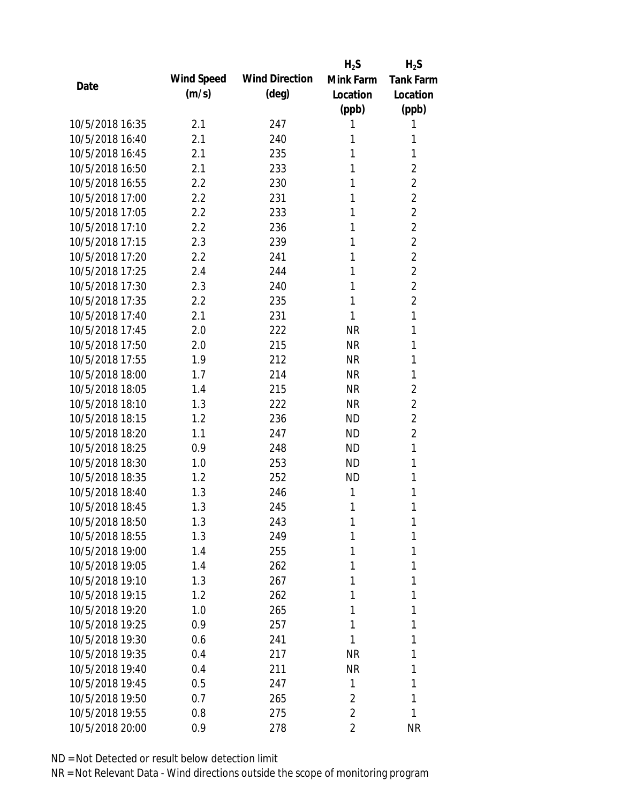|                 |            |                       | $H_2S$         | $H_2S$           |
|-----------------|------------|-----------------------|----------------|------------------|
| Date            | Wind Speed | <b>Wind Direction</b> | Mink Farm      | <b>Tank Farm</b> |
|                 | (m/s)      | $(\text{deg})$        | Location       | Location         |
|                 |            |                       | (ppb)          | (ppb)            |
| 10/5/2018 16:35 | 2.1        | 247                   | 1              | 1                |
| 10/5/2018 16:40 | 2.1        | 240                   | 1              | 1                |
| 10/5/2018 16:45 | 2.1        | 235                   | 1              | 1                |
| 10/5/2018 16:50 | 2.1        | 233                   | 1              | $\overline{2}$   |
| 10/5/2018 16:55 | 2.2        | 230                   | 1              | $\overline{2}$   |
| 10/5/2018 17:00 | 2.2        | 231                   | 1              | $\overline{2}$   |
| 10/5/2018 17:05 | 2.2        | 233                   | 1              | $\overline{2}$   |
| 10/5/2018 17:10 | 2.2        | 236                   | 1              | $\overline{2}$   |
| 10/5/2018 17:15 | 2.3        | 239                   | 1              | $\overline{2}$   |
| 10/5/2018 17:20 | 2.2        | 241                   | 1              | $\overline{2}$   |
| 10/5/2018 17:25 | 2.4        | 244                   | 1              | $\overline{2}$   |
| 10/5/2018 17:30 | 2.3        | 240                   | 1              | $\overline{2}$   |
| 10/5/2018 17:35 | 2.2        | 235                   | 1              | $\overline{2}$   |
| 10/5/2018 17:40 | 2.1        | 231                   | 1              | 1                |
| 10/5/2018 17:45 | 2.0        | 222                   | <b>NR</b>      | 1                |
| 10/5/2018 17:50 | 2.0        | 215                   | <b>NR</b>      | 1                |
| 10/5/2018 17:55 | 1.9        | 212                   | <b>NR</b>      | 1                |
| 10/5/2018 18:00 | 1.7        | 214                   | <b>NR</b>      | 1                |
| 10/5/2018 18:05 | 1.4        | 215                   | <b>NR</b>      | $\overline{2}$   |
| 10/5/2018 18:10 | 1.3        | 222                   | <b>NR</b>      | $\overline{2}$   |
| 10/5/2018 18:15 | 1.2        | 236                   | <b>ND</b>      | $\overline{2}$   |
| 10/5/2018 18:20 | 1.1        | 247                   | <b>ND</b>      | $\overline{2}$   |
| 10/5/2018 18:25 | 0.9        | 248                   | <b>ND</b>      | 1                |
| 10/5/2018 18:30 | 1.0        | 253                   | <b>ND</b>      | 1                |
| 10/5/2018 18:35 | 1.2        | 252                   | <b>ND</b>      | 1                |
| 10/5/2018 18:40 | 1.3        | 246                   | 1              | 1                |
| 10/5/2018 18:45 | 1.3        | 245                   | 1              | 1                |
| 10/5/2018 18:50 | 1.3        | 243                   | 1              | 1                |
| 10/5/2018 18:55 | 1.3        | 249                   | 1              | 1                |
| 10/5/2018 19:00 | 1.4        | 255                   | 1              | 1                |
| 10/5/2018 19:05 | 1.4        | 262                   | 1              | 1                |
| 10/5/2018 19:10 | 1.3        | 267                   | 1              | 1                |
| 10/5/2018 19:15 | 1.2        | 262                   | 1              | 1                |
| 10/5/2018 19:20 | 1.0        | 265                   | 1              | 1                |
| 10/5/2018 19:25 | 0.9        | 257                   | 1              | 1                |
| 10/5/2018 19:30 | 0.6        | 241                   | 1              | 1                |
| 10/5/2018 19:35 | 0.4        | 217                   | <b>NR</b>      | 1                |
| 10/5/2018 19:40 | 0.4        | 211                   | <b>NR</b>      | 1                |
| 10/5/2018 19:45 | 0.5        | 247                   | 1              | 1                |
| 10/5/2018 19:50 | 0.7        | 265                   | $\overline{2}$ | 1                |
| 10/5/2018 19:55 | 0.8        | 275                   | $\overline{2}$ | 1                |
| 10/5/2018 20:00 | 0.9        | 278                   | 2              | <b>NR</b>        |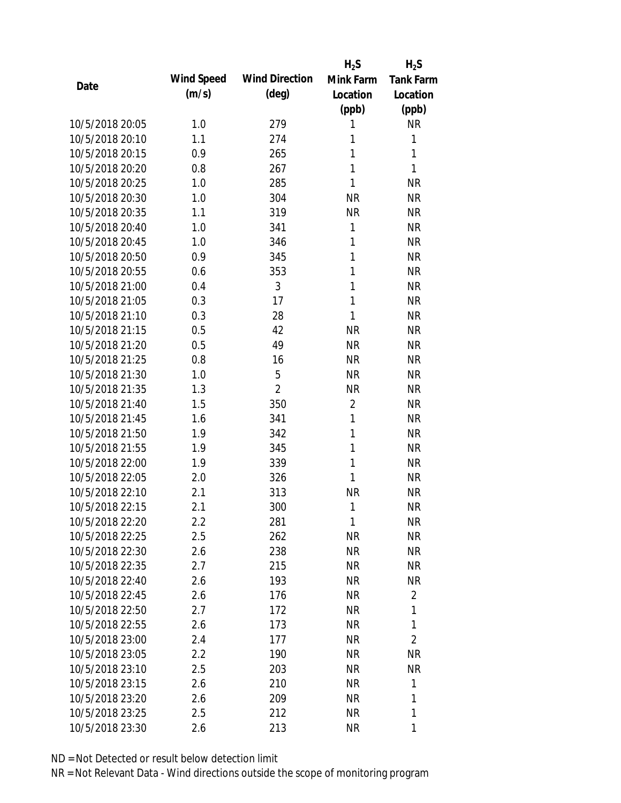|                 |            |                       | $H_2S$          | $H_2S$           |
|-----------------|------------|-----------------------|-----------------|------------------|
| Date            | Wind Speed | <b>Wind Direction</b> | Mink Farm       | <b>Tank Farm</b> |
|                 | (m/s)      | $(\text{deg})$        | Location        | Location         |
|                 |            |                       | (ppb)           | (ppb)            |
| 10/5/2018 20:05 | 1.0        | 279                   | 1               | <b>NR</b>        |
| 10/5/2018 20:10 | 1.1        | 274                   | 1               | 1                |
| 10/5/2018 20:15 | 0.9        | 265                   | 1               | 1                |
| 10/5/2018 20:20 | 0.8        | 267                   | 1               | 1                |
| 10/5/2018 20:25 | 1.0        | 285                   | 1               | <b>NR</b>        |
| 10/5/2018 20:30 | 1.0        | 304                   | <b>NR</b>       | <b>NR</b>        |
| 10/5/2018 20:35 | 1.1        | 319                   | <b>NR</b>       | <b>NR</b>        |
| 10/5/2018 20:40 | 1.0        | 341                   | 1               | <b>NR</b>        |
| 10/5/2018 20:45 | 1.0        | 346                   | 1               | <b>NR</b>        |
| 10/5/2018 20:50 | 0.9        | 345                   | 1               | <b>NR</b>        |
| 10/5/2018 20:55 | 0.6        | 353                   | 1               | <b>NR</b>        |
| 10/5/2018 21:00 | 0.4        | 3                     | 1               | <b>NR</b>        |
| 10/5/2018 21:05 | 0.3        | 17                    | 1               | <b>NR</b>        |
| 10/5/2018 21:10 | 0.3        | 28                    | 1               | <b>NR</b>        |
| 10/5/2018 21:15 | 0.5        | 42                    | <b>NR</b>       | <b>NR</b>        |
| 10/5/2018 21:20 | 0.5        | 49                    | <b>NR</b>       | <b>NR</b>        |
| 10/5/2018 21:25 | 0.8        | 16                    | <b>NR</b>       | <b>NR</b>        |
| 10/5/2018 21:30 | 1.0        | 5                     | <b>NR</b>       | <b>NR</b>        |
| 10/5/2018 21:35 | 1.3        | $\overline{2}$        | <b>NR</b>       | <b>NR</b>        |
| 10/5/2018 21:40 | 1.5        | 350                   | $\overline{2}$  | <b>NR</b>        |
| 10/5/2018 21:45 | 1.6        | 341                   | 1               | <b>NR</b>        |
| 10/5/2018 21:50 | 1.9        | 342                   | 1               | <b>NR</b>        |
| 10/5/2018 21:55 | 1.9        | 345                   | 1               | <b>NR</b>        |
| 10/5/2018 22:00 | 1.9        | 339                   | 1               | <b>NR</b>        |
| 10/5/2018 22:05 | 2.0        | 326                   | 1               | <b>NR</b>        |
| 10/5/2018 22:10 | 2.1        | 313                   | <b>NR</b>       | <b>NR</b>        |
| 10/5/2018 22:15 | 2.1        | 300                   | 1               | <b>NR</b>        |
| 10/5/2018 22:20 | $2.2\,$    | 281                   | 1               | <b>NR</b>        |
| 10/5/2018 22:25 | 2.5        | 262                   | <b>NR</b>       | <b>NR</b>        |
| 10/5/2018 22:30 | 2.6        | 238                   | <b>NR</b>       | NR               |
| 10/5/2018 22:35 | 2.7        | 215                   | <b>NR</b>       | <b>NR</b>        |
| 10/5/2018 22:40 | 2.6        | 193                   | <b>NR</b>       | NR               |
| 10/5/2018 22:45 | 2.6        | 176                   | <b>NR</b>       | 2                |
| 10/5/2018 22:50 | 2.7        | 172                   | <b>NR</b>       | 1                |
| 10/5/2018 22:55 | 2.6        | 173                   | <b>NR</b>       | 1                |
| 10/5/2018 23:00 | 2.4        | 177                   | <b>NR</b>       | $\overline{2}$   |
| 10/5/2018 23:05 | 2.2        | 190                   | <b>NR</b>       | <b>NR</b>        |
| 10/5/2018 23:10 |            |                       |                 | <b>NR</b>        |
| 10/5/2018 23:15 | 2.5        | 203                   | NR<br><b>NR</b> | 1                |
| 10/5/2018 23:20 | 2.6<br>2.6 | 210                   | <b>NR</b>       | 1                |
|                 |            | 209                   |                 | 1                |
| 10/5/2018 23:25 | 2.5        | 212                   | <b>NR</b>       |                  |
| 10/5/2018 23:30 | 2.6        | 213                   | <b>NR</b>       | 1                |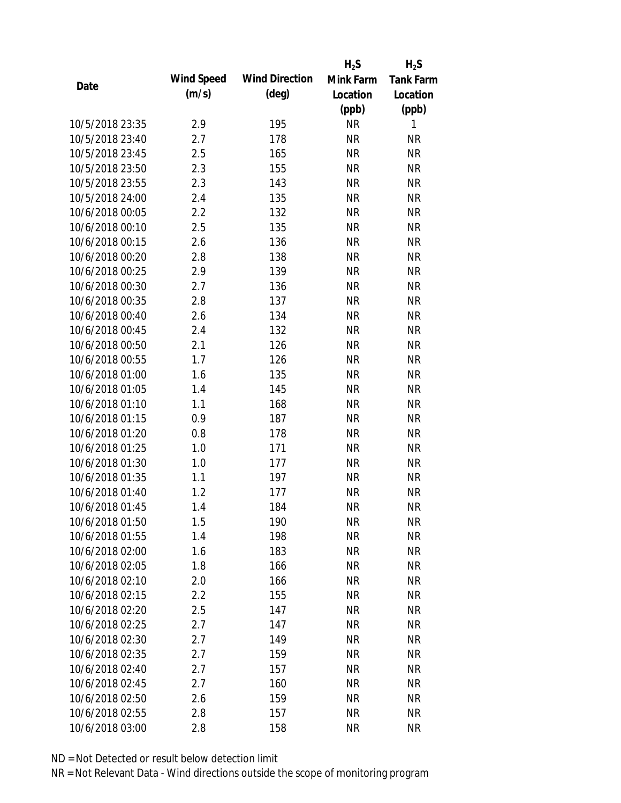|                 |            |                       | $H_2S$    | $H_2S$           |
|-----------------|------------|-----------------------|-----------|------------------|
|                 | Wind Speed | <b>Wind Direction</b> | Mink Farm | <b>Tank Farm</b> |
| Date            | (m/s)      | $(\text{deg})$        | Location  | Location         |
|                 |            |                       | (ppb)     | (ppb)            |
| 10/5/2018 23:35 | 2.9        | 195                   | <b>NR</b> | 1                |
| 10/5/2018 23:40 | 2.7        | 178                   | <b>NR</b> | <b>NR</b>        |
| 10/5/2018 23:45 | 2.5        | 165                   | <b>NR</b> | <b>NR</b>        |
| 10/5/2018 23:50 | 2.3        | 155                   | <b>NR</b> | <b>NR</b>        |
| 10/5/2018 23:55 | 2.3        | 143                   | <b>NR</b> | <b>NR</b>        |
| 10/5/2018 24:00 | 2.4        | 135                   | <b>NR</b> | <b>NR</b>        |
| 10/6/2018 00:05 | 2.2        | 132                   | <b>NR</b> | <b>NR</b>        |
| 10/6/2018 00:10 | 2.5        | 135                   | <b>NR</b> | <b>NR</b>        |
| 10/6/2018 00:15 | 2.6        | 136                   | <b>NR</b> | <b>NR</b>        |
| 10/6/2018 00:20 | 2.8        | 138                   | <b>NR</b> | <b>NR</b>        |
| 10/6/2018 00:25 | 2.9        | 139                   | <b>NR</b> | <b>NR</b>        |
| 10/6/2018 00:30 | 2.7        | 136                   | <b>NR</b> | <b>NR</b>        |
| 10/6/2018 00:35 | 2.8        | 137                   | <b>NR</b> | <b>NR</b>        |
| 10/6/2018 00:40 | 2.6        | 134                   | <b>NR</b> | <b>NR</b>        |
| 10/6/2018 00:45 | 2.4        | 132                   | <b>NR</b> | <b>NR</b>        |
| 10/6/2018 00:50 | 2.1        | 126                   | <b>NR</b> | <b>NR</b>        |
| 10/6/2018 00:55 | 1.7        | 126                   | <b>NR</b> | <b>NR</b>        |
| 10/6/2018 01:00 | 1.6        | 135                   | <b>NR</b> | <b>NR</b>        |
| 10/6/2018 01:05 | 1.4        | 145                   | <b>NR</b> | <b>NR</b>        |
| 10/6/2018 01:10 | 1.1        | 168                   | <b>NR</b> | <b>NR</b>        |
| 10/6/2018 01:15 | 0.9        | 187                   | <b>NR</b> | <b>NR</b>        |
| 10/6/2018 01:20 | 0.8        | 178                   | <b>NR</b> | <b>NR</b>        |
| 10/6/2018 01:25 | 1.0        | 171                   | <b>NR</b> | <b>NR</b>        |
| 10/6/2018 01:30 | 1.0        | 177                   | <b>NR</b> | <b>NR</b>        |
| 10/6/2018 01:35 | 1.1        | 197                   | <b>NR</b> | <b>NR</b>        |
| 10/6/2018 01:40 | 1.2        | 177                   | <b>NR</b> | <b>NR</b>        |
| 10/6/2018 01:45 | 1.4        | 184                   | <b>NR</b> | <b>NR</b>        |
| 10/6/2018 01:50 | 1.5        | 190                   | <b>NR</b> | <b>NR</b>        |
| 10/6/2018 01:55 | 1.4        | 198                   | <b>NR</b> | <b>NR</b>        |
| 10/6/2018 02:00 | 1.6        | 183                   | <b>NR</b> | <b>NR</b>        |
| 10/6/2018 02:05 | 1.8        | 166                   | <b>NR</b> | <b>NR</b>        |
| 10/6/2018 02:10 | 2.0        | 166                   | <b>NR</b> | NR               |
| 10/6/2018 02:15 | 2.2        | 155                   | <b>NR</b> | <b>NR</b>        |
| 10/6/2018 02:20 | 2.5        | 147                   | <b>NR</b> | <b>NR</b>        |
| 10/6/2018 02:25 | 2.7        | 147                   | <b>NR</b> | <b>NR</b>        |
| 10/6/2018 02:30 | 2.7        | 149                   | <b>NR</b> | <b>NR</b>        |
| 10/6/2018 02:35 | 2.7        | 159                   | <b>NR</b> | <b>NR</b>        |
| 10/6/2018 02:40 | 2.7        | 157                   | <b>NR</b> | <b>NR</b>        |
| 10/6/2018 02:45 | 2.7        | 160                   | <b>NR</b> | NR               |
| 10/6/2018 02:50 | 2.6        | 159                   | <b>NR</b> | NR               |
| 10/6/2018 02:55 | 2.8        | 157                   | <b>NR</b> | <b>NR</b>        |
|                 | 2.8        |                       | <b>NR</b> | <b>NR</b>        |
| 10/6/2018 03:00 |            | 158                   |           |                  |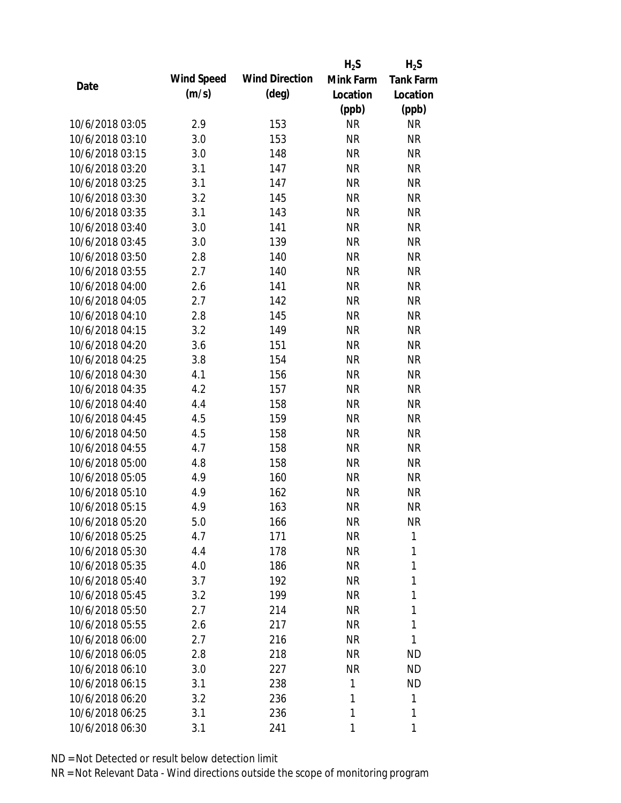|                 |            |                       | $H_2S$    | $H_2S$           |
|-----------------|------------|-----------------------|-----------|------------------|
|                 | Wind Speed | <b>Wind Direction</b> | Mink Farm | <b>Tank Farm</b> |
| Date            | (m/s)      | $(\text{deg})$        | Location  | Location         |
|                 |            |                       | (ppb)     | (ppb)            |
| 10/6/2018 03:05 | 2.9        | 153                   | <b>NR</b> | <b>NR</b>        |
| 10/6/2018 03:10 | 3.0        | 153                   | <b>NR</b> | <b>NR</b>        |
| 10/6/2018 03:15 | 3.0        | 148                   | <b>NR</b> | <b>NR</b>        |
| 10/6/2018 03:20 | 3.1        | 147                   | <b>NR</b> | <b>NR</b>        |
| 10/6/2018 03:25 | 3.1        | 147                   | <b>NR</b> | <b>NR</b>        |
| 10/6/2018 03:30 | 3.2        | 145                   | <b>NR</b> | <b>NR</b>        |
| 10/6/2018 03:35 | 3.1        | 143                   | <b>NR</b> | <b>NR</b>        |
| 10/6/2018 03:40 | 3.0        | 141                   | <b>NR</b> | <b>NR</b>        |
| 10/6/2018 03:45 | 3.0        | 139                   | <b>NR</b> | <b>NR</b>        |
| 10/6/2018 03:50 | 2.8        | 140                   | <b>NR</b> | <b>NR</b>        |
| 10/6/2018 03:55 | 2.7        | 140                   | <b>NR</b> | <b>NR</b>        |
| 10/6/2018 04:00 | 2.6        | 141                   | <b>NR</b> | <b>NR</b>        |
| 10/6/2018 04:05 | 2.7        | 142                   | <b>NR</b> | <b>NR</b>        |
| 10/6/2018 04:10 | 2.8        | 145                   | <b>NR</b> | <b>NR</b>        |
| 10/6/2018 04:15 | 3.2        | 149                   | <b>NR</b> | <b>NR</b>        |
| 10/6/2018 04:20 | 3.6        | 151                   | <b>NR</b> | <b>NR</b>        |
| 10/6/2018 04:25 | 3.8        | 154                   | <b>NR</b> | <b>NR</b>        |
| 10/6/2018 04:30 | 4.1        | 156                   | <b>NR</b> | <b>NR</b>        |
| 10/6/2018 04:35 | 4.2        | 157                   | <b>NR</b> | <b>NR</b>        |
| 10/6/2018 04:40 | 4.4        | 158                   | <b>NR</b> | <b>NR</b>        |
| 10/6/2018 04:45 | 4.5        | 159                   | <b>NR</b> | <b>NR</b>        |
| 10/6/2018 04:50 | 4.5        | 158                   | <b>NR</b> | <b>NR</b>        |
| 10/6/2018 04:55 | 4.7        | 158                   | <b>NR</b> | <b>NR</b>        |
| 10/6/2018 05:00 | 4.8        | 158                   | <b>NR</b> | <b>NR</b>        |
| 10/6/2018 05:05 | 4.9        | 160                   | <b>NR</b> | <b>NR</b>        |
| 10/6/2018 05:10 | 4.9        | 162                   | <b>NR</b> | <b>NR</b>        |
| 10/6/2018 05:15 | 4.9        | 163                   | <b>NR</b> | <b>NR</b>        |
| 10/6/2018 05:20 | 5.0        | 166                   | <b>NR</b> | <b>NR</b>        |
| 10/6/2018 05:25 | 4.7        | 171                   | <b>NR</b> | 1                |
| 10/6/2018 05:30 | 4.4        | 178                   | NR        | 1                |
| 10/6/2018 05:35 | 4.0        | 186                   | NR        | 1                |
| 10/6/2018 05:40 | 3.7        | 192                   | <b>NR</b> | 1                |
| 10/6/2018 05:45 | 3.2        | 199                   | <b>NR</b> | 1                |
| 10/6/2018 05:50 | 2.7        | 214                   | <b>NR</b> | 1                |
| 10/6/2018 05:55 | 2.6        | 217                   | <b>NR</b> | 1                |
| 10/6/2018 06:00 | 2.7        | 216                   | NR        | 1                |
| 10/6/2018 06:05 | 2.8        | 218                   | <b>NR</b> | ND               |
| 10/6/2018 06:10 | 3.0        | 227                   | <b>NR</b> | <b>ND</b>        |
| 10/6/2018 06:15 | 3.1        | 238                   | 1         | <b>ND</b>        |
| 10/6/2018 06:20 | 3.2        | 236                   | 1         | 1                |
| 10/6/2018 06:25 |            |                       | 1         | 1                |
|                 | 3.1        | 236                   |           |                  |
| 10/6/2018 06:30 | 3.1        | 241                   | 1         | 1                |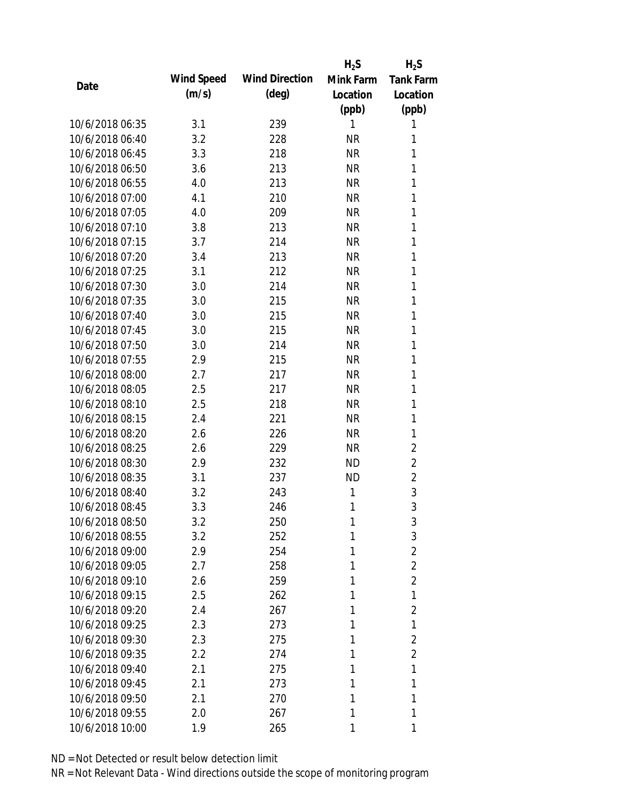|                 |            |                       | $H_2S$    | $H_2S$           |
|-----------------|------------|-----------------------|-----------|------------------|
| Date            | Wind Speed | <b>Wind Direction</b> | Mink Farm | <b>Tank Farm</b> |
|                 | (m/s)      | $(\text{deg})$        | Location  | Location         |
|                 |            |                       | (ppb)     | (ppb)            |
| 10/6/2018 06:35 | 3.1        | 239                   | 1         | 1                |
| 10/6/2018 06:40 | 3.2        | 228                   | <b>NR</b> | 1                |
| 10/6/2018 06:45 | 3.3        | 218                   | <b>NR</b> | 1                |
| 10/6/2018 06:50 | 3.6        | 213                   | <b>NR</b> | 1                |
| 10/6/2018 06:55 | 4.0        | 213                   | <b>NR</b> | 1                |
| 10/6/2018 07:00 | 4.1        | 210                   | <b>NR</b> | 1                |
| 10/6/2018 07:05 | 4.0        | 209                   | <b>NR</b> | 1                |
| 10/6/2018 07:10 | 3.8        | 213                   | <b>NR</b> | 1                |
| 10/6/2018 07:15 | 3.7        | 214                   | <b>NR</b> | 1                |
| 10/6/2018 07:20 | 3.4        | 213                   | <b>NR</b> | 1                |
| 10/6/2018 07:25 | 3.1        | 212                   | <b>NR</b> | 1                |
| 10/6/2018 07:30 | 3.0        | 214                   | <b>NR</b> | 1                |
| 10/6/2018 07:35 | 3.0        | 215                   | <b>NR</b> | 1                |
| 10/6/2018 07:40 | 3.0        | 215                   | <b>NR</b> | 1                |
| 10/6/2018 07:45 | 3.0        | 215                   | <b>NR</b> | 1                |
| 10/6/2018 07:50 | 3.0        | 214                   | <b>NR</b> | 1                |
| 10/6/2018 07:55 | 2.9        | 215                   | <b>NR</b> | 1                |
| 10/6/2018 08:00 | 2.7        | 217                   | <b>NR</b> | 1                |
| 10/6/2018 08:05 | 2.5        | 217                   | <b>NR</b> | 1                |
| 10/6/2018 08:10 | 2.5        | 218                   | <b>NR</b> | 1                |
| 10/6/2018 08:15 | 2.4        | 221                   | <b>NR</b> | 1                |
| 10/6/2018 08:20 | 2.6        | 226                   | <b>NR</b> | 1                |
| 10/6/2018 08:25 | 2.6        | 229                   | <b>NR</b> | 2                |
| 10/6/2018 08:30 | 2.9        | 232                   | <b>ND</b> | $\overline{2}$   |
| 10/6/2018 08:35 | 3.1        | 237                   | <b>ND</b> | $\overline{2}$   |
| 10/6/2018 08:40 | 3.2        | 243                   | 1         | 3                |
| 10/6/2018 08:45 | 3.3        | 246                   | 1         | 3                |
| 10/6/2018 08:50 | 3.2        | 250                   | 1         | 3                |
| 10/6/2018 08:55 | 3.2        | 252                   | 1         | 3                |
| 10/6/2018 09:00 | 2.9        | 254                   | 1         | $\overline{2}$   |
| 10/6/2018 09:05 | 2.7        | 258                   | 1         | $\overline{2}$   |
| 10/6/2018 09:10 | 2.6        | 259                   | 1         | $\overline{2}$   |
| 10/6/2018 09:15 | 2.5        | 262                   | 1         | 1                |
| 10/6/2018 09:20 | 2.4        | 267                   | 1         | 2                |
| 10/6/2018 09:25 | 2.3        | 273                   | 1         | 1                |
| 10/6/2018 09:30 | 2.3        | 275                   | 1         | $\overline{2}$   |
| 10/6/2018 09:35 | 2.2        | 274                   | 1         | $\overline{2}$   |
| 10/6/2018 09:40 | 2.1        | 275                   | 1         | 1                |
| 10/6/2018 09:45 | 2.1        | 273                   | 1         | 1                |
| 10/6/2018 09:50 | 2.1        | 270                   | 1         | 1                |
| 10/6/2018 09:55 | 2.0        | 267                   | 1         | 1                |
| 10/6/2018 10:00 | 1.9        | 265                   | 1         | 1                |
|                 |            |                       |           |                  |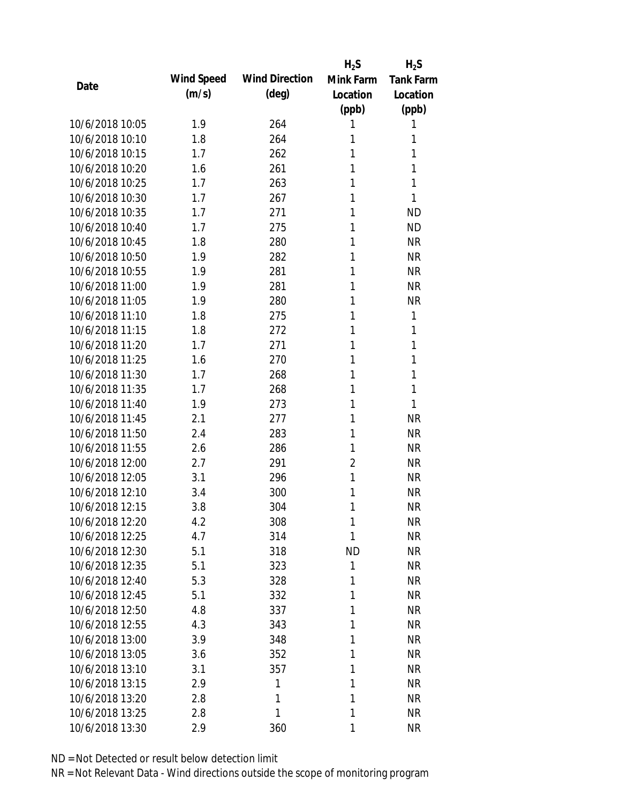|                 |            |                       | $H_2S$         | $H_2S$           |
|-----------------|------------|-----------------------|----------------|------------------|
| Date            | Wind Speed | <b>Wind Direction</b> | Mink Farm      | <b>Tank Farm</b> |
|                 | (m/s)      | $(\text{deg})$        | Location       | Location         |
|                 |            |                       | (ppb)          | (ppb)            |
| 10/6/2018 10:05 | 1.9        | 264                   | 1              | 1                |
| 10/6/2018 10:10 | 1.8        | 264                   | 1              | 1                |
| 10/6/2018 10:15 | 1.7        | 262                   | 1              | 1                |
| 10/6/2018 10:20 | 1.6        | 261                   | 1              | 1                |
| 10/6/2018 10:25 | 1.7        | 263                   | 1              | 1                |
| 10/6/2018 10:30 | 1.7        | 267                   | 1              | 1                |
| 10/6/2018 10:35 | 1.7        | 271                   | 1              | <b>ND</b>        |
| 10/6/2018 10:40 | 1.7        | 275                   | 1              | <b>ND</b>        |
| 10/6/2018 10:45 | 1.8        | 280                   | 1              | <b>NR</b>        |
| 10/6/2018 10:50 | 1.9        | 282                   | 1              | <b>NR</b>        |
| 10/6/2018 10:55 | 1.9        | 281                   | 1              | <b>NR</b>        |
| 10/6/2018 11:00 | 1.9        | 281                   | 1              | <b>NR</b>        |
| 10/6/2018 11:05 | 1.9        | 280                   | 1              | <b>NR</b>        |
| 10/6/2018 11:10 | 1.8        | 275                   | 1              | 1                |
| 10/6/2018 11:15 | 1.8        | 272                   | 1              | 1                |
| 10/6/2018 11:20 | 1.7        | 271                   | 1              | 1                |
| 10/6/2018 11:25 | 1.6        | 270                   | 1              | 1                |
| 10/6/2018 11:30 | 1.7        | 268                   | 1              | 1                |
| 10/6/2018 11:35 | 1.7        | 268                   | 1              | 1                |
| 10/6/2018 11:40 | 1.9        | 273                   | 1              | 1                |
| 10/6/2018 11:45 | 2.1        | 277                   | 1              | <b>NR</b>        |
| 10/6/2018 11:50 | 2.4        | 283                   | 1              | <b>NR</b>        |
| 10/6/2018 11:55 | 2.6        | 286                   | 1              | <b>NR</b>        |
| 10/6/2018 12:00 | 2.7        | 291                   | $\overline{2}$ | <b>NR</b>        |
| 10/6/2018 12:05 | 3.1        | 296                   | 1              | <b>NR</b>        |
| 10/6/2018 12:10 | 3.4        | 300                   | 1              | <b>NR</b>        |
| 10/6/2018 12:15 | 3.8        | 304                   | 1              | <b>NR</b>        |
| 10/6/2018 12:20 | 4.2        | 308                   | 1              | <b>NR</b>        |
| 10/6/2018 12:25 | 4.7        | 314                   | 1              | <b>NR</b>        |
| 10/6/2018 12:30 | 5.1        | 318                   | <b>ND</b>      | <b>NR</b>        |
| 10/6/2018 12:35 | 5.1        | 323                   | 1              | <b>NR</b>        |
| 10/6/2018 12:40 | 5.3        | 328                   | 1              | <b>NR</b>        |
| 10/6/2018 12:45 | 5.1        | 332                   | 1              | <b>NR</b>        |
| 10/6/2018 12:50 | 4.8        | 337                   | 1              | <b>NR</b>        |
| 10/6/2018 12:55 | 4.3        | 343                   | 1              | <b>NR</b>        |
| 10/6/2018 13:00 | 3.9        | 348                   | 1              | <b>NR</b>        |
| 10/6/2018 13:05 | 3.6        | 352                   | 1              | <b>NR</b>        |
| 10/6/2018 13:10 | 3.1        | 357                   | 1              | <b>NR</b>        |
| 10/6/2018 13:15 | 2.9        | 1                     | 1              | <b>NR</b>        |
| 10/6/2018 13:20 | 2.8        | 1                     | 1              | <b>NR</b>        |
| 10/6/2018 13:25 | 2.8        | 1                     | 1              | <b>NR</b>        |
| 10/6/2018 13:30 | 2.9        | 360                   | 1              | <b>NR</b>        |
|                 |            |                       |                |                  |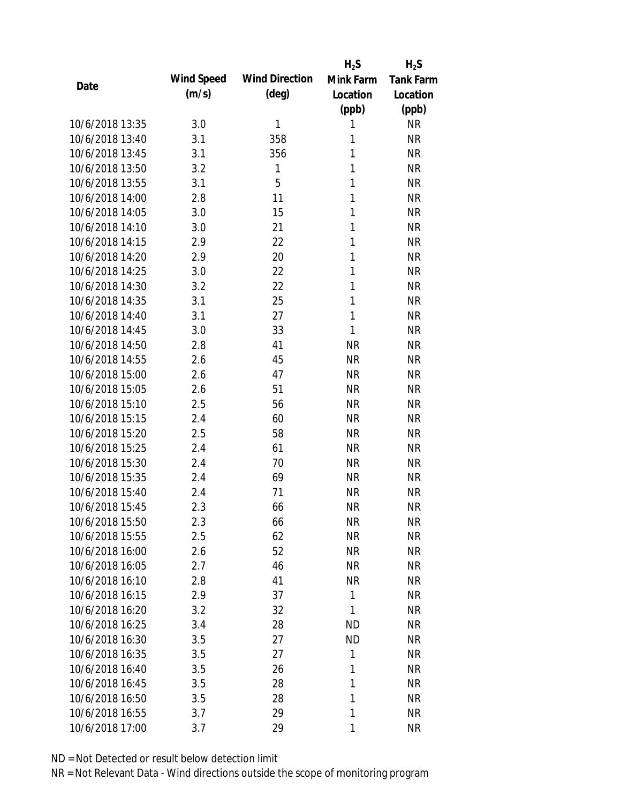|                 |            |                       | $H_2S$    | $H_2S$           |
|-----------------|------------|-----------------------|-----------|------------------|
| Date            | Wind Speed | <b>Wind Direction</b> | Mink Farm | <b>Tank Farm</b> |
|                 | (m/s)      | $(\text{deg})$        | Location  | Location         |
|                 |            |                       | (ppb)     | (ppb)            |
| 10/6/2018 13:35 | 3.0        | 1                     | 1         | <b>NR</b>        |
| 10/6/2018 13:40 | 3.1        | 358                   | 1         | <b>NR</b>        |
| 10/6/2018 13:45 | 3.1        | 356                   | 1         | <b>NR</b>        |
| 10/6/2018 13:50 | 3.2        | 1                     | 1         | <b>NR</b>        |
| 10/6/2018 13:55 | 3.1        | 5                     | 1         | <b>NR</b>        |
| 10/6/2018 14:00 | 2.8        | 11                    | 1         | <b>NR</b>        |
| 10/6/2018 14:05 | 3.0        | 15                    | 1         | <b>NR</b>        |
| 10/6/2018 14:10 | 3.0        | 21                    | 1         | <b>NR</b>        |
| 10/6/2018 14:15 | 2.9        | 22                    | 1         | <b>NR</b>        |
| 10/6/2018 14:20 | 2.9        | 20                    | 1         | <b>NR</b>        |
| 10/6/2018 14:25 | 3.0        | 22                    | 1         | <b>NR</b>        |
| 10/6/2018 14:30 | 3.2        | 22                    | 1         | <b>NR</b>        |
| 10/6/2018 14:35 | 3.1        | 25                    | 1         | <b>NR</b>        |
| 10/6/2018 14:40 | 3.1        | 27                    | 1         | <b>NR</b>        |
| 10/6/2018 14:45 | 3.0        | 33                    | 1         | <b>NR</b>        |
| 10/6/2018 14:50 | 2.8        | 41                    | <b>NR</b> | <b>NR</b>        |
| 10/6/2018 14:55 | 2.6        | 45                    | <b>NR</b> | <b>NR</b>        |
| 10/6/2018 15:00 | 2.6        | 47                    | <b>NR</b> | <b>NR</b>        |
| 10/6/2018 15:05 | 2.6        | 51                    | <b>NR</b> | <b>NR</b>        |
| 10/6/2018 15:10 | 2.5        | 56                    | <b>NR</b> | <b>NR</b>        |
| 10/6/2018 15:15 | 2.4        | 60                    | <b>NR</b> | <b>NR</b>        |
| 10/6/2018 15:20 | 2.5        | 58                    | <b>NR</b> | <b>NR</b>        |
| 10/6/2018 15:25 | 2.4        | 61                    | <b>NR</b> | <b>NR</b>        |
| 10/6/2018 15:30 | 2.4        | 70                    | <b>NR</b> | <b>NR</b>        |
| 10/6/2018 15:35 | 2.4        | 69                    | <b>NR</b> | <b>NR</b>        |
| 10/6/2018 15:40 | 2.4        | 71                    | <b>NR</b> | <b>NR</b>        |
| 10/6/2018 15:45 | 2.3        | 66                    | <b>NR</b> | <b>NR</b>        |
| 10/6/2018 15:50 | 2.3        | 66                    | <b>NR</b> | <b>NR</b>        |
| 10/6/2018 15:55 | 2.5        | 62                    | <b>NR</b> | <b>NR</b>        |
| 10/6/2018 16:00 | 2.6        | 52                    | <b>NR</b> | NR               |
| 10/6/2018 16:05 | 2.7        | 46                    | <b>NR</b> | NR               |
| 10/6/2018 16:10 | 2.8        | 41                    | <b>NR</b> | NR               |
| 10/6/2018 16:15 | 2.9        | 37                    | 1         | <b>NR</b>        |
| 10/6/2018 16:20 | 3.2        | 32                    | 1         | <b>NR</b>        |
| 10/6/2018 16:25 | 3.4        | 28                    | ND        | NR               |
| 10/6/2018 16:30 | 3.5        | 27                    | <b>ND</b> | <b>NR</b>        |
| 10/6/2018 16:35 | 3.5        | 27                    | 1         | NR               |
| 10/6/2018 16:40 | 3.5        | 26                    | 1         | NR               |
| 10/6/2018 16:45 | 3.5        | 28                    | 1         | NR               |
| 10/6/2018 16:50 | 3.5        | 28                    | 1         | NR               |
| 10/6/2018 16:55 | 3.7        | 29                    | 1         | <b>NR</b>        |
| 10/6/2018 17:00 | 3.7        | 29                    | 1         | <b>NR</b>        |
|                 |            |                       |           |                  |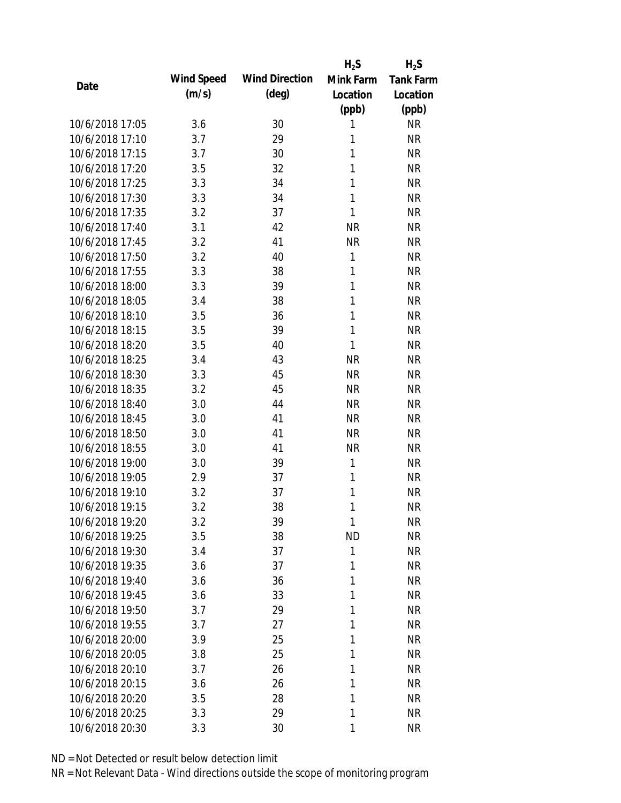|                 |            |                       | $H_2S$       | $H_2S$           |
|-----------------|------------|-----------------------|--------------|------------------|
| Date            | Wind Speed | <b>Wind Direction</b> | Mink Farm    | <b>Tank Farm</b> |
|                 | (m/s)      | $(\text{deg})$        | Location     | Location         |
|                 |            |                       | (ppb)        | (ppb)            |
| 10/6/2018 17:05 | 3.6        | 30                    | 1            | <b>NR</b>        |
| 10/6/2018 17:10 | 3.7        | 29                    | 1            | <b>NR</b>        |
| 10/6/2018 17:15 | 3.7        | 30                    | 1            | <b>NR</b>        |
| 10/6/2018 17:20 | 3.5        | 32                    | 1            | <b>NR</b>        |
| 10/6/2018 17:25 | 3.3        | 34                    | 1            | <b>NR</b>        |
| 10/6/2018 17:30 | 3.3        | 34                    | 1            | <b>NR</b>        |
| 10/6/2018 17:35 | 3.2        | 37                    | 1            | <b>NR</b>        |
| 10/6/2018 17:40 | 3.1        | 42                    | <b>NR</b>    | <b>NR</b>        |
| 10/6/2018 17:45 | 3.2        | 41                    | <b>NR</b>    | <b>NR</b>        |
| 10/6/2018 17:50 | 3.2        | 40                    | $\mathbf{1}$ | <b>NR</b>        |
| 10/6/2018 17:55 | 3.3        | 38                    | 1            | <b>NR</b>        |
| 10/6/2018 18:00 | 3.3        | 39                    | 1            | <b>NR</b>        |
| 10/6/2018 18:05 | 3.4        | 38                    | 1            | <b>NR</b>        |
| 10/6/2018 18:10 | 3.5        | 36                    | 1            | <b>NR</b>        |
| 10/6/2018 18:15 | 3.5        | 39                    | 1            | <b>NR</b>        |
| 10/6/2018 18:20 | 3.5        | 40                    | 1            | <b>NR</b>        |
| 10/6/2018 18:25 | 3.4        | 43                    | <b>NR</b>    | <b>NR</b>        |
| 10/6/2018 18:30 | 3.3        | 45                    | <b>NR</b>    | <b>NR</b>        |
| 10/6/2018 18:35 | 3.2        | 45                    | <b>NR</b>    | <b>NR</b>        |
| 10/6/2018 18:40 | 3.0        | 44                    | <b>NR</b>    | <b>NR</b>        |
| 10/6/2018 18:45 | 3.0        | 41                    | <b>NR</b>    | <b>NR</b>        |
| 10/6/2018 18:50 | 3.0        | 41                    | <b>NR</b>    | <b>NR</b>        |
| 10/6/2018 18:55 | 3.0        | 41                    | <b>NR</b>    | <b>NR</b>        |
| 10/6/2018 19:00 | 3.0        | 39                    | 1            | <b>NR</b>        |
| 10/6/2018 19:05 | 2.9        | 37                    | 1            | <b>NR</b>        |
| 10/6/2018 19:10 | 3.2        | 37                    | 1            | <b>NR</b>        |
| 10/6/2018 19:15 | 3.2        | 38                    | 1            | <b>NR</b>        |
| 10/6/2018 19:20 | 3.2        | 39                    | 1            | <b>NR</b>        |
| 10/6/2018 19:25 | 3.5        | 38                    | <b>ND</b>    | <b>NR</b>        |
| 10/6/2018 19:30 | 3.4        | 37                    | 1            | <b>NR</b>        |
| 10/6/2018 19:35 | 3.6        | 37                    | 1            | <b>NR</b>        |
| 10/6/2018 19:40 | 3.6        | 36                    | 1            | <b>NR</b>        |
| 10/6/2018 19:45 | 3.6        | 33                    | 1            | <b>NR</b>        |
| 10/6/2018 19:50 | 3.7        | 29                    | 1            | <b>NR</b>        |
| 10/6/2018 19:55 | 3.7        | 27                    | 1            | <b>NR</b>        |
| 10/6/2018 20:00 | 3.9        | 25                    | 1            | <b>NR</b>        |
| 10/6/2018 20:05 | 3.8        | 25                    | 1            | <b>NR</b>        |
| 10/6/2018 20:10 | 3.7        | 26                    | 1            | <b>NR</b>        |
| 10/6/2018 20:15 | 3.6        | 26                    | 1            | <b>NR</b>        |
| 10/6/2018 20:20 | 3.5        | 28                    | 1            | <b>NR</b>        |
| 10/6/2018 20:25 | 3.3        | 29                    | 1            | <b>NR</b>        |
| 10/6/2018 20:30 | 3.3        | 30                    | 1            | <b>NR</b>        |
|                 |            |                       |              |                  |